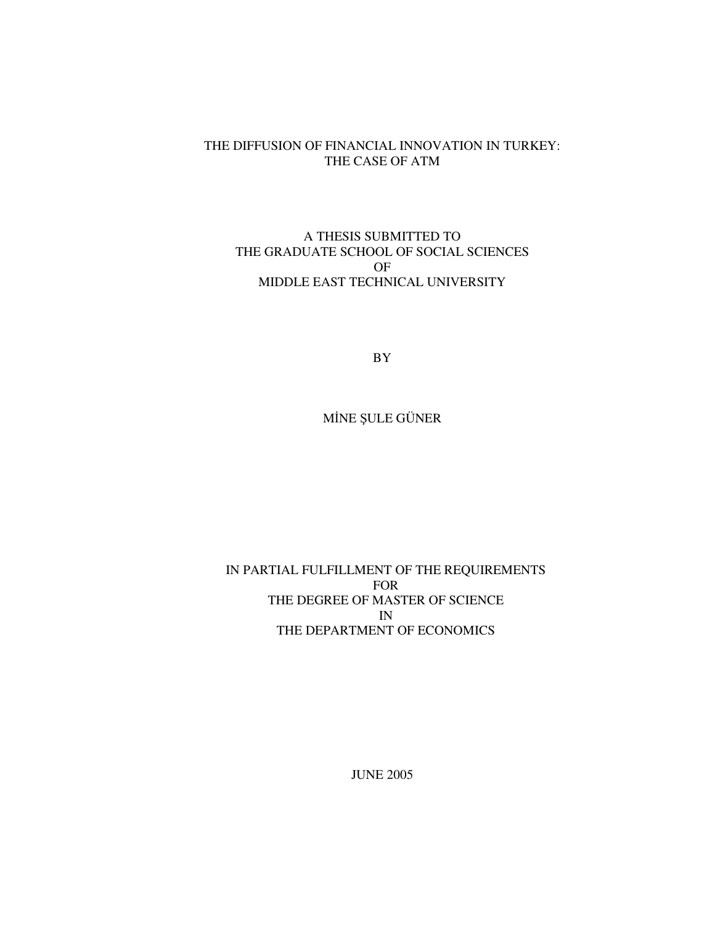#### THE DIFFUSION OF FINANCIAL INNOVATION IN TURKEY: THE CASE OF ATM

### A THESIS SUBMITTED TO THE GRADUATE SCHOOL OF SOCIAL SCIENCES OF MIDDLE EAST TECHNICAL UNIVERSITY

BY

MÎNE ŞULE GÜNER

### IN PARTIAL FULFILLMENT OF THE REQUIREMENTS FOR THE DEGREE OF MASTER OF SCIENCE IN THE DEPARTMENT OF ECONOMICS

JUNE 2005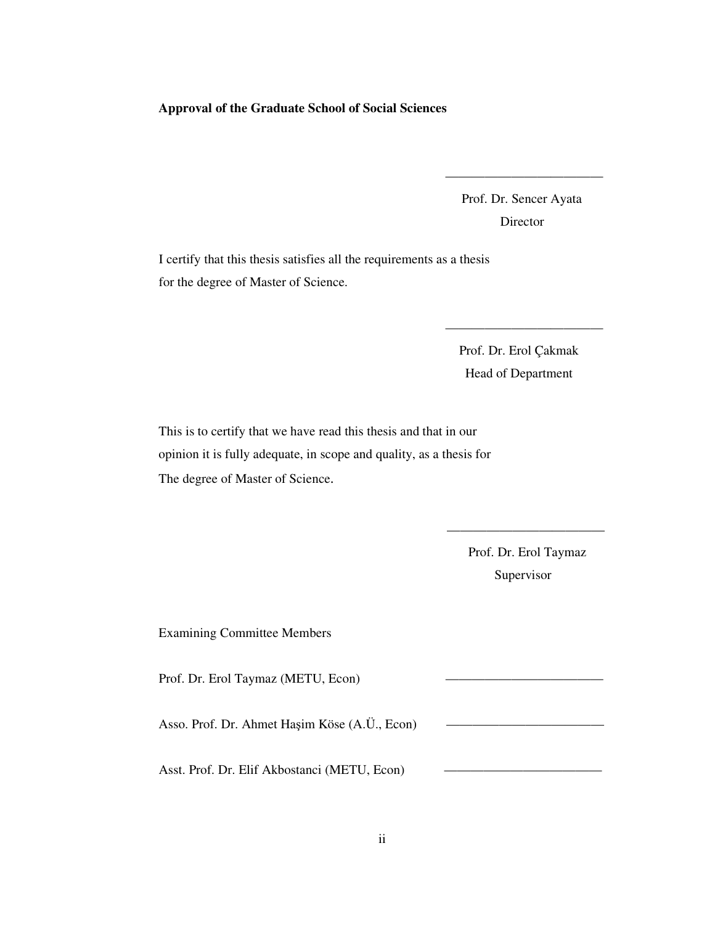#### **Approval of the Graduate School of Social Sciences**

Prof. Dr. Sencer Ayata **Director** 

————————————

I certify that this thesis satisfies all the requirements as a thesis for the degree of Master of Science.

> Prof. Dr. Erol Çakmak Head of Department

————————————

This is to certify that we have read this thesis and that in our opinion it is fully adequate, in scope and quality, as a thesis for The degree of Master of Science.

> Prof. Dr. Erol Taymaz Supervisor

————————————

Examining Committee Members

Prof. Dr. Erol Taymaz (METU, Econ)

Asso. Prof. Dr. Ahmet Haşim Köse (A.Ü., Econ)

Asst. Prof. Dr. Elif Akbostanci (METU, Econ)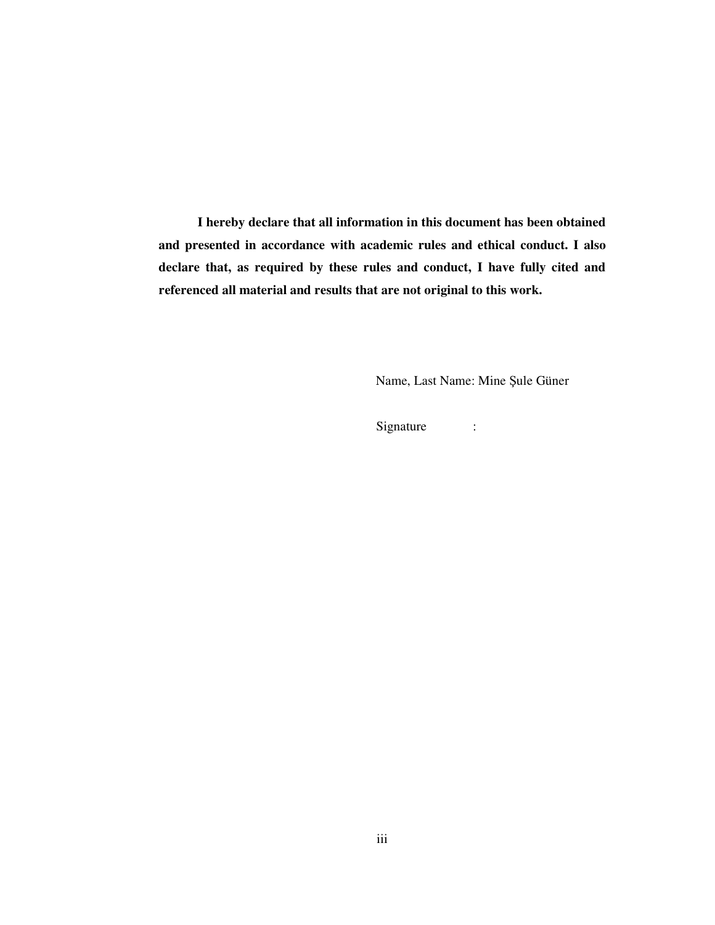**I hereby declare that all information in this document has been obtained and presented in accordance with academic rules and ethical conduct. I also declare that, as required by these rules and conduct, I have fully cited and referenced all material and results that are not original to this work.**

Name, Last Name: Mine Şule Güner

Signature :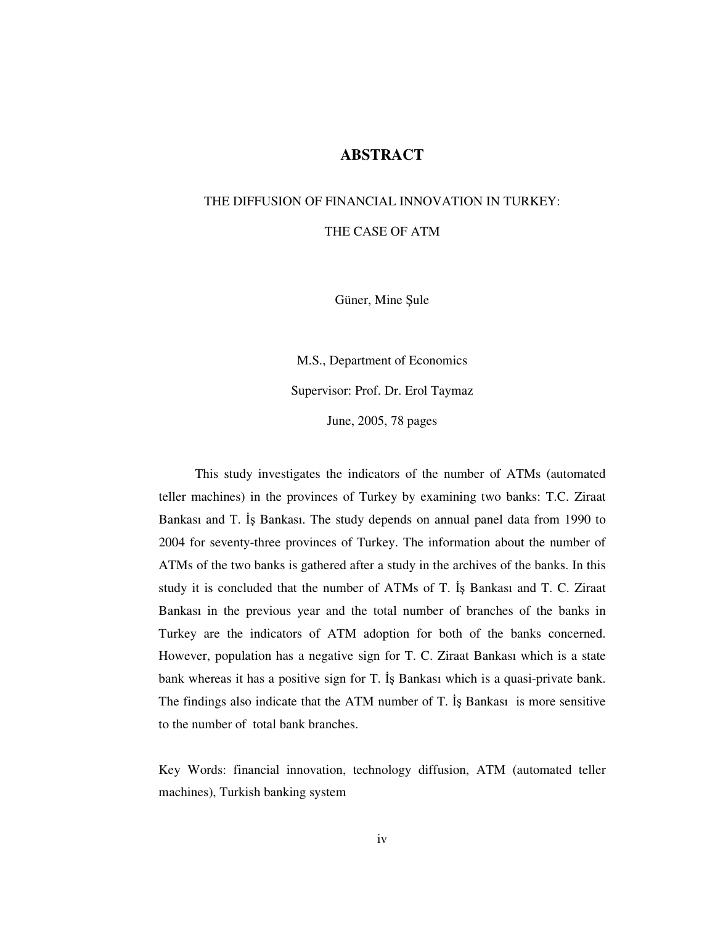### **ABSTRACT**

# THE DIFFUSION OF FINANCIAL INNOVATION IN TURKEY: THE CASE OF ATM

Güner, Mine Şule

M.S., Department of Economics Supervisor: Prof. Dr. Erol Taymaz June, 2005, 78 pages

This study investigates the indicators of the number of ATMs (automated teller machines) in the provinces of Turkey by examining two banks: T.C. Ziraat Bankası and T. İş Bankası. The study depends on annual panel data from 1990 to 2004 for seventy-three provinces of Turkey. The information about the number of ATMs of the two banks is gathered after a study in the archives of the banks. In this study it is concluded that the number of ATMs of T. Is Bankası and T. C. Ziraat Bankası in the previous year and the total number of branches of the banks in Turkey are the indicators of ATM adoption for both of the banks concerned. However, population has a negative sign for T. C. Ziraat Bankası which is a state bank whereas it has a positive sign for T. Is Bankasi which is a quasi-private bank.

The findings also indicate that the ATM number of T. Is Bankasi is more sensitive to the number of total bank branches.

Key Words: financial innovation, technology diffusion, ATM (automated teller machines), Turkish banking system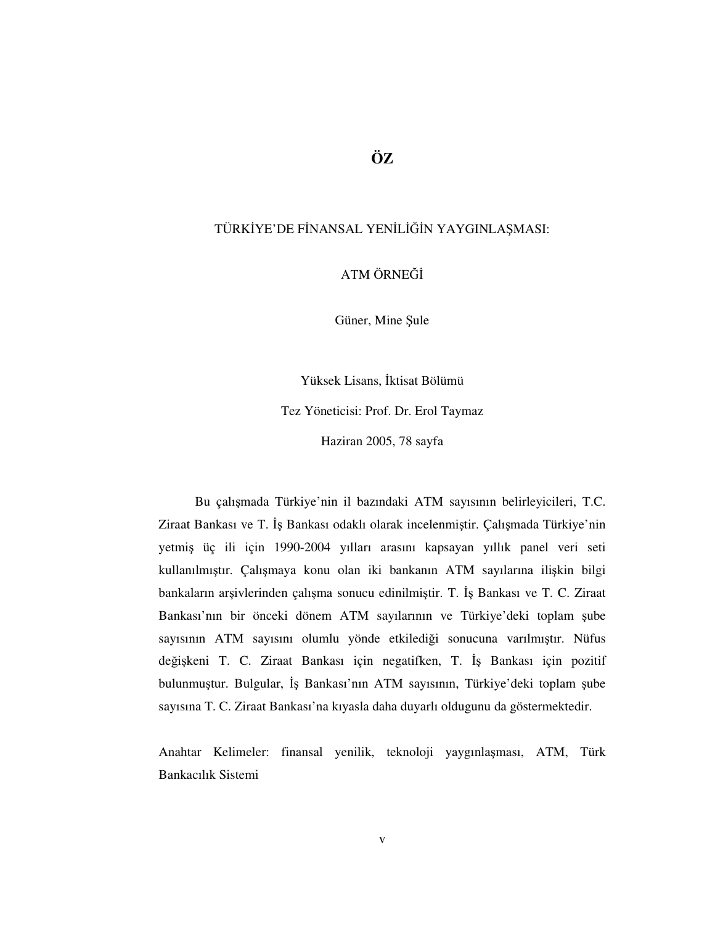### **ÖZ**

#### TÜRKİYE'DE FİNANSAL YENİLİĞİN YAYGINLAŞMASI:

ATM ÖRNE

Güner, Mine Şule

Yüksek Lisans, İktisat Bölümü Tez Yöneticisi: Prof. Dr. Erol Taymaz Haziran 2005, 78 sayfa

Bu çalımada Türkiye'nin il bazındaki ATM sayısının belirleyicileri, T.C. Ziraat Bankası ve T. İş Bankası odaklı olarak incelenmiştir. Çalışmada Türkiye'nin yetmiş üç ili için 1990-2004 yılları arasını kapsayan yıllık panel veri seti kullanılmıştır. Çalışmaya konu olan iki bankanın ATM sayılarına ilişkin bilgi bankaların arşivlerinden çalışma sonucu edinilmiştir. T. İş Bankası ve T. C. Ziraat Bankası'nın bir önceki dönem ATM sayılarının ve Türkiye'deki toplam şube sayısının ATM sayısını olumlu yönde etkilediği sonucuna varılmıştır. Nüfus değişkeni T. C. Ziraat Bankası için negatifken, T. İş Bankası için pozitif bulunmuştur. Bulgular, İş Bankası'nın ATM sayısının, Türkiye'deki toplam şube sayısına T. C. Ziraat Bankası'na kıyasla daha duyarlı oldugunu da göstermektedir.

Anahtar Kelimeler: finansal yenilik, teknoloji yaygınlaması, ATM, Türk Bankacılık Sistemi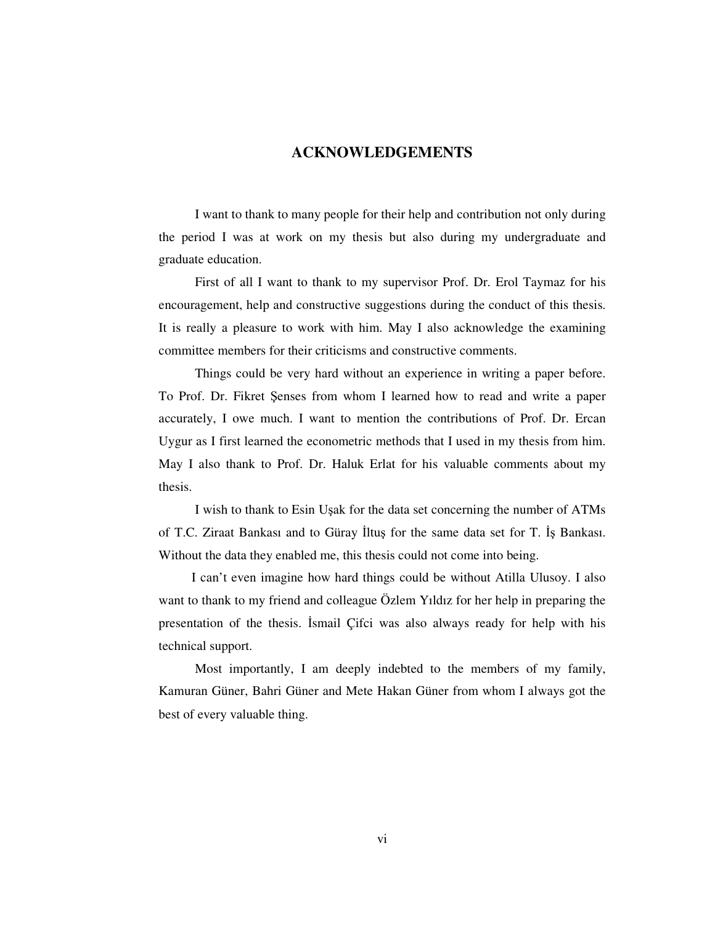### **ACKNOWLEDGEMENTS**

I want to thank to many people for their help and contribution not only during the period I was at work on my thesis but also during my undergraduate and graduate education.

First of all I want to thank to my supervisor Prof. Dr. Erol Taymaz for his encouragement, help and constructive suggestions during the conduct of this thesis. It is really a pleasure to work with him. May I also acknowledge the examining committee members for their criticisms and constructive comments.

Things could be very hard without an experience in writing a paper before. To Prof. Dr. Fikret Şenses from whom I learned how to read and write a paper accurately, I owe much. I want to mention the contributions of Prof. Dr. Ercan Uygur as I first learned the econometric methods that I used in my thesis from him. May I also thank to Prof. Dr. Haluk Erlat for his valuable comments about my thesis.

I wish to thank to Esin Uşak for the data set concerning the number of ATMs of T.C. Ziraat Bankası and to Güray İltuş for the same data set for T. İş Bankası. Without the data they enabled me, this thesis could not come into being.

I can't even imagine how hard things could be without Atilla Ulusoy. I also want to thank to my friend and colleague Özlem Yıldız for her help in preparing the presentation of the thesis. Ismail Cifci was also always ready for help with his technical support.

Most importantly, I am deeply indebted to the members of my family, Kamuran Güner, Bahri Güner and Mete Hakan Güner from whom I always got the best of every valuable thing.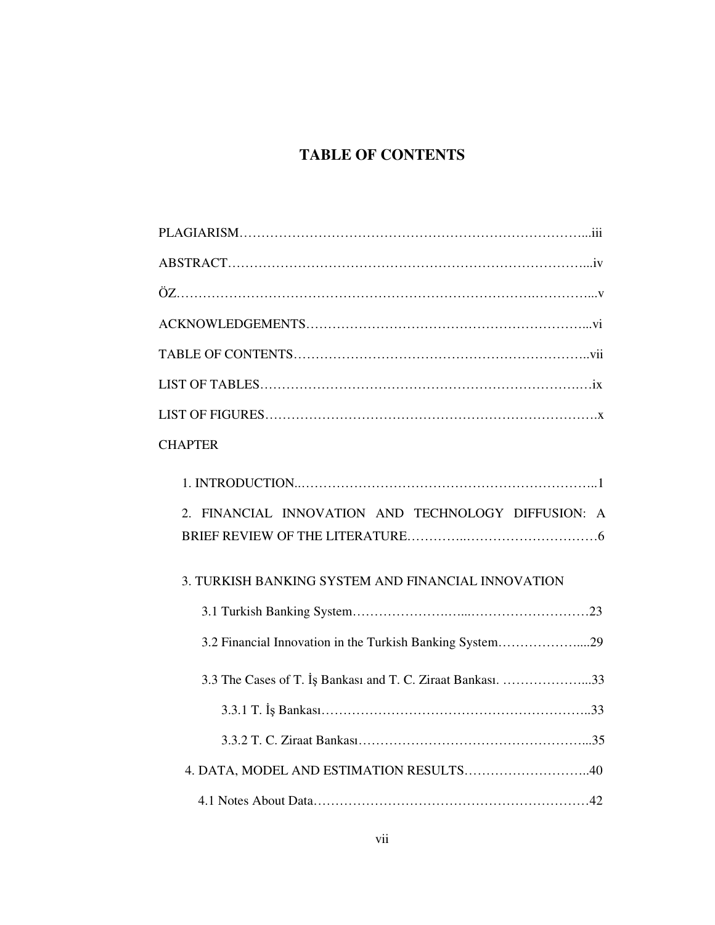## **TABLE OF CONTENTS**

| <b>CHAPTER</b>                                              |
|-------------------------------------------------------------|
| 2. FINANCIAL INNOVATION AND TECHNOLOGY DIFFUSION: A         |
|                                                             |
| 3. TURKISH BANKING SYSTEM AND FINANCIAL INNOVATION          |
|                                                             |
| 3.2 Financial Innovation in the Turkish Banking System29    |
| 3.3 The Cases of T. İş Bankası and T. C. Ziraat Bankası. 33 |
|                                                             |
|                                                             |
| 4. DATA, MODEL AND ESTIMATION RESULTS40                     |
|                                                             |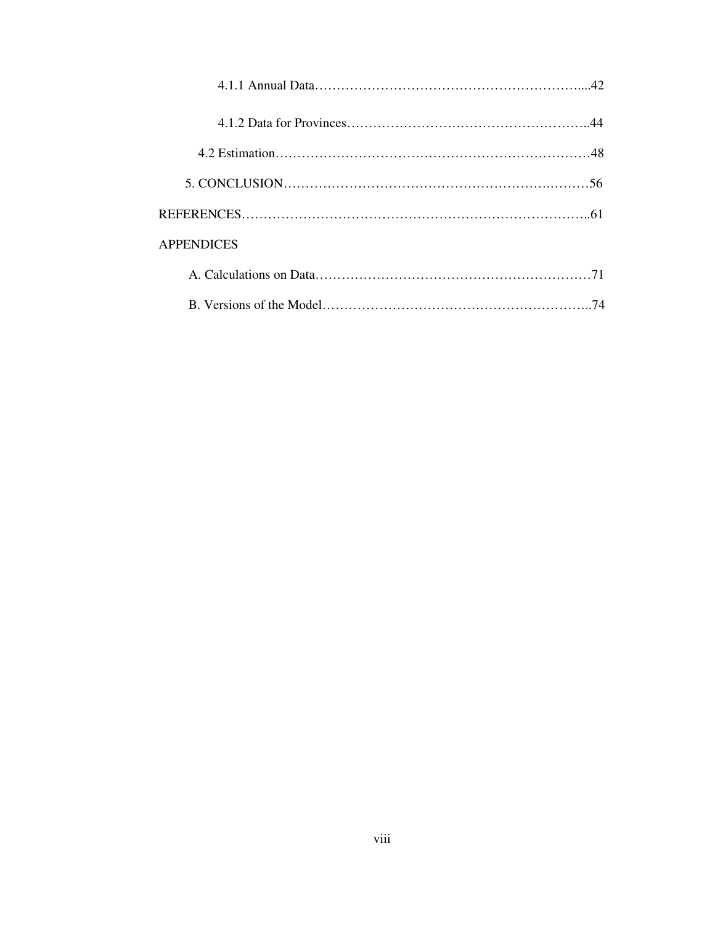| <b>APPENDICES</b> |  |
|-------------------|--|
|                   |  |
|                   |  |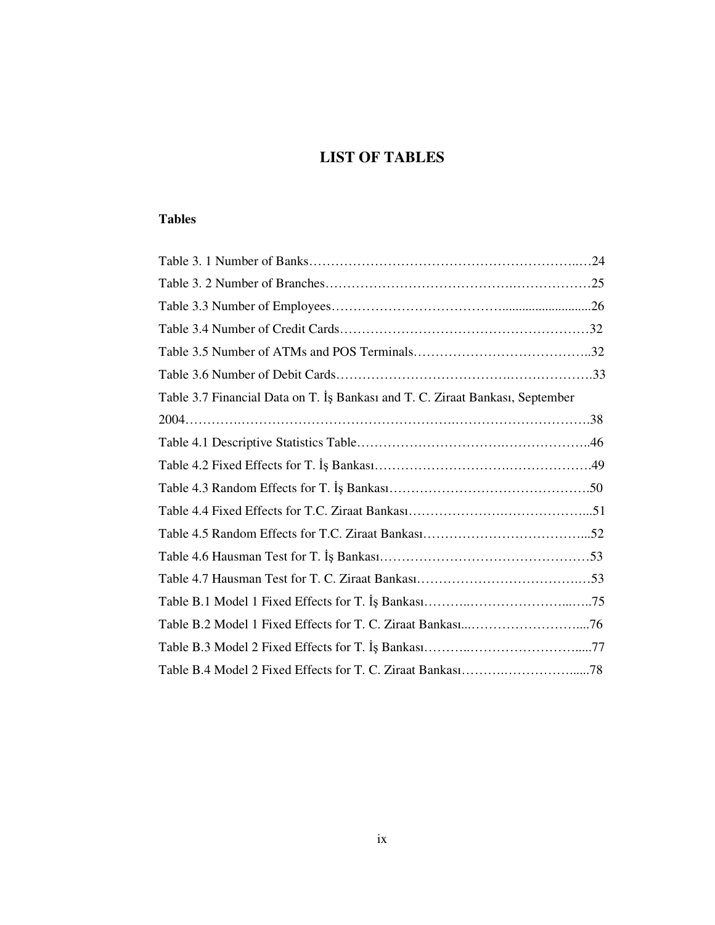## **LIST OF TABLES**

### **Tables**

| Table 3.7 Financial Data on T. Is Bankası and T. C. Ziraat Bankası, September |  |
|-------------------------------------------------------------------------------|--|
|                                                                               |  |
|                                                                               |  |
|                                                                               |  |
|                                                                               |  |
|                                                                               |  |
|                                                                               |  |
|                                                                               |  |
|                                                                               |  |
|                                                                               |  |
|                                                                               |  |
|                                                                               |  |
|                                                                               |  |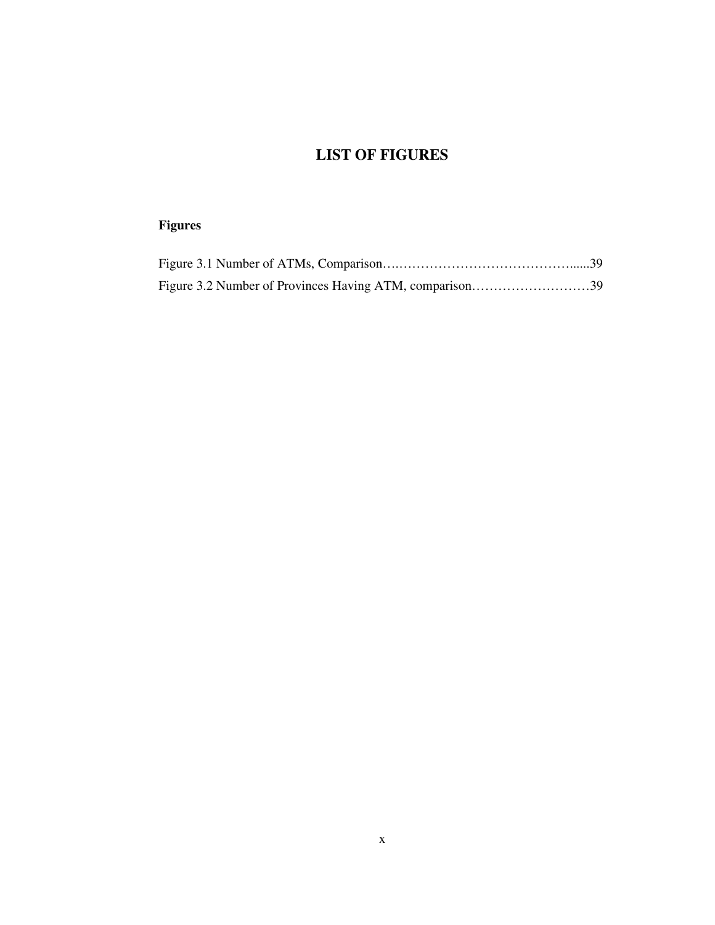## **LIST OF FIGURES**

## **Figures**

| Figure 3.2 Number of Provinces Having ATM, comparison39 |  |
|---------------------------------------------------------|--|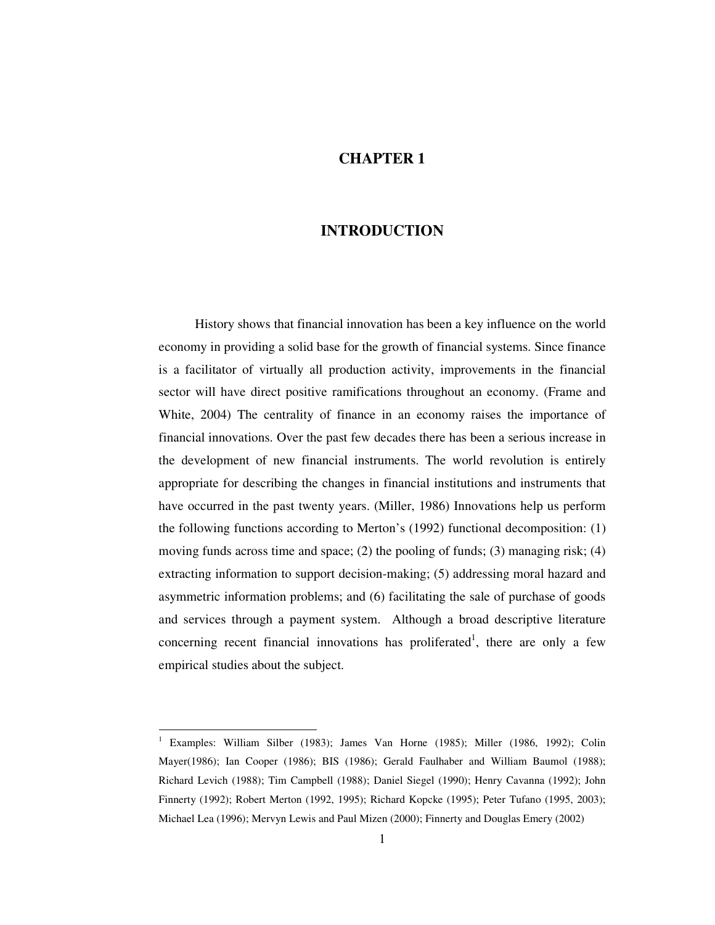### **CHAPTER 1**

### **INTRODUCTION**

History shows that financial innovation has been a key influence on the world economy in providing a solid base for the growth of financial systems. Since finance is a facilitator of virtually all production activity, improvements in the financial sector will have direct positive ramifications throughout an economy. (Frame and White, 2004) The centrality of finance in an economy raises the importance of financial innovations. Over the past few decades there has been a serious increase in the development of new financial instruments. The world revolution is entirely appropriate for describing the changes in financial institutions and instruments that have occurred in the past twenty years. (Miller, 1986) Innovations help us perform the following functions according to Merton's (1992) functional decomposition: (1) moving funds across time and space; (2) the pooling of funds; (3) managing risk; (4) extracting information to support decision-making; (5) addressing moral hazard and asymmetric information problems; and (6) facilitating the sale of purchase of goods and services through a payment system. Although a broad descriptive literature concerning recent financial innovations has proliferated<sup>1</sup>, there are only a few empirical studies about the subject.

<sup>&</sup>lt;sup>1</sup> Examples: William Silber (1983); James Van Horne (1985); Miller (1986, 1992); Colin Mayer(1986); Ian Cooper (1986); BIS (1986); Gerald Faulhaber and William Baumol (1988); Richard Levich (1988); Tim Campbell (1988); Daniel Siegel (1990); Henry Cavanna (1992); John Finnerty (1992); Robert Merton (1992, 1995); Richard Kopcke (1995); Peter Tufano (1995, 2003); Michael Lea (1996); Mervyn Lewis and Paul Mizen (2000); Finnerty and Douglas Emery (2002)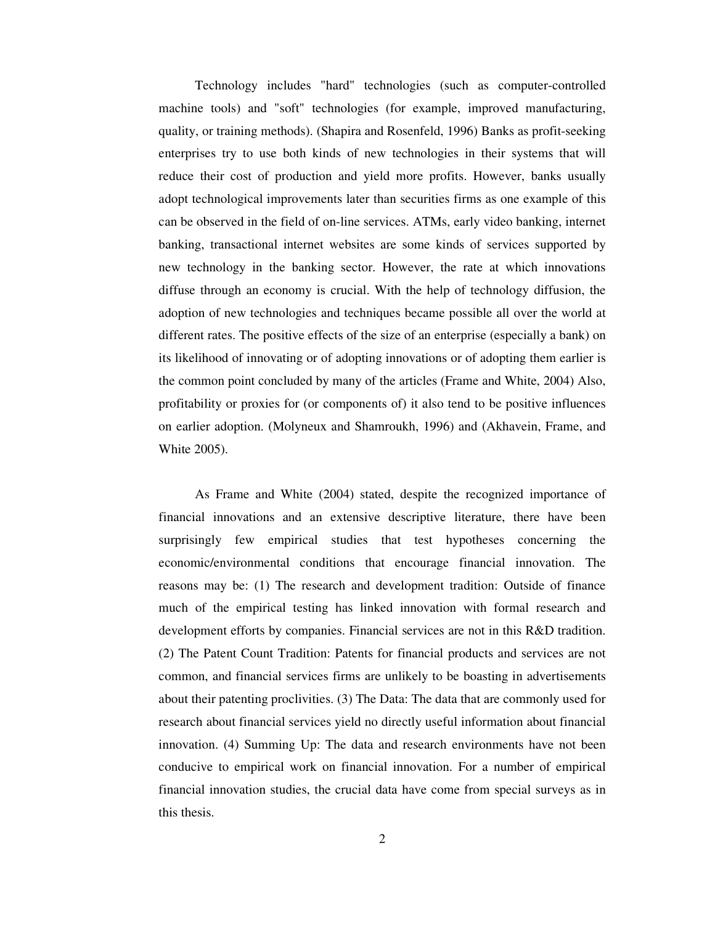Technology includes "hard" technologies (such as computer-controlled machine tools) and "soft" technologies (for example, improved manufacturing, quality, or training methods). (Shapira and Rosenfeld, 1996) Banks as profit-seeking enterprises try to use both kinds of new technologies in their systems that will reduce their cost of production and yield more profits. However, banks usually adopt technological improvements later than securities firms as one example of this can be observed in the field of on-line services. ATMs, early video banking, internet banking, transactional internet websites are some kinds of services supported by new technology in the banking sector. However, the rate at which innovations diffuse through an economy is crucial. With the help of technology diffusion, the adoption of new technologies and techniques became possible all over the world at different rates. The positive effects of the size of an enterprise (especially a bank) on its likelihood of innovating or of adopting innovations or of adopting them earlier is the common point concluded by many of the articles (Frame and White, 2004) Also, profitability or proxies for (or components of) it also tend to be positive influences on earlier adoption. (Molyneux and Shamroukh, 1996) and (Akhavein, Frame, and White 2005).

As Frame and White (2004) stated, despite the recognized importance of financial innovations and an extensive descriptive literature, there have been surprisingly few empirical studies that test hypotheses concerning the economic/environmental conditions that encourage financial innovation. The reasons may be: (1) The research and development tradition: Outside of finance much of the empirical testing has linked innovation with formal research and development efforts by companies. Financial services are not in this R&D tradition. (2) The Patent Count Tradition: Patents for financial products and services are not common, and financial services firms are unlikely to be boasting in advertisements about their patenting proclivities. (3) The Data: The data that are commonly used for research about financial services yield no directly useful information about financial innovation. (4) Summing Up: The data and research environments have not been conducive to empirical work on financial innovation. For a number of empirical financial innovation studies, the crucial data have come from special surveys as in this thesis.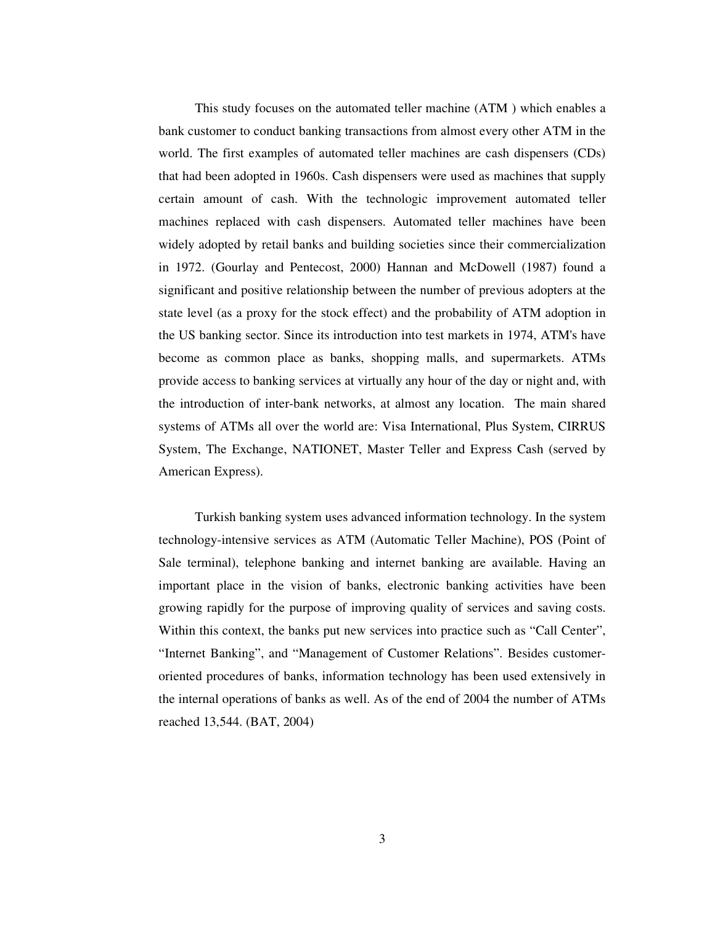This study focuses on the automated teller machine (ATM ) which enables a bank customer to conduct banking transactions from almost every other ATM in the world. The first examples of automated teller machines are cash dispensers (CDs) that had been adopted in 1960s. Cash dispensers were used as machines that supply certain amount of cash. With the technologic improvement automated teller machines replaced with cash dispensers. Automated teller machines have been widely adopted by retail banks and building societies since their commercialization in 1972. (Gourlay and Pentecost, 2000) Hannan and McDowell (1987) found a significant and positive relationship between the number of previous adopters at the state level (as a proxy for the stock effect) and the probability of ATM adoption in the US banking sector. Since its introduction into test markets in 1974, ATM's have become as common place as banks, shopping malls, and supermarkets. ATMs provide access to banking services at virtually any hour of the day or night and, with the introduction of inter-bank networks, at almost any location. The main shared systems of ATMs all over the world are: Visa International, Plus System, CIRRUS System, The Exchange, NATIONET, Master Teller and Express Cash (served by American Express).

Turkish banking system uses advanced information technology. In the system technology-intensive services as ATM (Automatic Teller Machine), POS (Point of Sale terminal), telephone banking and internet banking are available. Having an important place in the vision of banks, electronic banking activities have been growing rapidly for the purpose of improving quality of services and saving costs. Within this context, the banks put new services into practice such as "Call Center", "Internet Banking", and "Management of Customer Relations". Besides customeroriented procedures of banks, information technology has been used extensively in the internal operations of banks as well. As of the end of 2004 the number of ATMs reached 13,544. (BAT, 2004)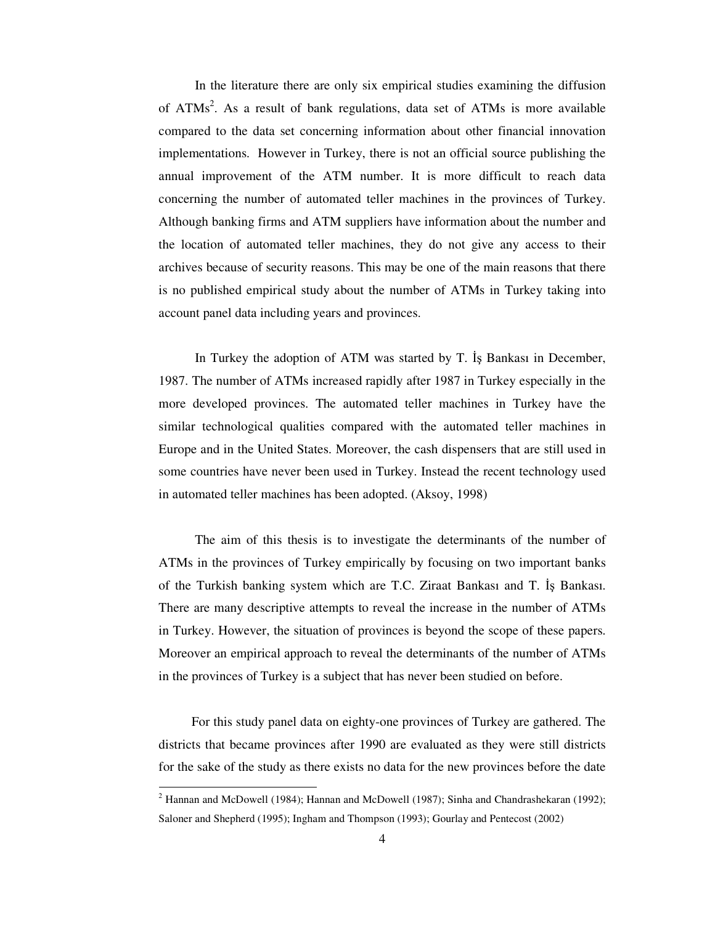In the literature there are only six empirical studies examining the diffusion of ATMs<sup>2</sup>. As a result of bank regulations, data set of ATMs is more available compared to the data set concerning information about other financial innovation implementations. However in Turkey, there is not an official source publishing the annual improvement of the ATM number. It is more difficult to reach data concerning the number of automated teller machines in the provinces of Turkey. Although banking firms and ATM suppliers have information about the number and the location of automated teller machines, they do not give any access to their archives because of security reasons. This may be one of the main reasons that there is no published empirical study about the number of ATMs in Turkey taking into account panel data including years and provinces.

In Turkey the adoption of ATM was started by T. Is Bankasi in December, 1987. The number of ATMs increased rapidly after 1987 in Turkey especially in the more developed provinces. The automated teller machines in Turkey have the similar technological qualities compared with the automated teller machines in Europe and in the United States. Moreover, the cash dispensers that are still used in some countries have never been used in Turkey. Instead the recent technology used in automated teller machines has been adopted. (Aksoy, 1998)

The aim of this thesis is to investigate the determinants of the number of ATMs in the provinces of Turkey empirically by focusing on two important banks of the Turkish banking system which are T.C. Ziraat Bankası and T. Is Bankası. There are many descriptive attempts to reveal the increase in the number of ATMs in Turkey. However, the situation of provinces is beyond the scope of these papers. Moreover an empirical approach to reveal the determinants of the number of ATMs in the provinces of Turkey is a subject that has never been studied on before.

For this study panel data on eighty-one provinces of Turkey are gathered. The districts that became provinces after 1990 are evaluated as they were still districts for the sake of the study as there exists no data for the new provinces before the date

<sup>&</sup>lt;sup>2</sup> Hannan and McDowell (1984); Hannan and McDowell (1987); Sinha and Chandrashekaran (1992); Saloner and Shepherd (1995); Ingham and Thompson (1993); Gourlay and Pentecost (2002)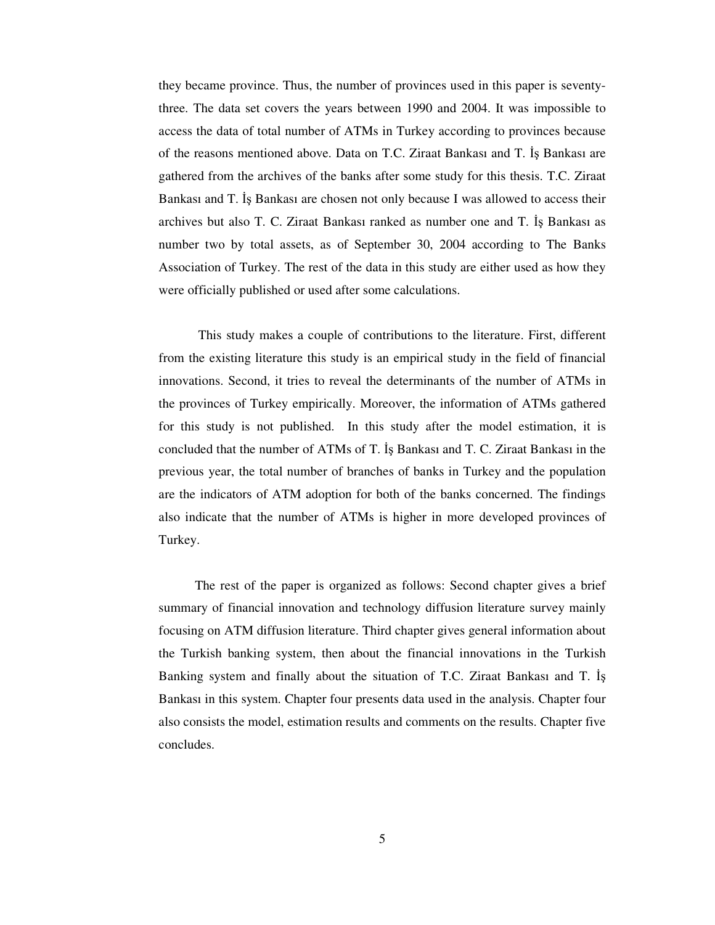they became province. Thus, the number of provinces used in this paper is seventythree. The data set covers the years between 1990 and 2004. It was impossible to access the data of total number of ATMs in Turkey according to provinces because of the reasons mentioned above. Data on T.C. Ziraat Bankası and T. İş Bankası are gathered from the archives of the banks after some study for this thesis. T.C. Ziraat Bankası and T. Is Bankası are chosen not only because I was allowed to access their archives but also T. C. Ziraat Bankası ranked as number one and T. Iş Bankası as number two by total assets, as of September 30, 2004 according to The Banks Association of Turkey. The rest of the data in this study are either used as how they were officially published or used after some calculations.

This study makes a couple of contributions to the literature. First, different from the existing literature this study is an empirical study in the field of financial innovations. Second, it tries to reveal the determinants of the number of ATMs in the provinces of Turkey empirically. Moreover, the information of ATMs gathered for this study is not published. In this study after the model estimation, it is concluded that the number of ATMs of T. Is Bankası and T. C. Ziraat Bankası in the previous year, the total number of branches of banks in Turkey and the population are the indicators of ATM adoption for both of the banks concerned. The findings also indicate that the number of ATMs is higher in more developed provinces of Turkey.

The rest of the paper is organized as follows: Second chapter gives a brief summary of financial innovation and technology diffusion literature survey mainly focusing on ATM diffusion literature. Third chapter gives general information about the Turkish banking system, then about the financial innovations in the Turkish Banking system and finally about the situation of T.C. Ziraat Bankası and T. Bankası in this system. Chapter four presents data used in the analysis. Chapter four also consists the model, estimation results and comments on the results. Chapter five concludes.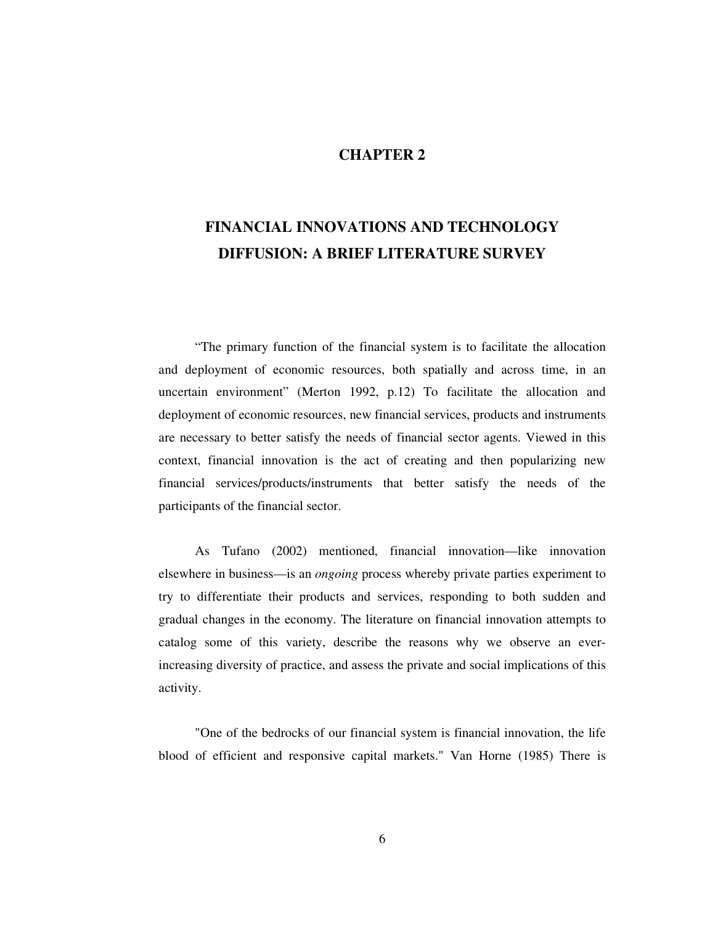### **CHAPTER 2**

# **FINANCIAL INNOVATIONS AND TECHNOLOGY DIFFUSION: A BRIEF LITERATURE SURVEY**

"The primary function of the financial system is to facilitate the allocation and deployment of economic resources, both spatially and across time, in an uncertain environment" (Merton 1992, p.12) To facilitate the allocation and deployment of economic resources, new financial services, products and instruments are necessary to better satisfy the needs of financial sector agents. Viewed in this context, financial innovation is the act of creating and then popularizing new financial services/products/instruments that better satisfy the needs of the participants of the financial sector.

As Tufano (2002) mentioned, financial innovation—like innovation elsewhere in business—is an *ongoing* process whereby private parties experiment to try to differentiate their products and services, responding to both sudden and gradual changes in the economy. The literature on financial innovation attempts to catalog some of this variety, describe the reasons why we observe an everincreasing diversity of practice, and assess the private and social implications of this activity.

"One of the bedrocks of our financial system is financial innovation, the life blood of efficient and responsive capital markets." Van Horne (1985) There is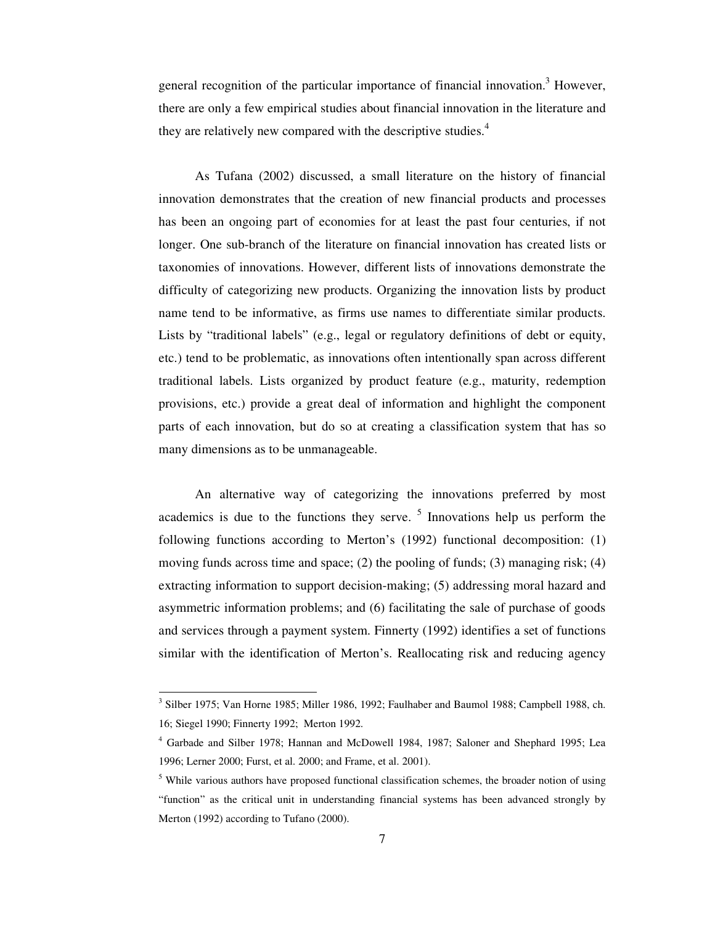general recognition of the particular importance of financial innovation.<sup>3</sup> However, there are only a few empirical studies about financial innovation in the literature and they are relatively new compared with the descriptive studies.<sup>4</sup>

As Tufana (2002) discussed, a small literature on the history of financial innovation demonstrates that the creation of new financial products and processes has been an ongoing part of economies for at least the past four centuries, if not longer. One sub-branch of the literature on financial innovation has created lists or taxonomies of innovations. However, different lists of innovations demonstrate the difficulty of categorizing new products. Organizing the innovation lists by product name tend to be informative, as firms use names to differentiate similar products. Lists by "traditional labels" (e.g., legal or regulatory definitions of debt or equity, etc.) tend to be problematic, as innovations often intentionally span across different traditional labels. Lists organized by product feature (e.g., maturity, redemption provisions, etc.) provide a great deal of information and highlight the component parts of each innovation, but do so at creating a classification system that has so many dimensions as to be unmanageable.

An alternative way of categorizing the innovations preferred by most academics is due to the functions they serve.  $5$  Innovations help us perform the following functions according to Merton's (1992) functional decomposition: (1) moving funds across time and space; (2) the pooling of funds; (3) managing risk; (4) extracting information to support decision-making; (5) addressing moral hazard and asymmetric information problems; and (6) facilitating the sale of purchase of goods and services through a payment system. Finnerty (1992) identifies a set of functions similar with the identification of Merton's. Reallocating risk and reducing agency

<sup>&</sup>lt;sup>3</sup> Silber 1975; Van Horne 1985; Miller 1986, 1992; Faulhaber and Baumol 1988; Campbell 1988, ch. 16; Siegel 1990; Finnerty 1992; Merton 1992.

<sup>4</sup> Garbade and Silber 1978; Hannan and McDowell 1984, 1987; Saloner and Shephard 1995; Lea 1996; Lerner 2000; Furst, et al. 2000; and Frame, et al. 2001).

<sup>&</sup>lt;sup>5</sup> While various authors have proposed functional classification schemes, the broader notion of using "function" as the critical unit in understanding financial systems has been advanced strongly by Merton (1992) according to Tufano (2000).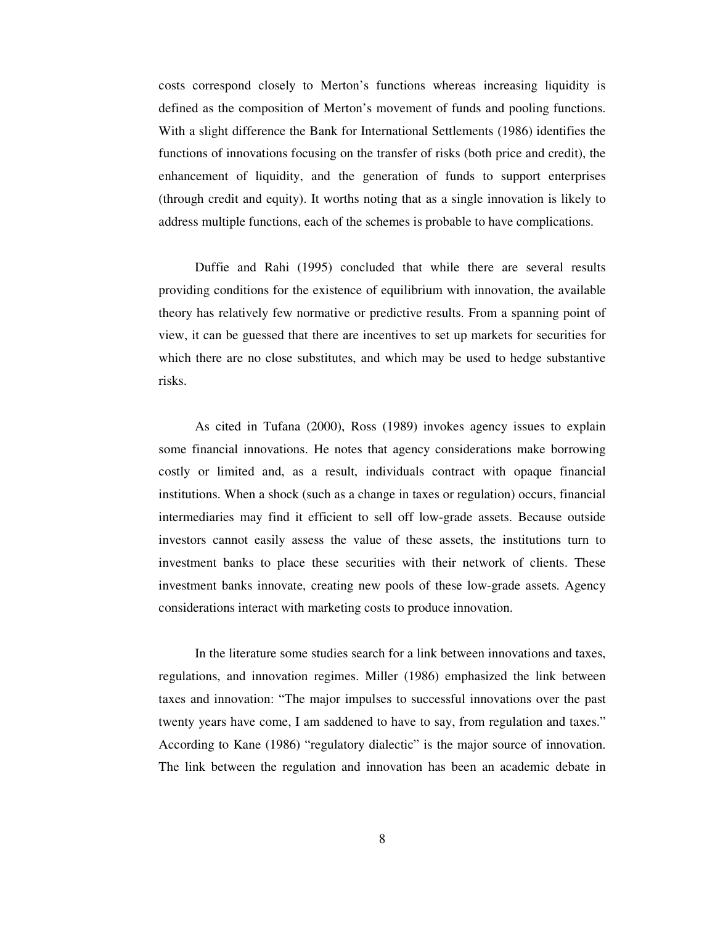costs correspond closely to Merton's functions whereas increasing liquidity is defined as the composition of Merton's movement of funds and pooling functions. With a slight difference the Bank for International Settlements (1986) identifies the functions of innovations focusing on the transfer of risks (both price and credit), the enhancement of liquidity, and the generation of funds to support enterprises (through credit and equity). It worths noting that as a single innovation is likely to address multiple functions, each of the schemes is probable to have complications.

Duffie and Rahi (1995) concluded that while there are several results providing conditions for the existence of equilibrium with innovation, the available theory has relatively few normative or predictive results. From a spanning point of view, it can be guessed that there are incentives to set up markets for securities for which there are no close substitutes, and which may be used to hedge substantive risks.

As cited in Tufana (2000), Ross (1989) invokes agency issues to explain some financial innovations. He notes that agency considerations make borrowing costly or limited and, as a result, individuals contract with opaque financial institutions. When a shock (such as a change in taxes or regulation) occurs, financial intermediaries may find it efficient to sell off low-grade assets. Because outside investors cannot easily assess the value of these assets, the institutions turn to investment banks to place these securities with their network of clients. These investment banks innovate, creating new pools of these low-grade assets. Agency considerations interact with marketing costs to produce innovation.

In the literature some studies search for a link between innovations and taxes, regulations, and innovation regimes. Miller (1986) emphasized the link between taxes and innovation: "The major impulses to successful innovations over the past twenty years have come, I am saddened to have to say, from regulation and taxes." According to Kane (1986) "regulatory dialectic" is the major source of innovation. The link between the regulation and innovation has been an academic debate in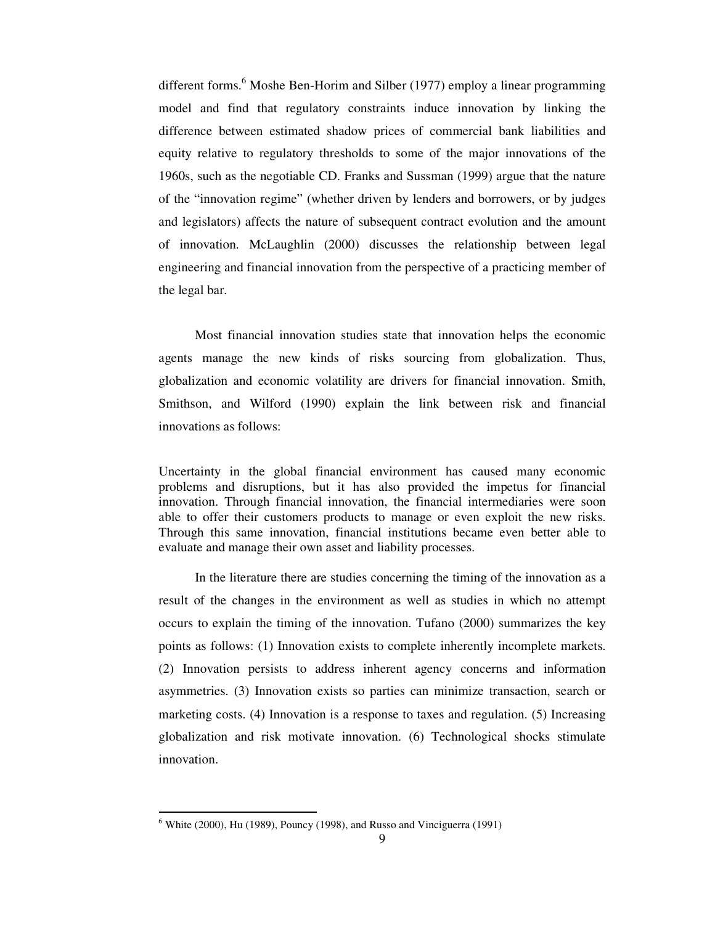different forms. <sup>6</sup> Moshe Ben-Horim and Silber (1977) employ a linear programming model and find that regulatory constraints induce innovation by linking the difference between estimated shadow prices of commercial bank liabilities and equity relative to regulatory thresholds to some of the major innovations of the 1960s, such as the negotiable CD. Franks and Sussman (1999) argue that the nature of the "innovation regime" (whether driven by lenders and borrowers, or by judges and legislators) affects the nature of subsequent contract evolution and the amount of innovation. McLaughlin (2000) discusses the relationship between legal engineering and financial innovation from the perspective of a practicing member of the legal bar.

Most financial innovation studies state that innovation helps the economic agents manage the new kinds of risks sourcing from globalization. Thus, globalization and economic volatility are drivers for financial innovation. Smith, Smithson, and Wilford (1990) explain the link between risk and financial innovations as follows:

Uncertainty in the global financial environment has caused many economic problems and disruptions, but it has also provided the impetus for financial innovation. Through financial innovation, the financial intermediaries were soon able to offer their customers products to manage or even exploit the new risks. Through this same innovation, financial institutions became even better able to evaluate and manage their own asset and liability processes.

In the literature there are studies concerning the timing of the innovation as a result of the changes in the environment as well as studies in which no attempt occurs to explain the timing of the innovation. Tufano (2000) summarizes the key points as follows: (1) Innovation exists to complete inherently incomplete markets. (2) Innovation persists to address inherent agency concerns and information asymmetries. (3) Innovation exists so parties can minimize transaction, search or marketing costs. (4) Innovation is a response to taxes and regulation. (5) Increasing globalization and risk motivate innovation. (6) Technological shocks stimulate innovation.

 $6$  White (2000), Hu (1989), Pouncy (1998), and Russo and Vinciguerra (1991)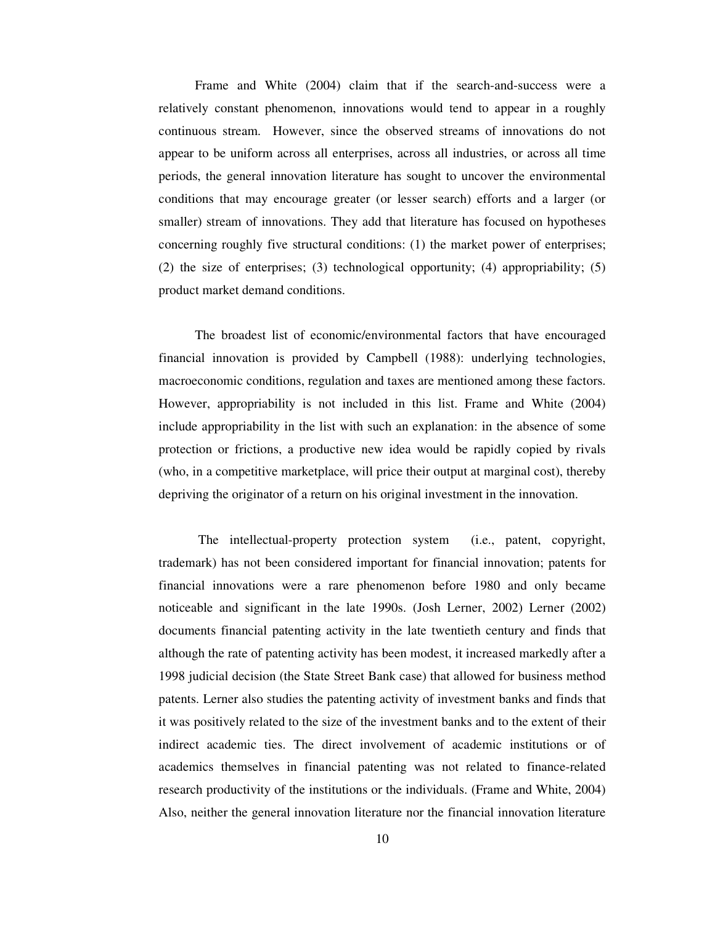Frame and White (2004) claim that if the search-and-success were a relatively constant phenomenon, innovations would tend to appear in a roughly continuous stream. However, since the observed streams of innovations do not appear to be uniform across all enterprises, across all industries, or across all time periods, the general innovation literature has sought to uncover the environmental conditions that may encourage greater (or lesser search) efforts and a larger (or smaller) stream of innovations. They add that literature has focused on hypotheses concerning roughly five structural conditions: (1) the market power of enterprises; (2) the size of enterprises; (3) technological opportunity; (4) appropriability; (5) product market demand conditions.

The broadest list of economic/environmental factors that have encouraged financial innovation is provided by Campbell (1988): underlying technologies, macroeconomic conditions, regulation and taxes are mentioned among these factors. However, appropriability is not included in this list. Frame and White (2004) include appropriability in the list with such an explanation: in the absence of some protection or frictions, a productive new idea would be rapidly copied by rivals (who, in a competitive marketplace, will price their output at marginal cost), thereby depriving the originator of a return on his original investment in the innovation.

The intellectual-property protection system (i.e., patent, copyright, trademark) has not been considered important for financial innovation; patents for financial innovations were a rare phenomenon before 1980 and only became noticeable and significant in the late 1990s. (Josh Lerner, 2002) Lerner (2002) documents financial patenting activity in the late twentieth century and finds that although the rate of patenting activity has been modest, it increased markedly after a 1998 judicial decision (the State Street Bank case) that allowed for business method patents. Lerner also studies the patenting activity of investment banks and finds that it was positively related to the size of the investment banks and to the extent of their indirect academic ties. The direct involvement of academic institutions or of academics themselves in financial patenting was not related to finance-related research productivity of the institutions or the individuals. (Frame and White, 2004) Also, neither the general innovation literature nor the financial innovation literature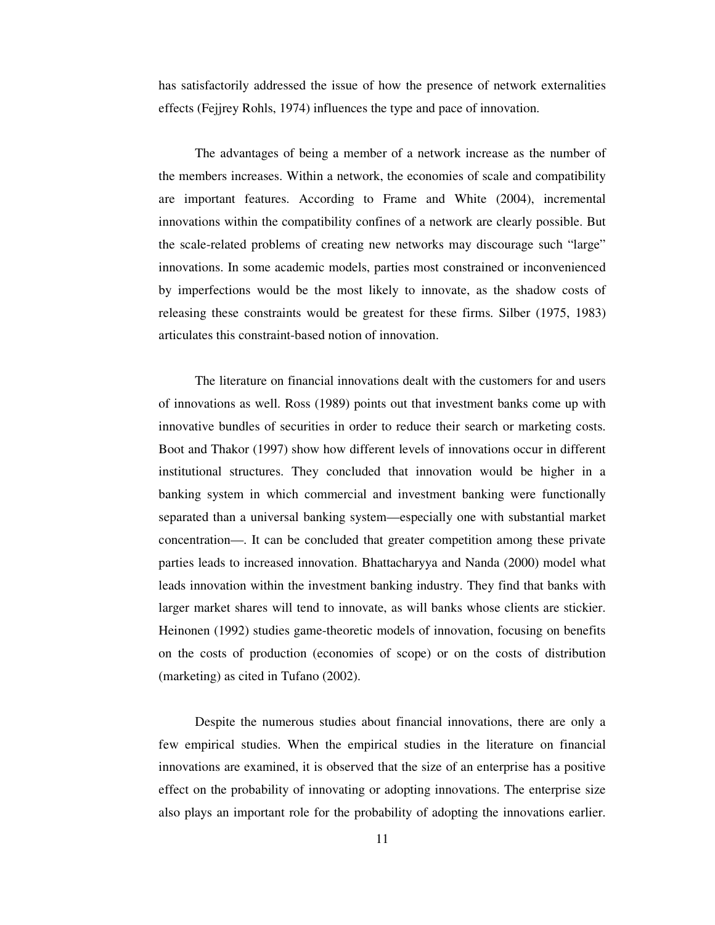has satisfactorily addressed the issue of how the presence of network externalities effects (Fejjrey Rohls, 1974) influences the type and pace of innovation.

The advantages of being a member of a network increase as the number of the members increases. Within a network, the economies of scale and compatibility are important features. According to Frame and White (2004), incremental innovations within the compatibility confines of a network are clearly possible. But the scale-related problems of creating new networks may discourage such "large" innovations. In some academic models, parties most constrained or inconvenienced by imperfections would be the most likely to innovate, as the shadow costs of releasing these constraints would be greatest for these firms. Silber (1975, 1983) articulates this constraint-based notion of innovation.

The literature on financial innovations dealt with the customers for and users of innovations as well. Ross (1989) points out that investment banks come up with innovative bundles of securities in order to reduce their search or marketing costs. Boot and Thakor (1997) show how different levels of innovations occur in different institutional structures. They concluded that innovation would be higher in a banking system in which commercial and investment banking were functionally separated than a universal banking system—especially one with substantial market concentration—. It can be concluded that greater competition among these private parties leads to increased innovation. Bhattacharyya and Nanda (2000) model what leads innovation within the investment banking industry. They find that banks with larger market shares will tend to innovate, as will banks whose clients are stickier. Heinonen (1992) studies game-theoretic models of innovation, focusing on benefits on the costs of production (economies of scope) or on the costs of distribution (marketing) as cited in Tufano (2002).

Despite the numerous studies about financial innovations, there are only a few empirical studies. When the empirical studies in the literature on financial innovations are examined, it is observed that the size of an enterprise has a positive effect on the probability of innovating or adopting innovations. The enterprise size also plays an important role for the probability of adopting the innovations earlier.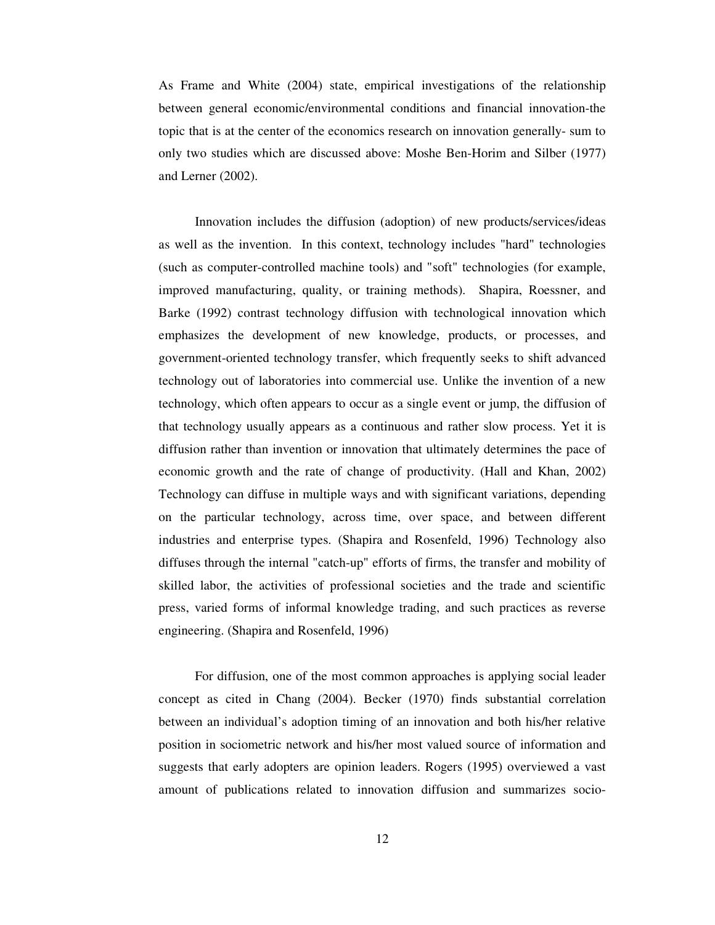As Frame and White (2004) state, empirical investigations of the relationship between general economic/environmental conditions and financial innovation-the topic that is at the center of the economics research on innovation generally- sum to only two studies which are discussed above: Moshe Ben-Horim and Silber (1977) and Lerner (2002).

Innovation includes the diffusion (adoption) of new products/services/ideas as well as the invention. In this context, technology includes "hard" technologies (such as computer-controlled machine tools) and "soft" technologies (for example, improved manufacturing, quality, or training methods). Shapira, Roessner, and Barke (1992) contrast technology diffusion with technological innovation which emphasizes the development of new knowledge, products, or processes, and government-oriented technology transfer, which frequently seeks to shift advanced technology out of laboratories into commercial use. Unlike the invention of a new technology, which often appears to occur as a single event or jump, the diffusion of that technology usually appears as a continuous and rather slow process. Yet it is diffusion rather than invention or innovation that ultimately determines the pace of economic growth and the rate of change of productivity. (Hall and Khan, 2002) Technology can diffuse in multiple ways and with significant variations, depending on the particular technology, across time, over space, and between different industries and enterprise types. (Shapira and Rosenfeld, 1996) Technology also diffuses through the internal "catch-up" efforts of firms, the transfer and mobility of skilled labor, the activities of professional societies and the trade and scientific press, varied forms of informal knowledge trading, and such practices as reverse engineering. (Shapira and Rosenfeld, 1996)

For diffusion, one of the most common approaches is applying social leader concept as cited in Chang (2004). Becker (1970) finds substantial correlation between an individual's adoption timing of an innovation and both his/her relative position in sociometric network and his/her most valued source of information and suggests that early adopters are opinion leaders. Rogers (1995) overviewed a vast amount of publications related to innovation diffusion and summarizes socio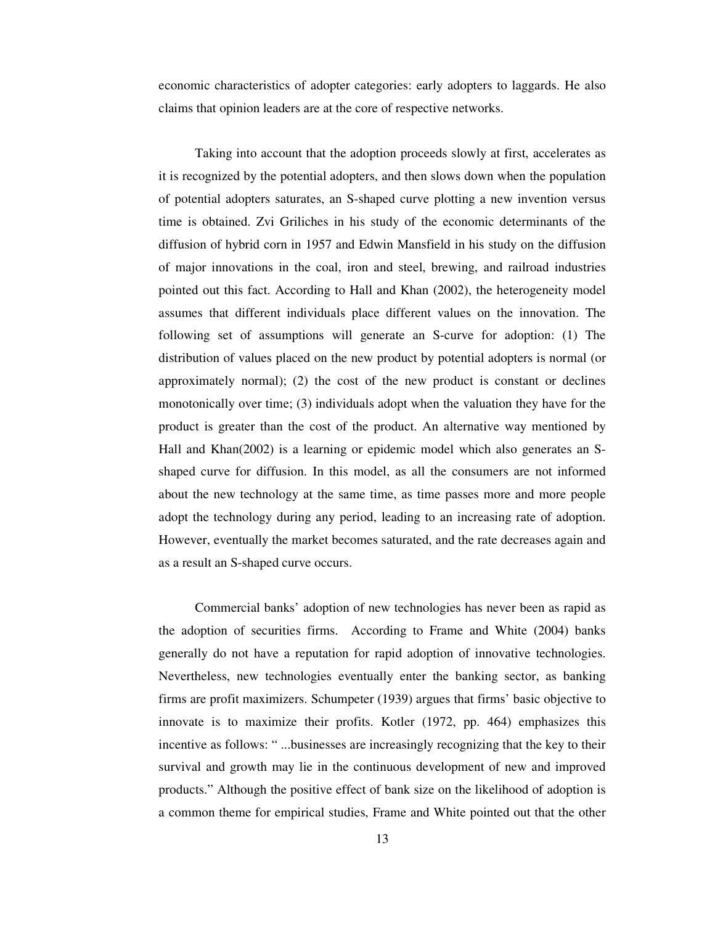economic characteristics of adopter categories: early adopters to laggards. He also claims that opinion leaders are at the core of respective networks.

Taking into account that the adoption proceeds slowly at first, accelerates as it is recognized by the potential adopters, and then slows down when the population of potential adopters saturates, an S-shaped curve plotting a new invention versus time is obtained. Zvi Griliches in his study of the economic determinants of the diffusion of hybrid corn in 1957 and Edwin Mansfield in his study on the diffusion of major innovations in the coal, iron and steel, brewing, and railroad industries pointed out this fact. According to Hall and Khan (2002), the heterogeneity model assumes that different individuals place different values on the innovation. The following set of assumptions will generate an S-curve for adoption: (1) The distribution of values placed on the new product by potential adopters is normal (or approximately normal); (2) the cost of the new product is constant or declines monotonically over time; (3) individuals adopt when the valuation they have for the product is greater than the cost of the product. An alternative way mentioned by Hall and Khan(2002) is a learning or epidemic model which also generates an Sshaped curve for diffusion. In this model, as all the consumers are not informed about the new technology at the same time, as time passes more and more people adopt the technology during any period, leading to an increasing rate of adoption. However, eventually the market becomes saturated, and the rate decreases again and as a result an S-shaped curve occurs.

Commercial banks' adoption of new technologies has never been as rapid as the adoption of securities firms. According to Frame and White (2004) banks generally do not have a reputation for rapid adoption of innovative technologies. Nevertheless, new technologies eventually enter the banking sector, as banking firms are profit maximizers. Schumpeter (1939) argues that firms' basic objective to innovate is to maximize their profits. Kotler (1972, pp. 464) emphasizes this incentive as follows: " ...businesses are increasingly recognizing that the key to their survival and growth may lie in the continuous development of new and improved products." Although the positive effect of bank size on the likelihood of adoption is a common theme for empirical studies, Frame and White pointed out that the other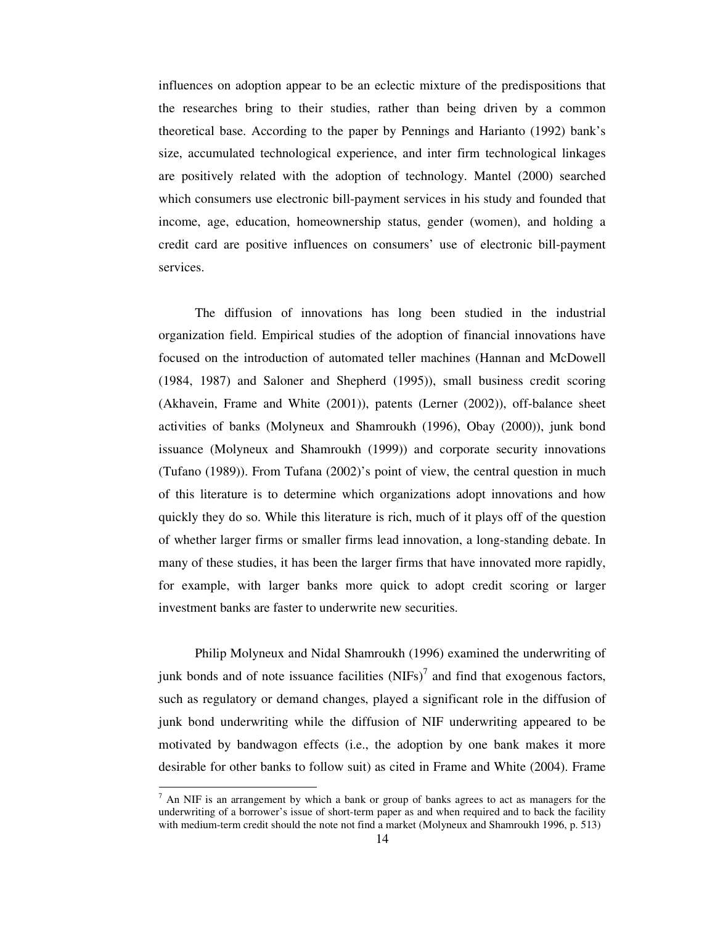influences on adoption appear to be an eclectic mixture of the predispositions that the researches bring to their studies, rather than being driven by a common theoretical base. According to the paper by Pennings and Harianto (1992) bank's size, accumulated technological experience, and inter firm technological linkages are positively related with the adoption of technology. Mantel (2000) searched which consumers use electronic bill-payment services in his study and founded that income, age, education, homeownership status, gender (women), and holding a credit card are positive influences on consumers' use of electronic bill-payment services.

The diffusion of innovations has long been studied in the industrial organization field. Empirical studies of the adoption of financial innovations have focused on the introduction of automated teller machines (Hannan and McDowell (1984, 1987) and Saloner and Shepherd (1995)), small business credit scoring (Akhavein, Frame and White (2001)), patents (Lerner (2002)), off-balance sheet activities of banks (Molyneux and Shamroukh (1996), Obay (2000)), junk bond issuance (Molyneux and Shamroukh (1999)) and corporate security innovations (Tufano (1989)). From Tufana (2002)'s point of view, the central question in much of this literature is to determine which organizations adopt innovations and how quickly they do so. While this literature is rich, much of it plays off of the question of whether larger firms or smaller firms lead innovation, a long-standing debate. In many of these studies, it has been the larger firms that have innovated more rapidly, for example, with larger banks more quick to adopt credit scoring or larger investment banks are faster to underwrite new securities.

Philip Molyneux and Nidal Shamroukh (1996) examined the underwriting of junk bonds and of note issuance facilities  $(NIFs)^{7}$  and find that exogenous factors, such as regulatory or demand changes, played a significant role in the diffusion of junk bond underwriting while the diffusion of NIF underwriting appeared to be motivated by bandwagon effects (i.e., the adoption by one bank makes it more desirable for other banks to follow suit) as cited in Frame and White (2004). Frame

 $<sup>7</sup>$  An NIF is an arrangement by which a bank or group of banks agrees to act as managers for the</sup> underwriting of a borrower's issue of short-term paper as and when required and to back the facility with medium-term credit should the note not find a market (Molyneux and Shamroukh 1996, p. 513)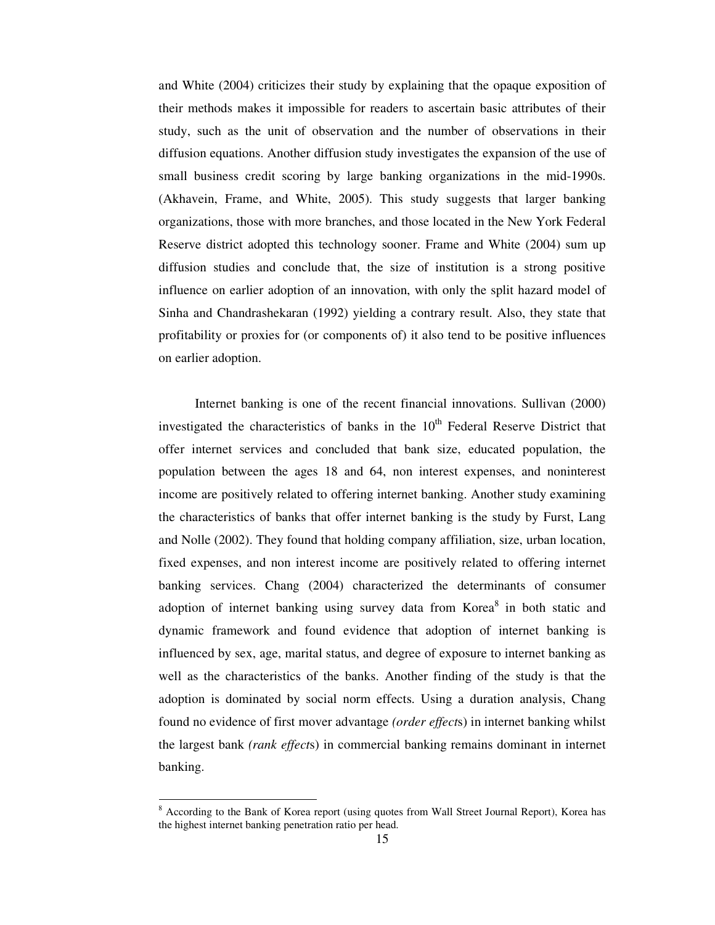and White (2004) criticizes their study by explaining that the opaque exposition of their methods makes it impossible for readers to ascertain basic attributes of their study, such as the unit of observation and the number of observations in their diffusion equations. Another diffusion study investigates the expansion of the use of small business credit scoring by large banking organizations in the mid-1990s. (Akhavein, Frame, and White, 2005). This study suggests that larger banking organizations, those with more branches, and those located in the New York Federal Reserve district adopted this technology sooner. Frame and White (2004) sum up diffusion studies and conclude that, the size of institution is a strong positive influence on earlier adoption of an innovation, with only the split hazard model of Sinha and Chandrashekaran (1992) yielding a contrary result. Also, they state that profitability or proxies for (or components of) it also tend to be positive influences on earlier adoption.

Internet banking is one of the recent financial innovations. Sullivan (2000) investigated the characteristics of banks in the  $10<sup>th</sup>$  Federal Reserve District that offer internet services and concluded that bank size, educated population, the population between the ages 18 and 64, non interest expenses, and noninterest income are positively related to offering internet banking. Another study examining the characteristics of banks that offer internet banking is the study by Furst, Lang and Nolle (2002). They found that holding company affiliation, size, urban location, fixed expenses, and non interest income are positively related to offering internet banking services. Chang (2004) characterized the determinants of consumer adoption of internet banking using survey data from Korea<sup>8</sup> in both static and dynamic framework and found evidence that adoption of internet banking is influenced by sex, age, marital status, and degree of exposure to internet banking as well as the characteristics of the banks. Another finding of the study is that the adoption is dominated by social norm effects. Using a duration analysis, Chang found no evidence of first mover advantage *(order effect*s) in internet banking whilst the largest bank *(rank effect*s) in commercial banking remains dominant in internet banking.

<sup>&</sup>lt;sup>8</sup> According to the Bank of Korea report (using quotes from Wall Street Journal Report), Korea has the highest internet banking penetration ratio per head.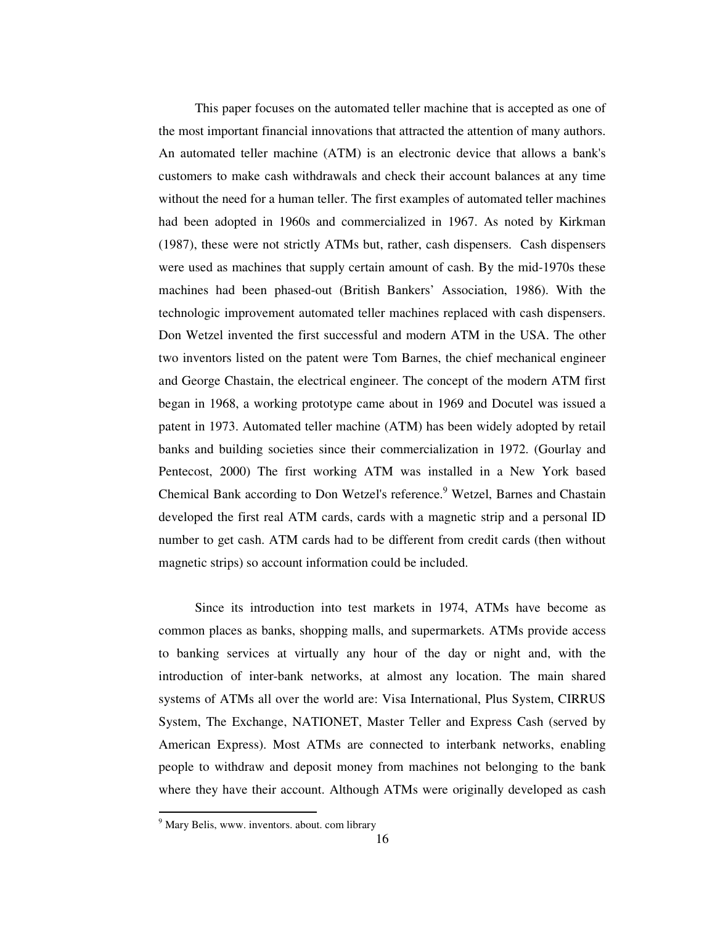This paper focuses on the automated teller machine that is accepted as one of the most important financial innovations that attracted the attention of many authors. An automated teller machine (ATM) is an electronic device that allows a bank's customers to make cash withdrawals and check their account balances at any time without the need for a human teller. The first examples of automated teller machines had been adopted in 1960s and commercialized in 1967. As noted by Kirkman (1987), these were not strictly ATMs but, rather, cash dispensers. Cash dispensers were used as machines that supply certain amount of cash. By the mid-1970s these machines had been phased-out (British Bankers' Association, 1986). With the technologic improvement automated teller machines replaced with cash dispensers. Don Wetzel invented the first successful and modern ATM in the USA. The other two inventors listed on the patent were Tom Barnes, the chief mechanical engineer and George Chastain, the electrical engineer. The concept of the modern ATM first began in 1968, a working prototype came about in 1969 and Docutel was issued a patent in 1973. Automated teller machine (ATM) has been widely adopted by retail banks and building societies since their commercialization in 1972. (Gourlay and Pentecost, 2000) The first working ATM was installed in a New York based Chemical Bank according to Don Wetzel's reference.<sup>9</sup> Wetzel, Barnes and Chastain developed the first real ATM cards, cards with a magnetic strip and a personal ID number to get cash. ATM cards had to be different from credit cards (then without magnetic strips) so account information could be included.

Since its introduction into test markets in 1974, ATMs have become as common places as banks, shopping malls, and supermarkets. ATMs provide access to banking services at virtually any hour of the day or night and, with the introduction of inter-bank networks, at almost any location. The main shared systems of ATMs all over the world are: Visa International, Plus System, CIRRUS System, The Exchange, NATIONET, Master Teller and Express Cash (served by American Express). Most ATMs are connected to interbank networks, enabling people to withdraw and deposit money from machines not belonging to the bank where they have their account. Although ATMs were originally developed as cash

<sup>&</sup>lt;sup>9</sup> Mary Belis, www. inventors. about. com library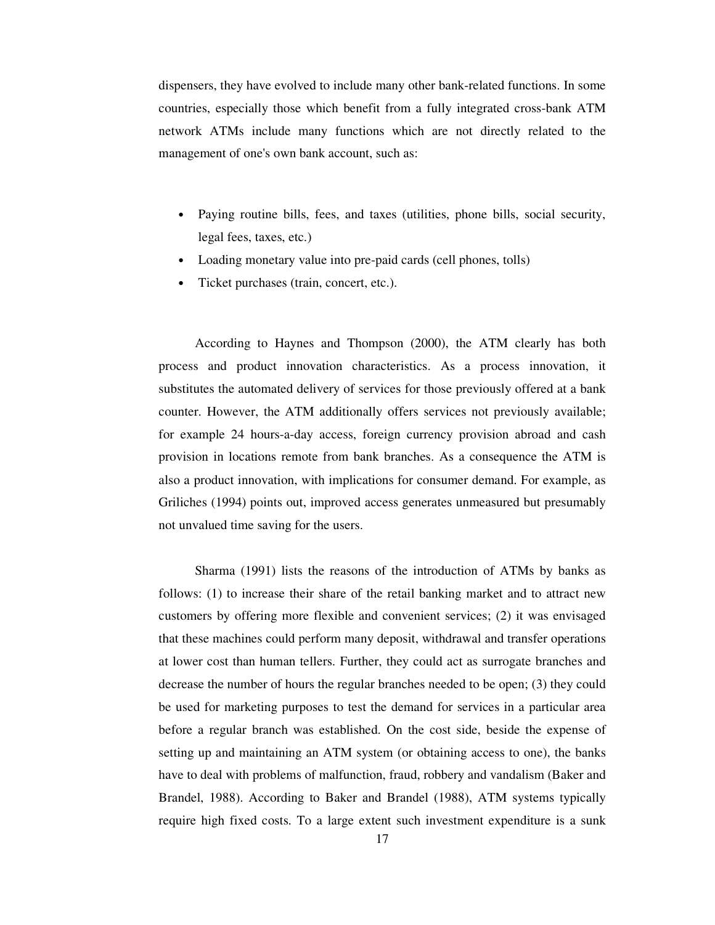dispensers, they have evolved to include many other bank-related functions. In some countries, especially those which benefit from a fully integrated cross-bank ATM network ATMs include many functions which are not directly related to the management of one's own bank account, such as:

- Paying routine bills, fees, and taxes (utilities, phone bills, social security, legal fees, taxes, etc.)
- Loading monetary value into pre-paid cards (cell phones, tolls)
- Ticket purchases (train, concert, etc.).

According to Haynes and Thompson (2000), the ATM clearly has both process and product innovation characteristics. As a process innovation, it substitutes the automated delivery of services for those previously offered at a bank counter. However, the ATM additionally offers services not previously available; for example 24 hours-a-day access, foreign currency provision abroad and cash provision in locations remote from bank branches. As a consequence the ATM is also a product innovation, with implications for consumer demand. For example, as Griliches (1994) points out, improved access generates unmeasured but presumably not unvalued time saving for the users.

Sharma (1991) lists the reasons of the introduction of ATMs by banks as follows: (1) to increase their share of the retail banking market and to attract new customers by offering more flexible and convenient services; (2) it was envisaged that these machines could perform many deposit, withdrawal and transfer operations at lower cost than human tellers. Further, they could act as surrogate branches and decrease the number of hours the regular branches needed to be open; (3) they could be used for marketing purposes to test the demand for services in a particular area before a regular branch was established. On the cost side, beside the expense of setting up and maintaining an ATM system (or obtaining access to one), the banks have to deal with problems of malfunction, fraud, robbery and vandalism (Baker and Brandel, 1988). According to Baker and Brandel (1988), ATM systems typically require high fixed costs. To a large extent such investment expenditure is a sunk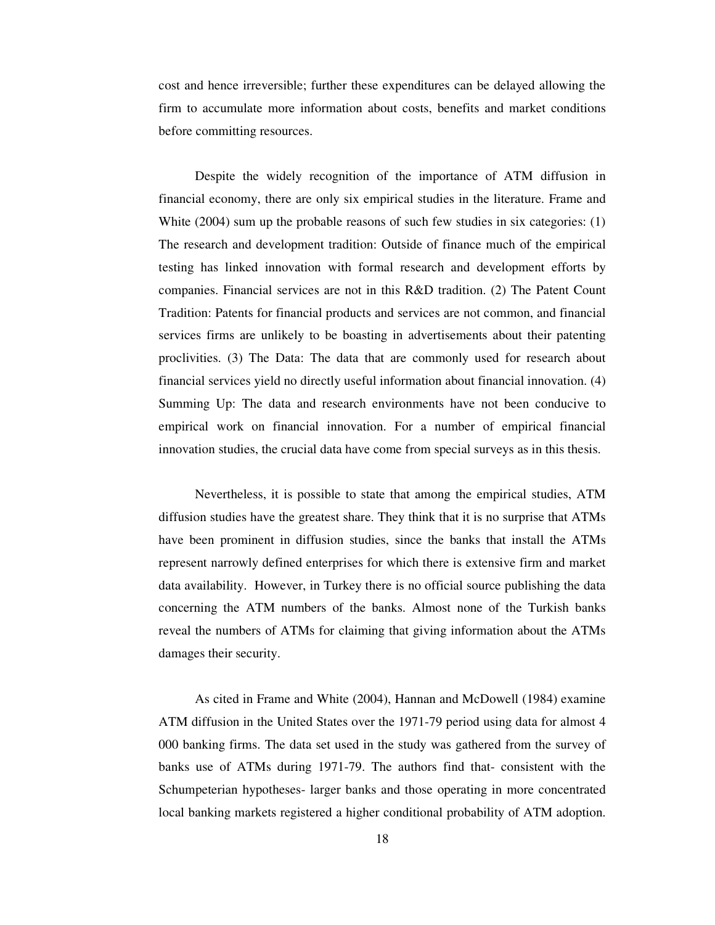cost and hence irreversible; further these expenditures can be delayed allowing the firm to accumulate more information about costs, benefits and market conditions before committing resources.

Despite the widely recognition of the importance of ATM diffusion in financial economy, there are only six empirical studies in the literature. Frame and White (2004) sum up the probable reasons of such few studies in six categories: (1) The research and development tradition: Outside of finance much of the empirical testing has linked innovation with formal research and development efforts by companies. Financial services are not in this R&D tradition. (2) The Patent Count Tradition: Patents for financial products and services are not common, and financial services firms are unlikely to be boasting in advertisements about their patenting proclivities. (3) The Data: The data that are commonly used for research about financial services yield no directly useful information about financial innovation. (4) Summing Up: The data and research environments have not been conducive to empirical work on financial innovation. For a number of empirical financial innovation studies, the crucial data have come from special surveys as in this thesis.

Nevertheless, it is possible to state that among the empirical studies, ATM diffusion studies have the greatest share. They think that it is no surprise that ATMs have been prominent in diffusion studies, since the banks that install the ATMs represent narrowly defined enterprises for which there is extensive firm and market data availability. However, in Turkey there is no official source publishing the data concerning the ATM numbers of the banks. Almost none of the Turkish banks reveal the numbers of ATMs for claiming that giving information about the ATMs damages their security.

As cited in Frame and White (2004), Hannan and McDowell (1984) examine ATM diffusion in the United States over the 1971-79 period using data for almost 4 000 banking firms. The data set used in the study was gathered from the survey of banks use of ATMs during 1971-79. The authors find that- consistent with the Schumpeterian hypotheses- larger banks and those operating in more concentrated local banking markets registered a higher conditional probability of ATM adoption.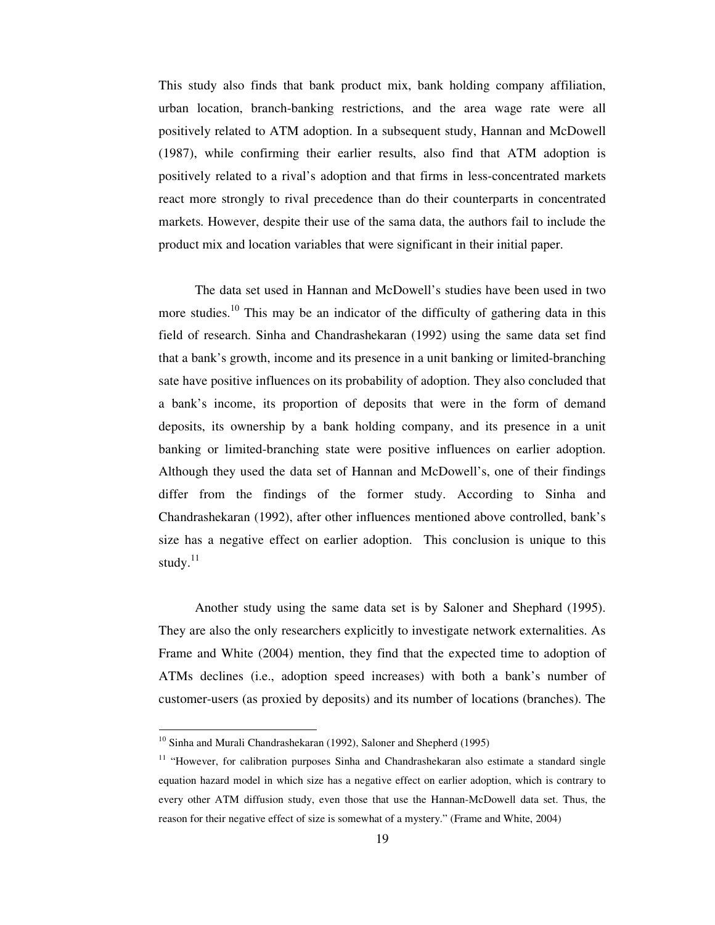This study also finds that bank product mix, bank holding company affiliation, urban location, branch-banking restrictions, and the area wage rate were all positively related to ATM adoption. In a subsequent study, Hannan and McDowell (1987), while confirming their earlier results, also find that ATM adoption is positively related to a rival's adoption and that firms in less-concentrated markets react more strongly to rival precedence than do their counterparts in concentrated markets. However, despite their use of the sama data, the authors fail to include the product mix and location variables that were significant in their initial paper.

The data set used in Hannan and McDowell's studies have been used in two more studies.<sup>10</sup> This may be an indicator of the difficulty of gathering data in this field of research. Sinha and Chandrashekaran (1992) using the same data set find that a bank's growth, income and its presence in a unit banking or limited-branching sate have positive influences on its probability of adoption. They also concluded that a bank's income, its proportion of deposits that were in the form of demand deposits, its ownership by a bank holding company, and its presence in a unit banking or limited-branching state were positive influences on earlier adoption. Although they used the data set of Hannan and McDowell's, one of their findings differ from the findings of the former study. According to Sinha and Chandrashekaran (1992), after other influences mentioned above controlled, bank's size has a negative effect on earlier adoption. This conclusion is unique to this study.<sup>11</sup>

Another study using the same data set is by Saloner and Shephard (1995). They are also the only researchers explicitly to investigate network externalities. As Frame and White (2004) mention, they find that the expected time to adoption of ATMs declines (i.e., adoption speed increases) with both a bank's number of customer-users (as proxied by deposits) and its number of locations (branches). The

<sup>&</sup>lt;sup>10</sup> Sinha and Murali Chandrashekaran (1992), Saloner and Shepherd (1995)

<sup>&</sup>lt;sup>11</sup> "However, for calibration purposes Sinha and Chandrashekaran also estimate a standard single equation hazard model in which size has a negative effect on earlier adoption, which is contrary to every other ATM diffusion study, even those that use the Hannan-McDowell data set. Thus, the reason for their negative effect of size is somewhat of a mystery." (Frame and White, 2004)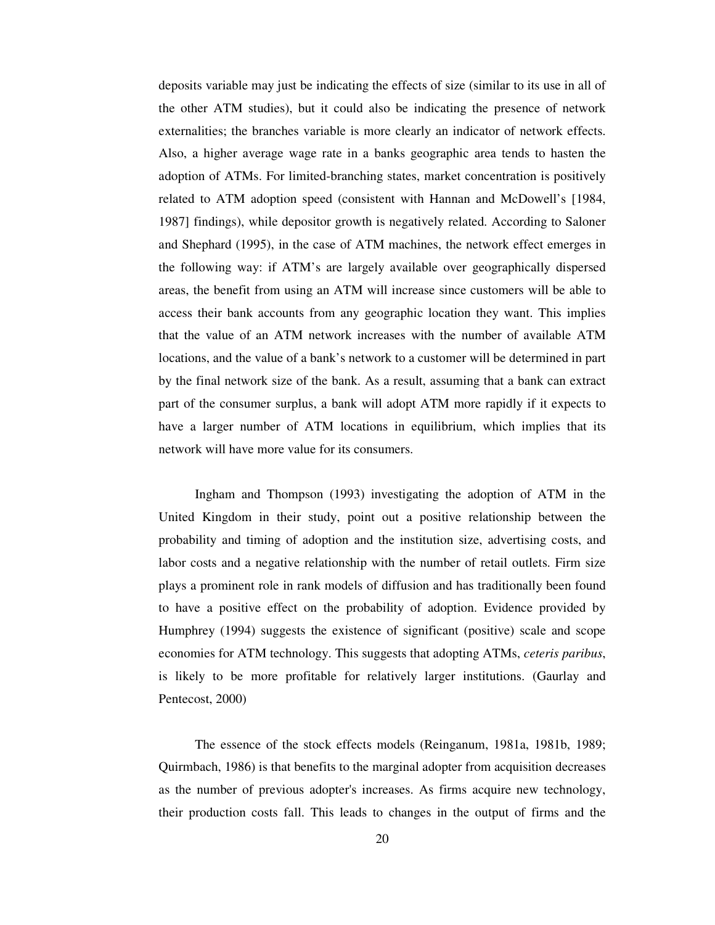deposits variable may just be indicating the effects of size (similar to its use in all of the other ATM studies), but it could also be indicating the presence of network externalities; the branches variable is more clearly an indicator of network effects. Also, a higher average wage rate in a banks geographic area tends to hasten the adoption of ATMs. For limited-branching states, market concentration is positively related to ATM adoption speed (consistent with Hannan and McDowell's [1984, 1987] findings), while depositor growth is negatively related. According to Saloner and Shephard (1995), in the case of ATM machines, the network effect emerges in the following way: if ATM's are largely available over geographically dispersed areas, the benefit from using an ATM will increase since customers will be able to access their bank accounts from any geographic location they want. This implies that the value of an ATM network increases with the number of available ATM locations, and the value of a bank's network to a customer will be determined in part by the final network size of the bank. As a result, assuming that a bank can extract part of the consumer surplus, a bank will adopt ATM more rapidly if it expects to have a larger number of ATM locations in equilibrium, which implies that its network will have more value for its consumers.

Ingham and Thompson (1993) investigating the adoption of ATM in the United Kingdom in their study, point out a positive relationship between the probability and timing of adoption and the institution size, advertising costs, and labor costs and a negative relationship with the number of retail outlets. Firm size plays a prominent role in rank models of diffusion and has traditionally been found to have a positive effect on the probability of adoption. Evidence provided by Humphrey (1994) suggests the existence of significant (positive) scale and scope economies for ATM technology. This suggests that adopting ATMs, *ceteris paribus*, is likely to be more profitable for relatively larger institutions. (Gaurlay and Pentecost, 2000)

The essence of the stock effects models (Reinganum, 1981a, 1981b, 1989; Quirmbach, 1986) is that benefits to the marginal adopter from acquisition decreases as the number of previous adopter's increases. As firms acquire new technology, their production costs fall. This leads to changes in the output of firms and the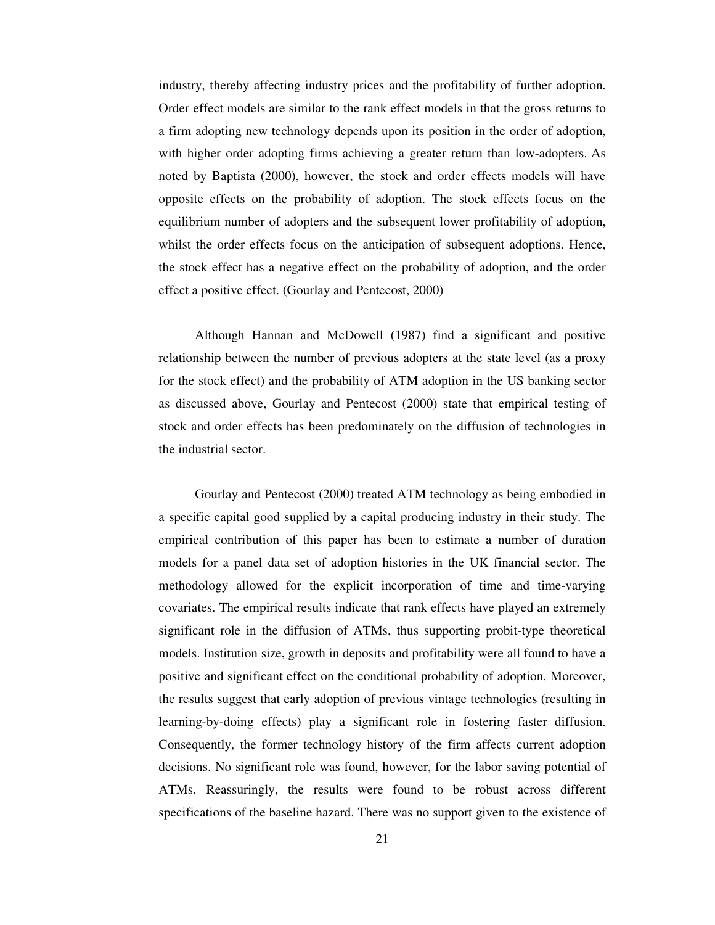industry, thereby affecting industry prices and the profitability of further adoption. Order effect models are similar to the rank effect models in that the gross returns to a firm adopting new technology depends upon its position in the order of adoption, with higher order adopting firms achieving a greater return than low-adopters. As noted by Baptista (2000), however, the stock and order effects models will have opposite effects on the probability of adoption. The stock effects focus on the equilibrium number of adopters and the subsequent lower profitability of adoption, whilst the order effects focus on the anticipation of subsequent adoptions. Hence, the stock effect has a negative effect on the probability of adoption, and the order effect a positive effect. (Gourlay and Pentecost, 2000)

Although Hannan and McDowell (1987) find a significant and positive relationship between the number of previous adopters at the state level (as a proxy for the stock effect) and the probability of ATM adoption in the US banking sector as discussed above, Gourlay and Pentecost (2000) state that empirical testing of stock and order effects has been predominately on the diffusion of technologies in the industrial sector.

Gourlay and Pentecost (2000) treated ATM technology as being embodied in a specific capital good supplied by a capital producing industry in their study. The empirical contribution of this paper has been to estimate a number of duration models for a panel data set of adoption histories in the UK financial sector. The methodology allowed for the explicit incorporation of time and time-varying covariates. The empirical results indicate that rank effects have played an extremely significant role in the diffusion of ATMs, thus supporting probit-type theoretical models. Institution size, growth in deposits and profitability were all found to have a positive and significant effect on the conditional probability of adoption. Moreover, the results suggest that early adoption of previous vintage technologies (resulting in learning-by-doing effects) play a significant role in fostering faster diffusion. Consequently, the former technology history of the firm affects current adoption decisions. No significant role was found, however, for the labor saving potential of ATMs. Reassuringly, the results were found to be robust across different specifications of the baseline hazard. There was no support given to the existence of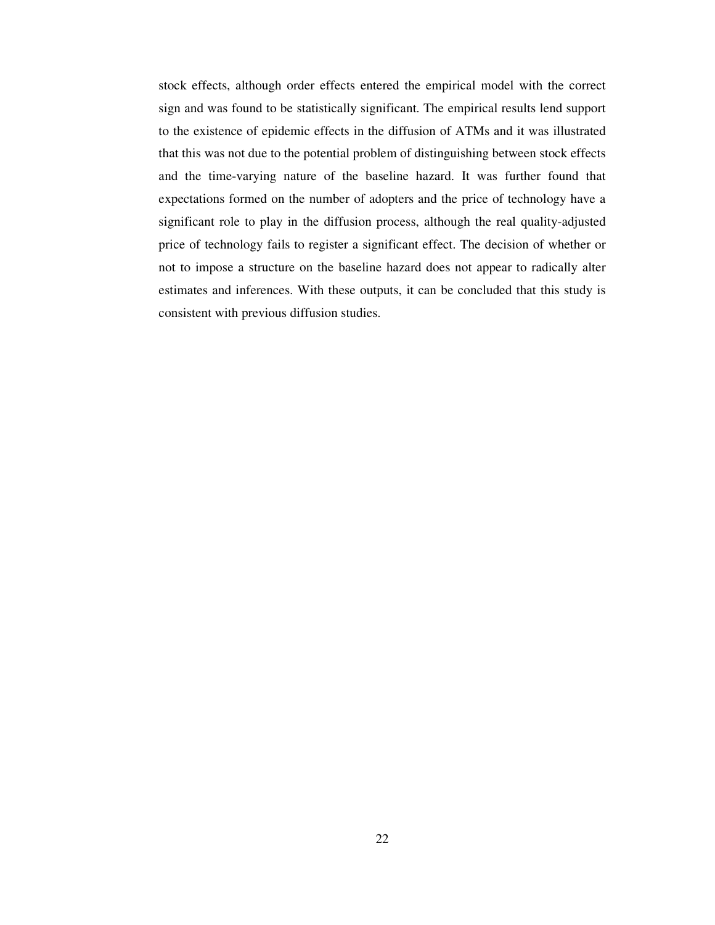stock effects, although order effects entered the empirical model with the correct sign and was found to be statistically significant. The empirical results lend support to the existence of epidemic effects in the diffusion of ATMs and it was illustrated that this was not due to the potential problem of distinguishing between stock effects and the time-varying nature of the baseline hazard. It was further found that expectations formed on the number of adopters and the price of technology have a significant role to play in the diffusion process, although the real quality-adjusted price of technology fails to register a significant effect. The decision of whether or not to impose a structure on the baseline hazard does not appear to radically alter estimates and inferences. With these outputs, it can be concluded that this study is consistent with previous diffusion studies.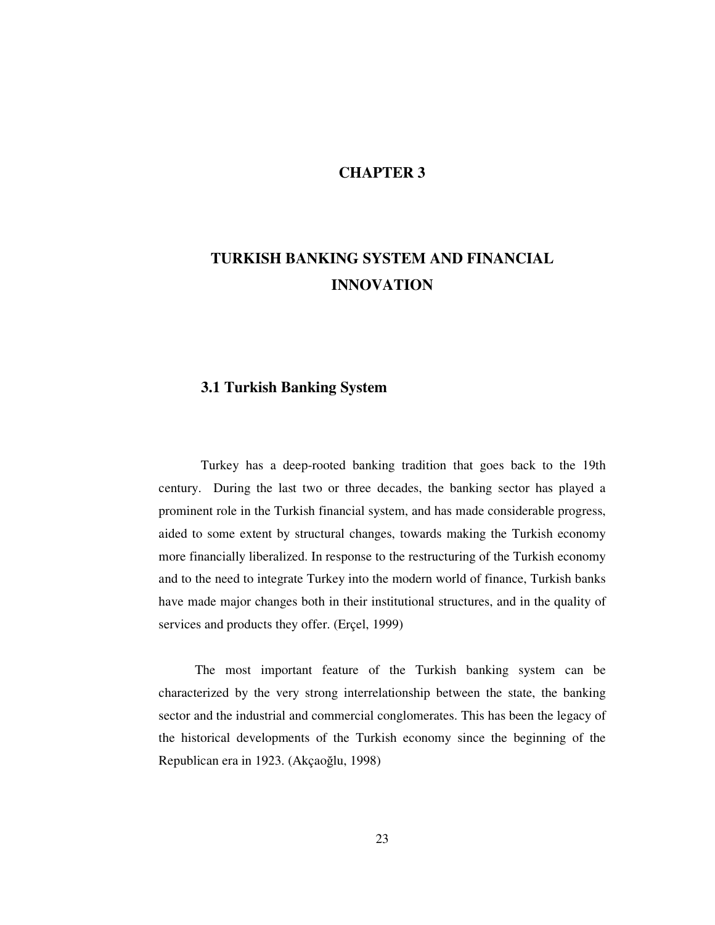### **CHAPTER 3**

# **TURKISH BANKING SYSTEM AND FINANCIAL INNOVATION**

### **3.1 Turkish Banking System**

Turkey has a deep-rooted banking tradition that goes back to the 19th century. During the last two or three decades, the banking sector has played a prominent role in the Turkish financial system, and has made considerable progress, aided to some extent by structural changes, towards making the Turkish economy more financially liberalized. In response to the restructuring of the Turkish economy and to the need to integrate Turkey into the modern world of finance, Turkish banks have made major changes both in their institutional structures, and in the quality of services and products they offer. (Erçel, 1999)

The most important feature of the Turkish banking system can be characterized by the very strong interrelationship between the state, the banking sector and the industrial and commercial conglomerates. This has been the legacy of the historical developments of the Turkish economy since the beginning of the Republican era in 1923. (Akçaoğlu, 1998)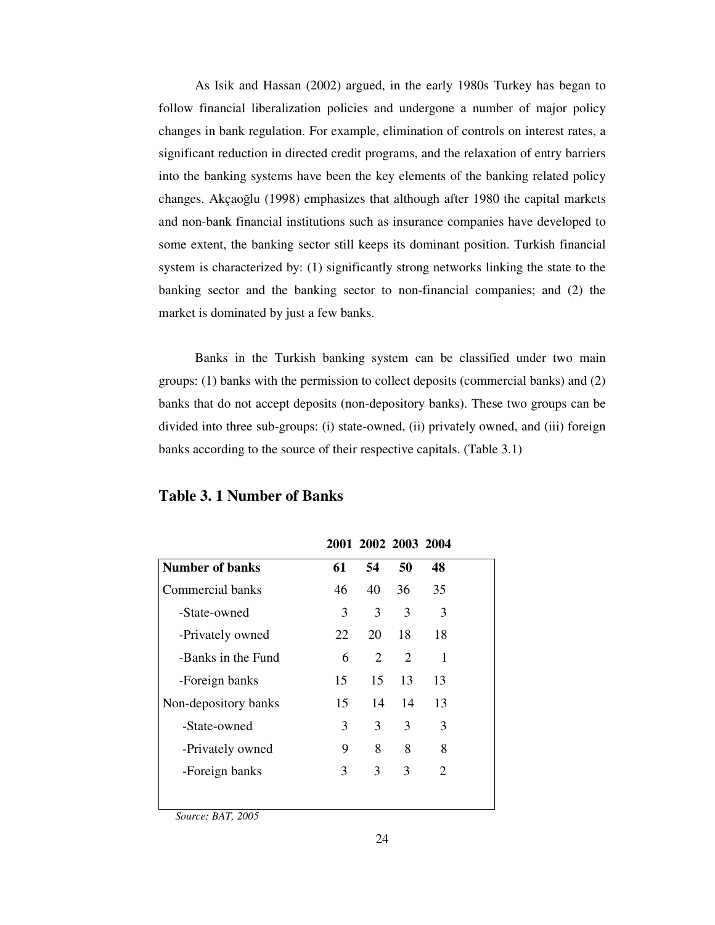As Isik and Hassan (2002) argued, in the early 1980s Turkey has began to follow financial liberalization policies and undergone a number of major policy changes in bank regulation. For example, elimination of controls on interest rates, a significant reduction in directed credit programs, and the relaxation of entry barriers into the banking systems have been the key elements of the banking related policy changes. Akçaoğlu (1998) emphasizes that although after 1980 the capital markets and non-bank financial institutions such as insurance companies have developed to some extent, the banking sector still keeps its dominant position. Turkish financial system is characterized by: (1) significantly strong networks linking the state to the banking sector and the banking sector to non-financial companies; and (2) the market is dominated by just a few banks.

Banks in the Turkish banking system can be classified under two main groups: (1) banks with the permission to collect deposits (commercial banks) and (2) banks that do not accept deposits (non-depository banks). These two groups can be divided into three sub-groups: (i) state-owned, (ii) privately owned, and (iii) foreign banks according to the source of their respective capitals. (Table 3.1)

**2001 2002 2003 2004**

|                        |    | ZUVI ZUVZ ZUVJ ZUV <del>I</del> |    |    |  |
|------------------------|----|---------------------------------|----|----|--|
| <b>Number of banks</b> | 61 | 54                              | 50 | 48 |  |
| Commercial banks       | 46 | 40                              | 36 | 35 |  |
| -State-owned           | 3  | 3                               | 3  | 3  |  |
| -Privately owned       | 22 | 20                              | 18 | 18 |  |
| -Banks in the Fund     | 6  | 2                               | 2  | 1  |  |
| -Foreign banks         | 15 | 15                              | 13 | 13 |  |
| Non-depository banks   | 15 | 14                              | 14 | 13 |  |
| -State-owned           | 3  | 3                               | 3  | 3  |  |
| -Privately owned       | 9  | 8                               | 8  | 8  |  |
| -Foreign banks         | 3  | 3                               | 3  | 2  |  |
|                        |    |                                 |    |    |  |
|                        |    |                                 |    |    |  |

#### **Table 3. 1 Number of Banks**

*Source: BAT, 2005*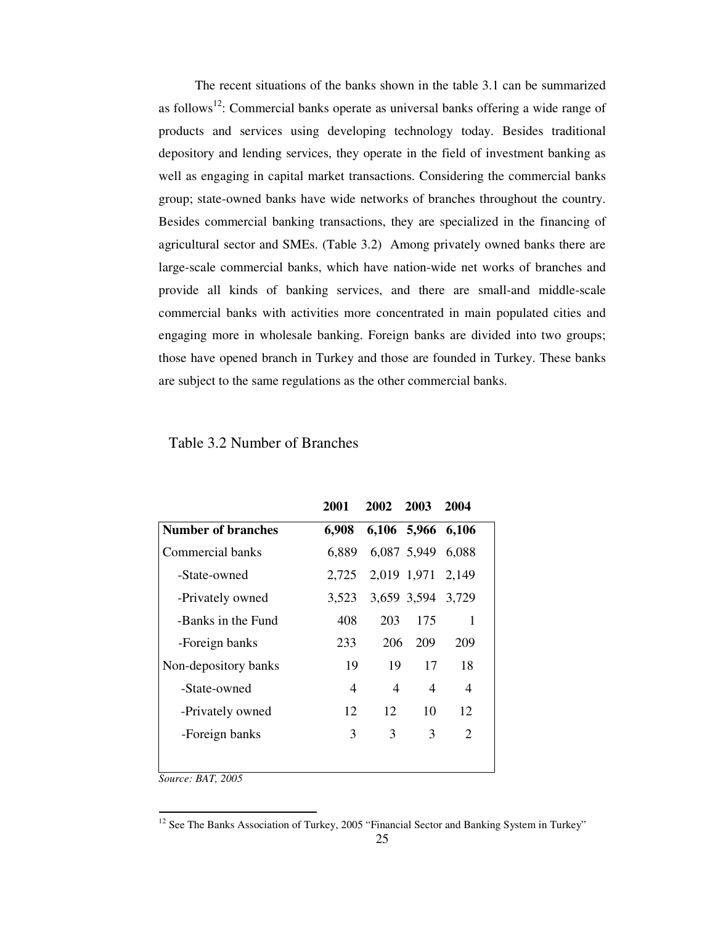The recent situations of the banks shown in the table 3.1 can be summarized as follows<sup>12</sup>: Commercial banks operate as universal banks offering a wide range of products and services using developing technology today. Besides traditional depository and lending services, they operate in the field of investment banking as well as engaging in capital market transactions. Considering the commercial banks group; state-owned banks have wide networks of branches throughout the country. Besides commercial banking transactions, they are specialized in the financing of agricultural sector and SMEs. (Table 3.2) Among privately owned banks there are large-scale commercial banks, which have nation-wide net works of branches and provide all kinds of banking services, and there are small-and middle-scale commercial banks with activities more concentrated in main populated cities and engaging more in wholesale banking. Foreign banks are divided into two groups; those have opened branch in Turkey and those are founded in Turkey. These banks are subject to the same regulations as the other commercial banks.

Table 3.2 Number of Branches

|                      | 2001  | 2002 2003         |                   | 2004 |
|----------------------|-------|-------------------|-------------------|------|
| Number of branches   | 6,908 | 6,106 5,966 6,106 |                   |      |
| Commercial banks     | 6,889 |                   | 6,087 5,949 6,088 |      |
| -State-owned         | 2,725 |                   | 2,019 1,971 2,149 |      |
| -Privately owned     | 3,523 |                   | 3,659 3,594 3,729 |      |
| -Banks in the Fund   | 408   | 203               | 175               | 1    |
| -Foreign banks       | 233   | 206               | 209               | 209  |
| Non-depository banks | 19    | 19                | 17                | 18   |
| -State-owned         | 4     | 4                 | 4                 | 4    |
| -Privately owned     | 12    | 12                | 10                | 12   |
| -Foreign banks       | 3     | 3                 | 3                 | 2    |
|                      |       |                   |                   |      |

*Source: BAT, 2005*

 $12$  See The Banks Association of Turkey, 2005 "Financial Sector and Banking System in Turkey"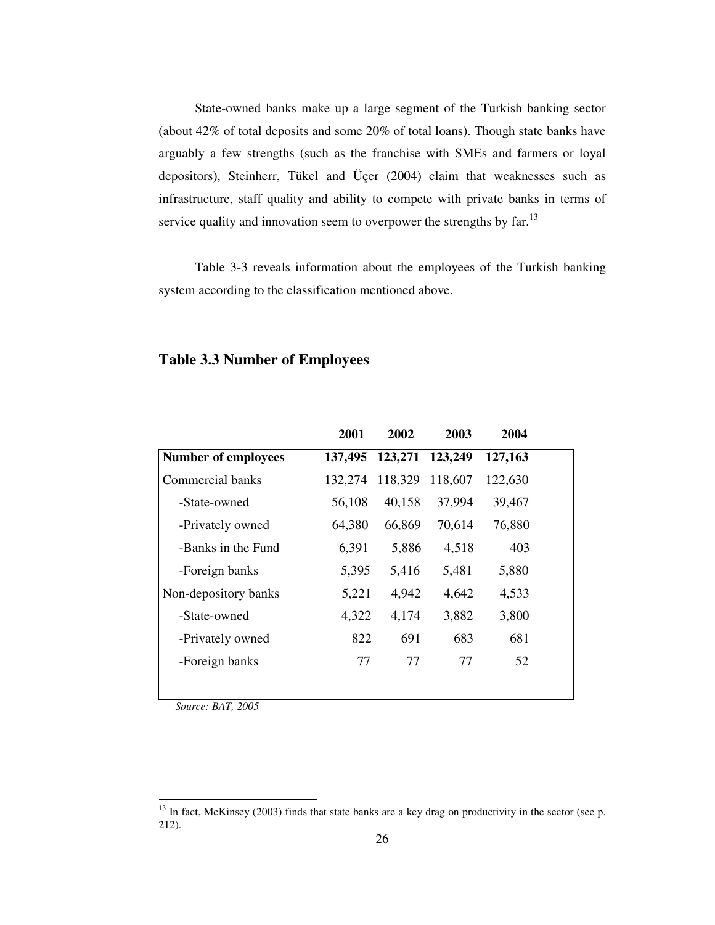State-owned banks make up a large segment of the Turkish banking sector (about 42% of total deposits and some 20% of total loans). Though state banks have arguably a few strengths (such as the franchise with SMEs and farmers or loyal depositors), Steinherr, Tükel and Üçer (2004) claim that weaknesses such as infrastructure, staff quality and ability to compete with private banks in terms of service quality and innovation seem to overpower the strengths by far.<sup>13</sup>

Table 3-3 reveals information about the employees of the Turkish banking system according to the classification mentioned above.

|                            | 2001    | 2002            | 2003    | 2004    |
|----------------------------|---------|-----------------|---------|---------|
| <b>Number of employees</b> | 137,495 | 123,271 123,249 |         | 127,163 |
| Commercial banks           | 132,274 | 118,329         | 118,607 | 122,630 |
| -State-owned               | 56,108  | 40,158          | 37,994  | 39,467  |
| -Privately owned           | 64,380  | 66,869          | 70,614  | 76,880  |
| -Banks in the Fund         | 6,391   | 5,886           | 4,518   | 403     |
| -Foreign banks             | 5,395   | 5,416           | 5,481   | 5,880   |
| Non-depository banks       | 5,221   | 4,942           | 4,642   | 4,533   |
| -State-owned               | 4,322   | 4,174           | 3,882   | 3,800   |
| -Privately owned           | 822     | 691             | 683     | 681     |
| -Foreign banks             | 77      | 77              | 77      | 52      |
|                            |         |                 |         |         |

### **Table 3.3 Number of Employees**

*Source: BAT, 2005*

<sup>&</sup>lt;sup>13</sup> In fact, McKinsey (2003) finds that state banks are a key drag on productivity in the sector (see p. 212).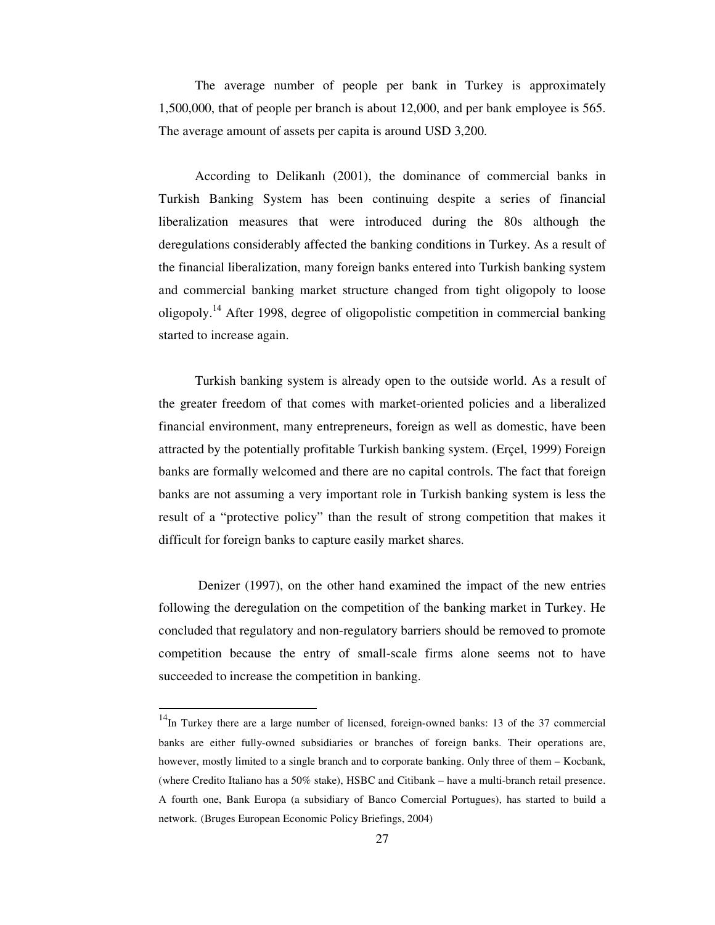The average number of people per bank in Turkey is approximately 1,500,000, that of people per branch is about 12,000, and per bank employee is 565. The average amount of assets per capita is around USD 3,200.

According to Delikanlı (2001), the dominance of commercial banks in Turkish Banking System has been continuing despite a series of financial liberalization measures that were introduced during the 80s although the deregulations considerably affected the banking conditions in Turkey. As a result of the financial liberalization, many foreign banks entered into Turkish banking system and commercial banking market structure changed from tight oligopoly to loose oligopoly.<sup>14</sup> After 1998, degree of oligopolistic competition in commercial banking started to increase again.

Turkish banking system is already open to the outside world. As a result of the greater freedom of that comes with market-oriented policies and a liberalized financial environment, many entrepreneurs, foreign as well as domestic, have been attracted by the potentially profitable Turkish banking system. (Erçel, 1999) Foreign banks are formally welcomed and there are no capital controls. The fact that foreign banks are not assuming a very important role in Turkish banking system is less the result of a "protective policy" than the result of strong competition that makes it difficult for foreign banks to capture easily market shares.

Denizer (1997), on the other hand examined the impact of the new entries following the deregulation on the competition of the banking market in Turkey. He concluded that regulatory and non-regulatory barriers should be removed to promote competition because the entry of small-scale firms alone seems not to have succeeded to increase the competition in banking.

<sup>&</sup>lt;sup>14</sup>In Turkey there are a large number of licensed, foreign-owned banks: 13 of the 37 commercial banks are either fully-owned subsidiaries or branches of foreign banks. Their operations are, however, mostly limited to a single branch and to corporate banking. Only three of them – Kocbank, (where Credito Italiano has a 50% stake), HSBC and Citibank – have a multi-branch retail presence. A fourth one, Bank Europa (a subsidiary of Banco Comercial Portugues), has started to build a network. (Bruges European Economic Policy Briefings, 2004)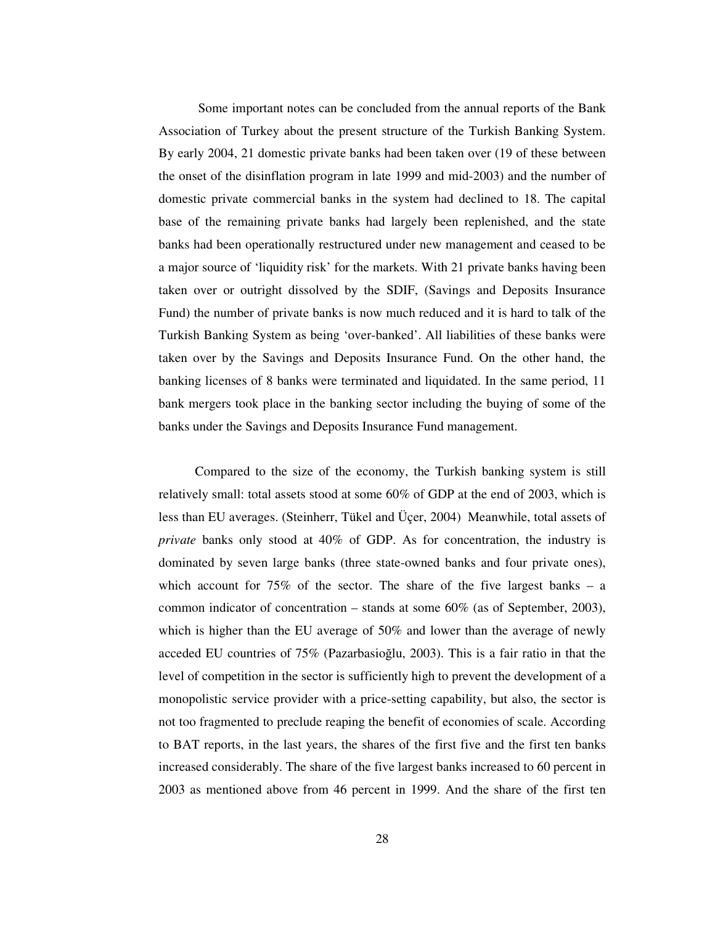Some important notes can be concluded from the annual reports of the Bank Association of Turkey about the present structure of the Turkish Banking System. By early 2004, 21 domestic private banks had been taken over (19 of these between the onset of the disinflation program in late 1999 and mid-2003) and the number of domestic private commercial banks in the system had declined to 18. The capital base of the remaining private banks had largely been replenished, and the state banks had been operationally restructured under new management and ceased to be a major source of 'liquidity risk' for the markets. With 21 private banks having been taken over or outright dissolved by the SDIF, (Savings and Deposits Insurance Fund) the number of private banks is now much reduced and it is hard to talk of the Turkish Banking System as being 'over-banked'. All liabilities of these banks were taken over by the Savings and Deposits Insurance Fund. On the other hand, the banking licenses of 8 banks were terminated and liquidated. In the same period, 11 bank mergers took place in the banking sector including the buying of some of the banks under the Savings and Deposits Insurance Fund management.

Compared to the size of the economy, the Turkish banking system is still relatively small: total assets stood at some 60% of GDP at the end of 2003, which is less than EU averages. (Steinherr, Tükel and Üçer, 2004) Meanwhile, total assets of *private* banks only stood at 40% of GDP. As for concentration, the industry is dominated by seven large banks (three state-owned banks and four private ones), which account for  $75\%$  of the sector. The share of the five largest banks – a common indicator of concentration – stands at some 60% (as of September, 2003), which is higher than the EU average of 50% and lower than the average of newly acceded EU countries of  $75\%$  (Pazarbasioglu, 2003). This is a fair ratio in that the level of competition in the sector is sufficiently high to prevent the development of a monopolistic service provider with a price-setting capability, but also, the sector is not too fragmented to preclude reaping the benefit of economies of scale. According to BAT reports, in the last years, the shares of the first five and the first ten banks increased considerably. The share of the five largest banks increased to 60 percent in 2003 as mentioned above from 46 percent in 1999. And the share of the first ten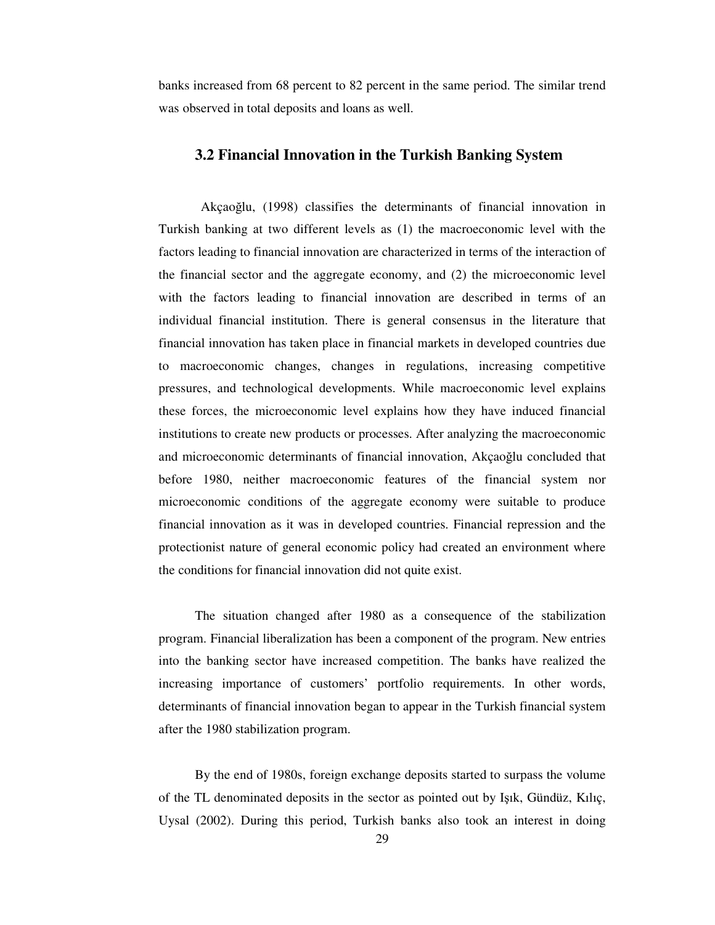banks increased from 68 percent to 82 percent in the same period. The similar trend was observed in total deposits and loans as well.

#### **3.2 Financial Innovation in the Turkish Banking System**

Akçaoğlu, (1998) classifies the determinants of financial innovation in Turkish banking at two different levels as (1) the macroeconomic level with the factors leading to financial innovation are characterized in terms of the interaction of the financial sector and the aggregate economy, and (2) the microeconomic level with the factors leading to financial innovation are described in terms of an individual financial institution. There is general consensus in the literature that financial innovation has taken place in financial markets in developed countries due to macroeconomic changes, changes in regulations, increasing competitive pressures, and technological developments. While macroeconomic level explains these forces, the microeconomic level explains how they have induced financial institutions to create new products or processes. After analyzing the macroeconomic and microeconomic determinants of financial innovation, Akçaoğlu concluded that before 1980, neither macroeconomic features of the financial system nor microeconomic conditions of the aggregate economy were suitable to produce financial innovation as it was in developed countries. Financial repression and the protectionist nature of general economic policy had created an environment where the conditions for financial innovation did not quite exist.

The situation changed after 1980 as a consequence of the stabilization program. Financial liberalization has been a component of the program. New entries into the banking sector have increased competition. The banks have realized the increasing importance of customers' portfolio requirements. In other words, determinants of financial innovation began to appear in the Turkish financial system after the 1980 stabilization program.

By the end of 1980s, foreign exchange deposits started to surpass the volume of the TL denominated deposits in the sector as pointed out by Iık, Gündüz, Kılıç, Uysal (2002). During this period, Turkish banks also took an interest in doing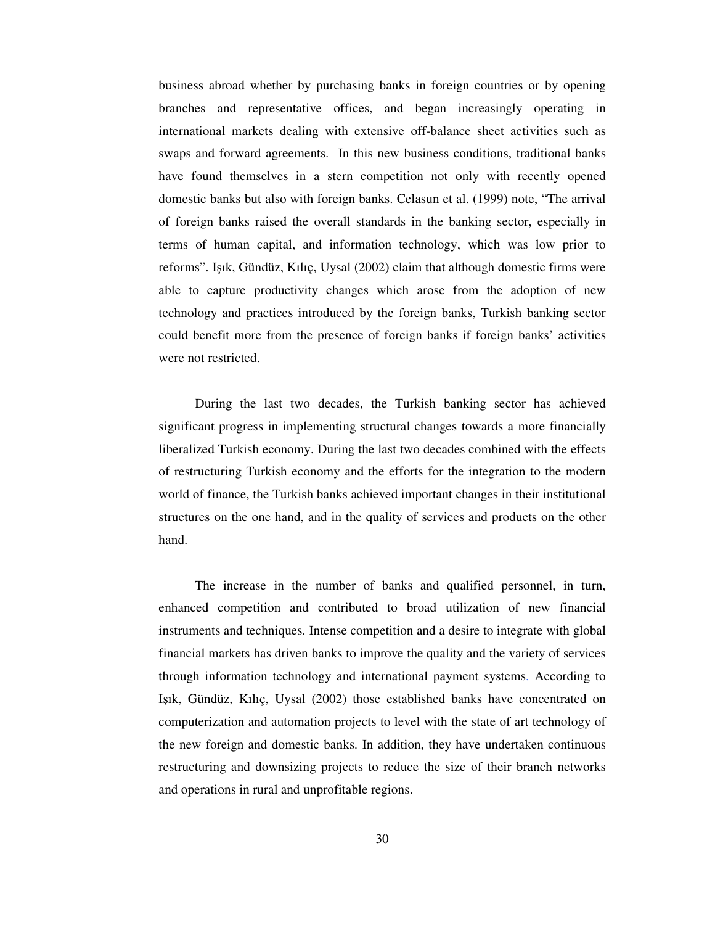business abroad whether by purchasing banks in foreign countries or by opening branches and representative offices, and began increasingly operating in international markets dealing with extensive off-balance sheet activities such as swaps and forward agreements. In this new business conditions, traditional banks have found themselves in a stern competition not only with recently opened domestic banks but also with foreign banks. Celasun et al. (1999) note, "The arrival of foreign banks raised the overall standards in the banking sector, especially in terms of human capital, and information technology, which was low prior to reforms". Işık, Gündüz, Kılıç, Uysal (2002) claim that although domestic firms were able to capture productivity changes which arose from the adoption of new technology and practices introduced by the foreign banks, Turkish banking sector could benefit more from the presence of foreign banks if foreign banks' activities were not restricted.

During the last two decades, the Turkish banking sector has achieved significant progress in implementing structural changes towards a more financially liberalized Turkish economy. During the last two decades combined with the effects of restructuring Turkish economy and the efforts for the integration to the modern world of finance, the Turkish banks achieved important changes in their institutional structures on the one hand, and in the quality of services and products on the other hand.

The increase in the number of banks and qualified personnel, in turn, enhanced competition and contributed to broad utilization of new financial instruments and techniques. Intense competition and a desire to integrate with global financial markets has driven banks to improve the quality and the variety of services through information technology and international payment systems. According to Işık, Gündüz, Kılıç, Uysal (2002) those established banks have concentrated on computerization and automation projects to level with the state of art technology of the new foreign and domestic banks. In addition, they have undertaken continuous restructuring and downsizing projects to reduce the size of their branch networks and operations in rural and unprofitable regions.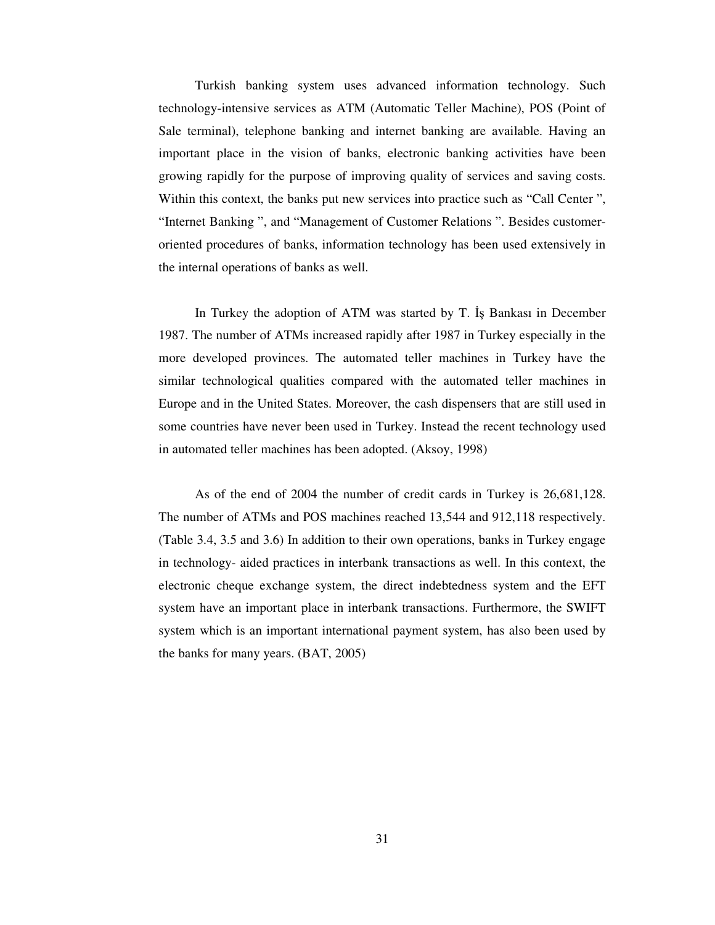Turkish banking system uses advanced information technology. Such technology-intensive services as ATM (Automatic Teller Machine), POS (Point of Sale terminal), telephone banking and internet banking are available. Having an important place in the vision of banks, electronic banking activities have been growing rapidly for the purpose of improving quality of services and saving costs. Within this context, the banks put new services into practice such as "Call Center ", "Internet Banking ", and "Management of Customer Relations ". Besides customeroriented procedures of banks, information technology has been used extensively in the internal operations of banks as well.

In Turkey the adoption of ATM was started by T. Is Bankasi in December 1987. The number of ATMs increased rapidly after 1987 in Turkey especially in the more developed provinces. The automated teller machines in Turkey have the similar technological qualities compared with the automated teller machines in Europe and in the United States. Moreover, the cash dispensers that are still used in some countries have never been used in Turkey. Instead the recent technology used in automated teller machines has been adopted. (Aksoy, 1998)

As of the end of 2004 the number of credit cards in Turkey is 26,681,128. The number of ATMs and POS machines reached 13,544 and 912,118 respectively. (Table 3.4, 3.5 and 3.6) In addition to their own operations, banks in Turkey engage in technology- aided practices in interbank transactions as well. In this context, the electronic cheque exchange system, the direct indebtedness system and the EFT system have an important place in interbank transactions. Furthermore, the SWIFT system which is an important international payment system, has also been used by the banks for many years. (BAT, 2005)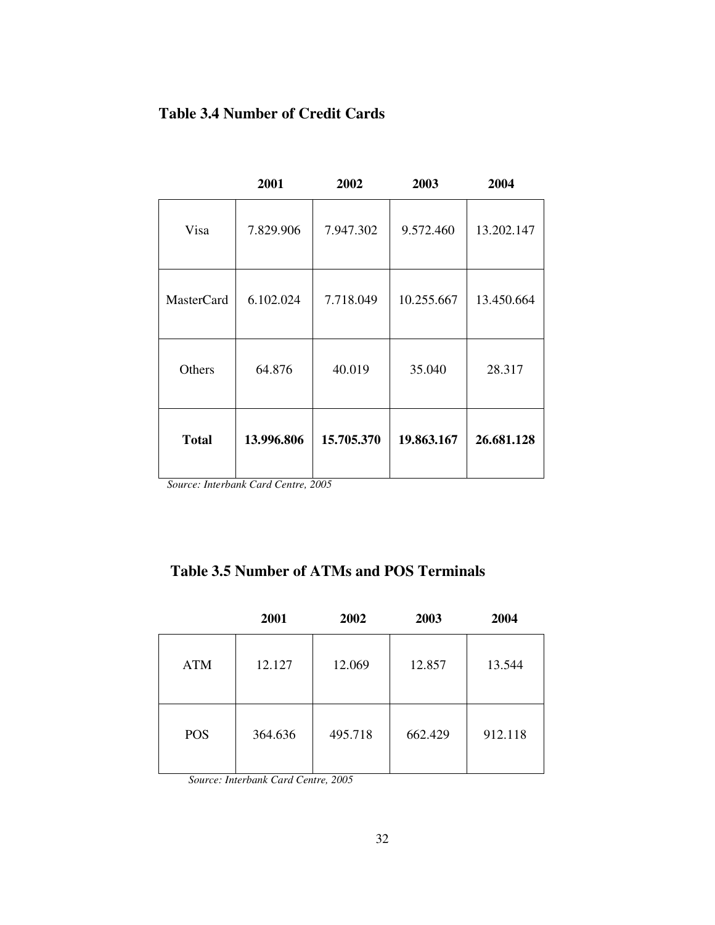## **Table 3.4 Number of Credit Cards**

|                   | 2001       | 2002       | 2003       | 2004       |
|-------------------|------------|------------|------------|------------|
| Visa              | 7.829.906  | 7.947.302  | 9.572.460  | 13.202.147 |
| <b>MasterCard</b> | 6.102.024  | 7.718.049  | 10.255.667 | 13.450.664 |
| Others            | 64.876     | 40.019     | 35.040     | 28.317     |
| <b>Total</b>      | 13.996.806 | 15.705.370 | 19.863.167 | 26.681.128 |

*Source: Interbank Card Centre, 2005*

## **Table 3.5 Number of ATMs and POS Terminals**

|            | 2001    | 2002    | 2003    | 2004    |
|------------|---------|---------|---------|---------|
| <b>ATM</b> | 12.127  | 12.069  | 12.857  | 13.544  |
| <b>POS</b> | 364.636 | 495.718 | 662.429 | 912.118 |

*Source: Interbank Card Centre, 2005*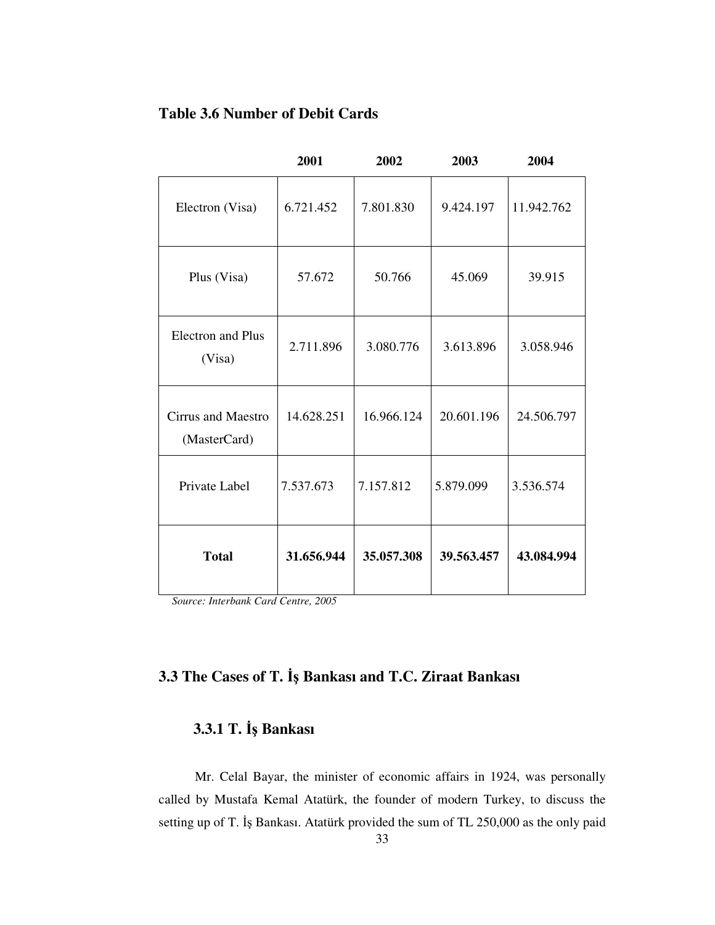## **Table 3.6 Number of Debit Cards**

|                                    | 2001       | 2002       | 2003       | 2004       |
|------------------------------------|------------|------------|------------|------------|
| Electron (Visa)                    | 6.721.452  | 7.801.830  | 9.424.197  | 11.942.762 |
| Plus (Visa)                        | 57.672     | 50.766     | 45.069     | 39.915     |
| <b>Electron</b> and Plus<br>(Visa) | 2.711.896  | 3.080.776  | 3.613.896  | 3.058.946  |
| Cirrus and Maestro<br>(MasterCard) | 14.628.251 | 16.966.124 | 20.601.196 | 24.506.797 |
| Private Label                      | 7.537.673  | 7.157.812  | 5.879.099  | 3.536.574  |
| <b>Total</b>                       | 31.656.944 | 35.057.308 | 39.563.457 | 43.084.994 |

*Source: Interbank Card Centre, 2005*

### **3.3 The Cases of T.** - **Bankası and T.C. Ziraat Bankası**

### **3.3.1 T. İş Bankası**

Mr. Celal Bayar, the minister of economic affairs in 1924, was personally called by Mustafa Kemal Atatürk, the founder of modern Turkey, to discuss the setting up of T. İş Bankası. Atatürk provided the sum of TL 250,000 as the only paid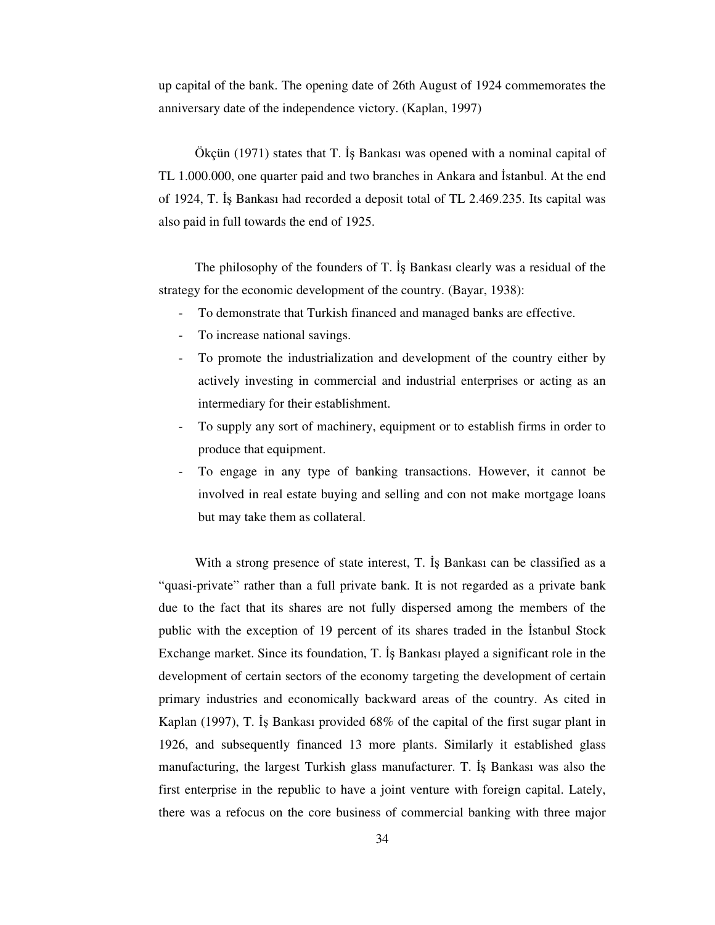up capital of the bank. The opening date of 26th August of 1924 commemorates the anniversary date of the independence victory. (Kaplan, 1997)

Ökçün (1971) states that T. İş Bankası was opened with a nominal capital of TL 1.000.000, one quarter paid and two branches in Ankara and Istanbul. At the end of 1924, T. İş Bankası had recorded a deposit total of TL 2.469.235. Its capital was also paid in full towards the end of 1925.

The philosophy of the founders of  $T$ . Is Bankasi clearly was a residual of the strategy for the economic development of the country. (Bayar, 1938):

- To demonstrate that Turkish financed and managed banks are effective.
- To increase national savings.
- To promote the industrialization and development of the country either by actively investing in commercial and industrial enterprises or acting as an intermediary for their establishment.
- To supply any sort of machinery, equipment or to establish firms in order to produce that equipment.
- To engage in any type of banking transactions. However, it cannot be involved in real estate buying and selling and con not make mortgage loans but may take them as collateral.

With a strong presence of state interest, T. Is Bankasi can be classified as a "quasi-private" rather than a full private bank. It is not regarded as a private bank due to the fact that its shares are not fully dispersed among the members of the public with the exception of 19 percent of its shares traded in the Istanbul Stock Exchange market. Since its foundation, T. Is Bankası played a significant role in the development of certain sectors of the economy targeting the development of certain primary industries and economically backward areas of the country. As cited in Kaplan (1997), T. Is Bankası provided  $68\%$  of the capital of the first sugar plant in 1926, and subsequently financed 13 more plants. Similarly it established glass manufacturing, the largest Turkish glass manufacturer. T. Bankası was also the first enterprise in the republic to have a joint venture with foreign capital. Lately, there was a refocus on the core business of commercial banking with three major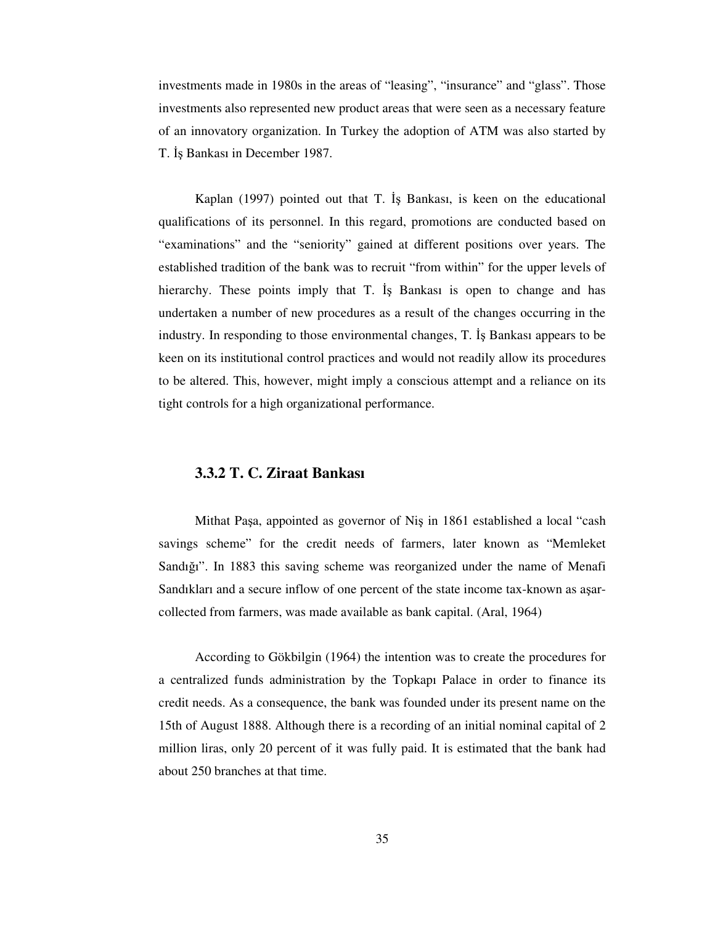investments made in 1980s in the areas of "leasing", "insurance" and "glass". Those investments also represented new product areas that were seen as a necessary feature of an innovatory organization. In Turkey the adoption of ATM was also started by T. İş Bankası in December 1987.

Kaplan (1997) pointed out that T. Is Bankası, is keen on the educational qualifications of its personnel. In this regard, promotions are conducted based on "examinations" and the "seniority" gained at different positions over years. The established tradition of the bank was to recruit "from within" for the upper levels of hierarchy. These points imply that T. Is Bankasi is open to change and has undertaken a number of new procedures as a result of the changes occurring in the industry. In responding to those environmental changes, T. Is Bankası appears to be keen on its institutional control practices and would not readily allow its procedures to be altered. This, however, might imply a conscious attempt and a reliance on its tight controls for a high organizational performance.

#### **3.3.2 T. C. Ziraat Bankası**

Mithat Paşa, appointed as governor of Nis in 1861 established a local "cash" savings scheme" for the credit needs of farmers, later known as "Memleket Sandığı". In 1883 this saving scheme was reorganized under the name of Menafi Sandıkları and a secure inflow of one percent of the state income tax-known as aarcollected from farmers, was made available as bank capital. (Aral, 1964)

According to Gökbilgin (1964) the intention was to create the procedures for a centralized funds administration by the Topkapı Palace in order to finance its credit needs. As a consequence, the bank was founded under its present name on the 15th of August 1888. Although there is a recording of an initial nominal capital of 2 million liras, only 20 percent of it was fully paid. It is estimated that the bank had about 250 branches at that time.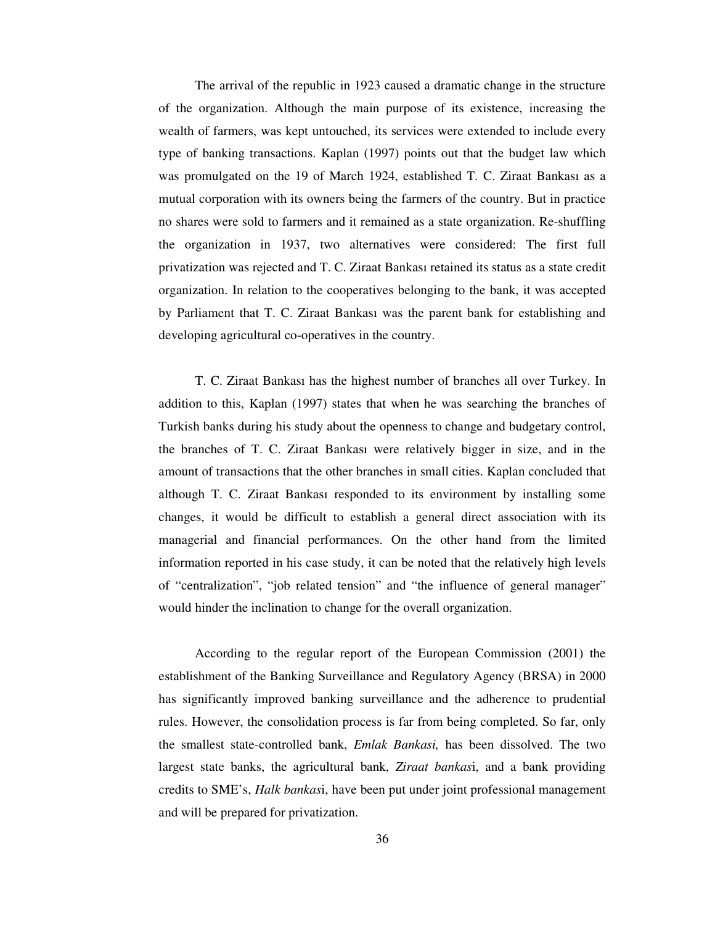The arrival of the republic in 1923 caused a dramatic change in the structure of the organization. Although the main purpose of its existence, increasing the wealth of farmers, was kept untouched, its services were extended to include every type of banking transactions. Kaplan (1997) points out that the budget law which was promulgated on the 19 of March 1924, established T. C. Ziraat Bankası as a mutual corporation with its owners being the farmers of the country. But in practice no shares were sold to farmers and it remained as a state organization. Re-shuffling the organization in 1937, two alternatives were considered: The first full privatization was rejected and T. C. Ziraat Bankası retained its status as a state credit organization. In relation to the cooperatives belonging to the bank, it was accepted by Parliament that T. C. Ziraat Bankası was the parent bank for establishing and developing agricultural co-operatives in the country.

T. C. Ziraat Bankası has the highest number of branches all over Turkey. In addition to this, Kaplan (1997) states that when he was searching the branches of Turkish banks during his study about the openness to change and budgetary control, the branches of T. C. Ziraat Bankası were relatively bigger in size, and in the amount of transactions that the other branches in small cities. Kaplan concluded that although T. C. Ziraat Bankası responded to its environment by installing some changes, it would be difficult to establish a general direct association with its managerial and financial performances. On the other hand from the limited information reported in his case study, it can be noted that the relatively high levels of "centralization", "job related tension" and "the influence of general manager" would hinder the inclination to change for the overall organization.

According to the regular report of the European Commission (2001) the establishment of the Banking Surveillance and Regulatory Agency (BRSA) in 2000 has significantly improved banking surveillance and the adherence to prudential rules. However, the consolidation process is far from being completed. So far, only the smallest state-controlled bank, *Emlak Bankasi,* has been dissolved. The two largest state banks, the agricultural bank, *Ziraat bankas*i, and a bank providing credits to SME's, *Halk bankas*i, have been put under joint professional management and will be prepared for privatization.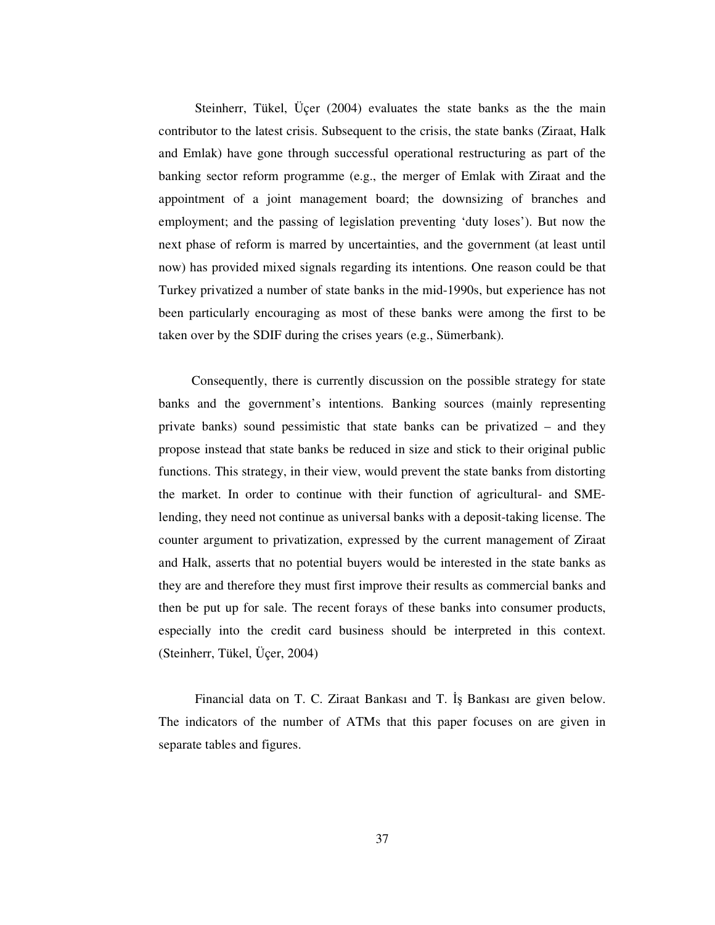Steinherr, Tükel, Üçer (2004) evaluates the state banks as the the main contributor to the latest crisis. Subsequent to the crisis, the state banks (Ziraat, Halk and Emlak) have gone through successful operational restructuring as part of the banking sector reform programme (e.g., the merger of Emlak with Ziraat and the appointment of a joint management board; the downsizing of branches and employment; and the passing of legislation preventing 'duty loses'). But now the next phase of reform is marred by uncertainties, and the government (at least until now) has provided mixed signals regarding its intentions. One reason could be that Turkey privatized a number of state banks in the mid-1990s, but experience has not been particularly encouraging as most of these banks were among the first to be taken over by the SDIF during the crises years (e.g., Sümerbank).

Consequently, there is currently discussion on the possible strategy for state banks and the government's intentions. Banking sources (mainly representing private banks) sound pessimistic that state banks can be privatized – and they propose instead that state banks be reduced in size and stick to their original public functions. This strategy, in their view, would prevent the state banks from distorting the market. In order to continue with their function of agricultural- and SMElending, they need not continue as universal banks with a deposit-taking license. The counter argument to privatization, expressed by the current management of Ziraat and Halk, asserts that no potential buyers would be interested in the state banks as they are and therefore they must first improve their results as commercial banks and then be put up for sale. The recent forays of these banks into consumer products, especially into the credit card business should be interpreted in this context. (Steinherr, Tükel, Üçer, 2004)

Financial data on T. C. Ziraat Bankası and T. İş Bankası are given below. The indicators of the number of ATMs that this paper focuses on are given in separate tables and figures.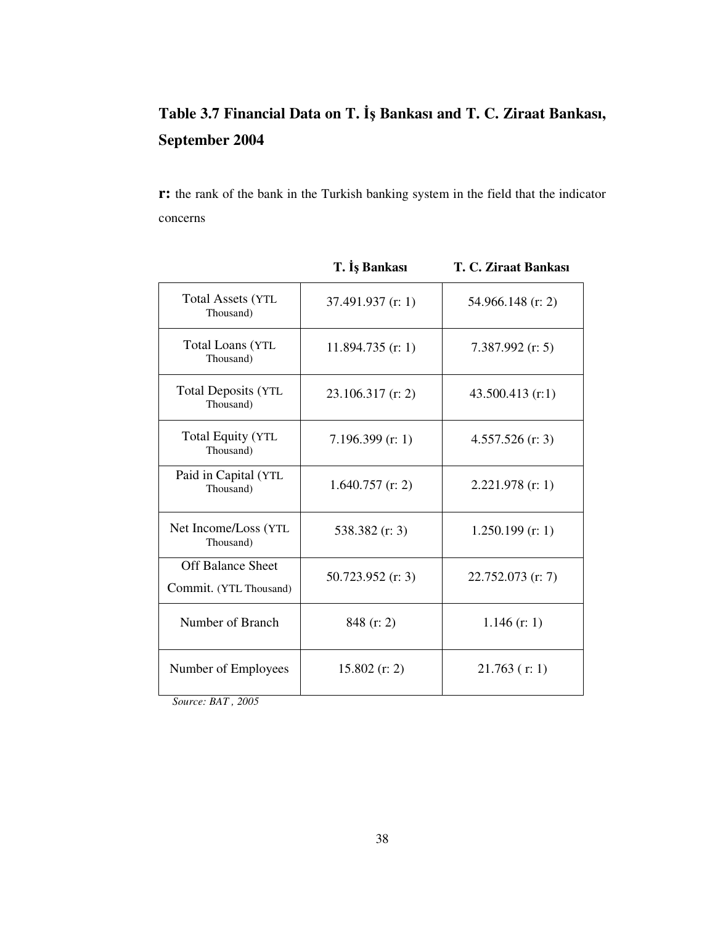# **Table 3.7 Financial Data on T.** - **Bankası and T. C. Ziraat Bankası, September 2004**

**r:** the rank of the bank in the Turkish banking system in the field that the indicator concerns

|                                                    | 1. IŞ DAIIKASI      | T. C. <i>L</i> ifaat dankasi |
|----------------------------------------------------|---------------------|------------------------------|
| <b>Total Assets (YTL)</b><br>Thousand)             | $37.491.937$ (r: 1) | 54.966.148 (r: 2)            |
| <b>Total Loans (YTL)</b><br>Thousand)              | $11.894.735$ (r: 1) | $7.387.992$ (r: 5)           |
| <b>Total Deposits (YTL</b><br>Thousand)            | $23.106.317$ (r: 2) | $43.500.413$ (r:1)           |
| <b>Total Equity (YTL)</b><br>Thousand)             | $7.196.399$ (r: 1)  | $4.557.526$ (r: 3)           |
| Paid in Capital (YTL<br>Thousand)                  | $1.640.757$ (r: 2)  | $2.221.978$ (r: 1)           |
| Net Income/Loss (YTL)<br>Thousand)                 | 538.382 $(r: 3)$    | $1.250.199$ (r: 1)           |
| <b>Off Balance Sheet</b><br>Commit. (YTL Thousand) | $50.723.952$ (r: 3) | $22.752.073$ (r: 7)          |
| Number of Branch                                   | $848$ (r: 2)        | $1.146$ (r: 1)               |
| Number of Employees                                | $15.802$ (r: 2)     | $21.763$ (r: 1)              |
|                                                    |                     |                              |

**T.** Is Bankası **T.** C. Ziraat Bankası

*Source: BAT , 2005*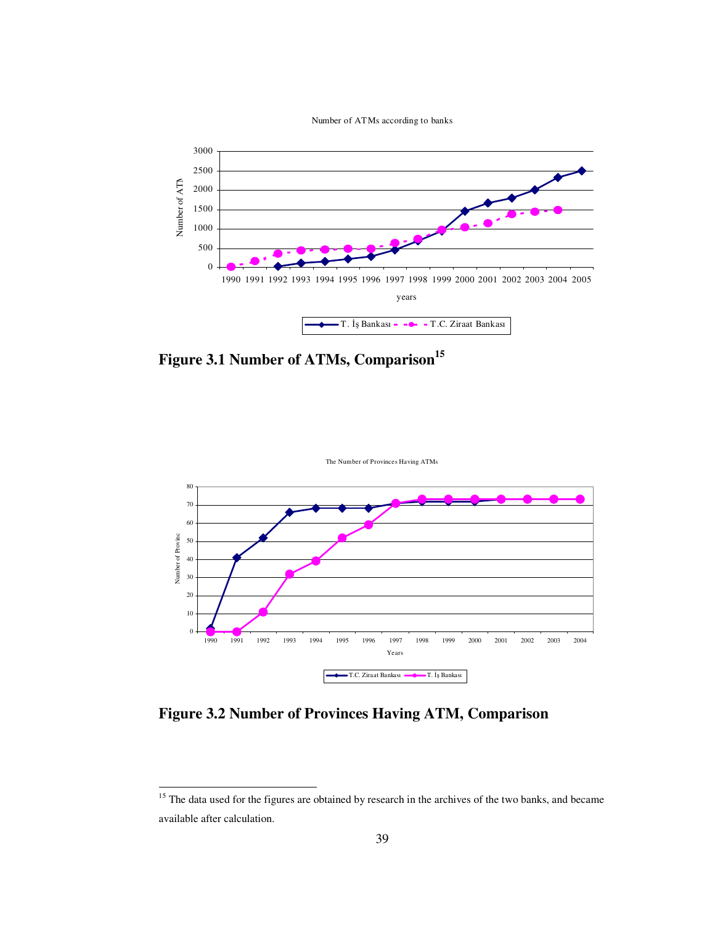



**Figure 3.1 Number of ATMs, Comparison 15**



**Figure 3.2 Number of Provinces Having ATM, Comparison**

<sup>&</sup>lt;sup>15</sup> The data used for the figures are obtained by research in the archives of the two banks, and became available after calculation.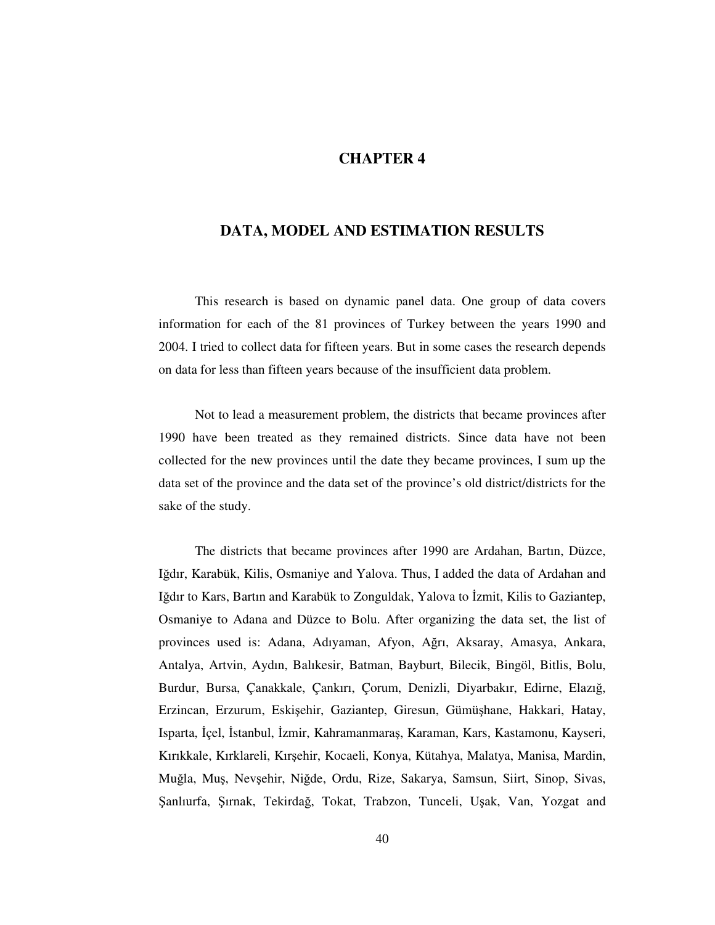#### **CHAPTER 4**

### **DATA, MODEL AND ESTIMATION RESULTS**

This research is based on dynamic panel data. One group of data covers information for each of the 81 provinces of Turkey between the years 1990 and 2004. I tried to collect data for fifteen years. But in some cases the research depends on data for less than fifteen years because of the insufficient data problem.

Not to lead a measurement problem, the districts that became provinces after 1990 have been treated as they remained districts. Since data have not been collected for the new provinces until the date they became provinces, I sum up the data set of the province and the data set of the province's old district/districts for the sake of the study.

The districts that became provinces after 1990 are Ardahan, Bartın, Düzce, Iğdır, Karabük, Kilis, Osmaniye and Yalova. Thus, I added the data of Ardahan and Iğdır to Kars, Bartın and Karabük to Zonguldak, Yalova to İzmit, Kilis to Gaziantep, Osmaniye to Adana and Düzce to Bolu. After organizing the data set, the list of provinces used is: Adana, Adıyaman, Afyon, Ağrı, Aksaray, Amasya, Ankara, Antalya, Artvin, Aydın, Balıkesir, Batman, Bayburt, Bilecik, Bingöl, Bitlis, Bolu, Burdur, Bursa, Çanakkale, Çankırı, Çorum, Denizli, Diyarbakır, Edirne, Elazığ, Erzincan, Erzurum, Eskiehir, Gaziantep, Giresun, Gümühane, Hakkari, Hatay, Isparta, İçel, İstanbul, İzmir, Kahramanmaras, Karaman, Kars, Kastamonu, Kayseri, Kırıkkale, Kırklareli, Kırehir, Kocaeli, Konya, Kütahya, Malatya, Manisa, Mardin, Muğla, Muş, Nevşehir, Niğde, Ordu, Rize, Sakarya, Samsun, Siirt, Sinop, Sivas, Şanlıurfa, Şırnak, Tekirdağ, Tokat, Trabzon, Tunceli, Uşak, Van, Yozgat and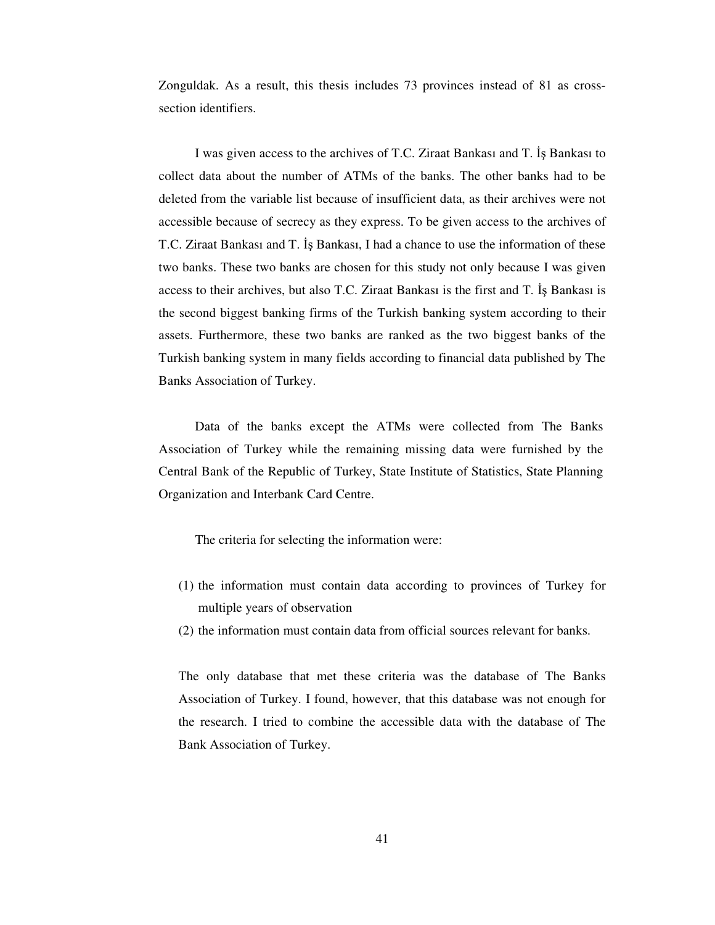Zonguldak. As a result, this thesis includes 73 provinces instead of 81 as crosssection identifiers.

I was given access to the archives of T.C. Ziraat Bankası and T. İş Bankası to collect data about the number of ATMs of the banks. The other banks had to be deleted from the variable list because of insufficient data, as their archives were not accessible because of secrecy as they express. To be given access to the archives of T.C. Ziraat Bankası and T. Is Bankası, I had a chance to use the information of these two banks. These two banks are chosen for this study not only because I was given access to their archives, but also T.C. Ziraat Bankası is the first and T. Is Bankası is the second biggest banking firms of the Turkish banking system according to their assets. Furthermore, these two banks are ranked as the two biggest banks of the Turkish banking system in many fields according to financial data published by The Banks Association of Turkey.

Data of the banks except the ATMs were collected from The Banks Association of Turkey while the remaining missing data were furnished by the Central Bank of the Republic of Turkey, State Institute of Statistics, State Planning Organization and Interbank Card Centre.

The criteria for selecting the information were:

- (1) the information must contain data according to provinces of Turkey for multiple years of observation
- (2) the information must contain data from official sources relevant for banks.

The only database that met these criteria was the database of The Banks Association of Turkey. I found, however, that this database was not enough for the research. I tried to combine the accessible data with the database of The Bank Association of Turkey.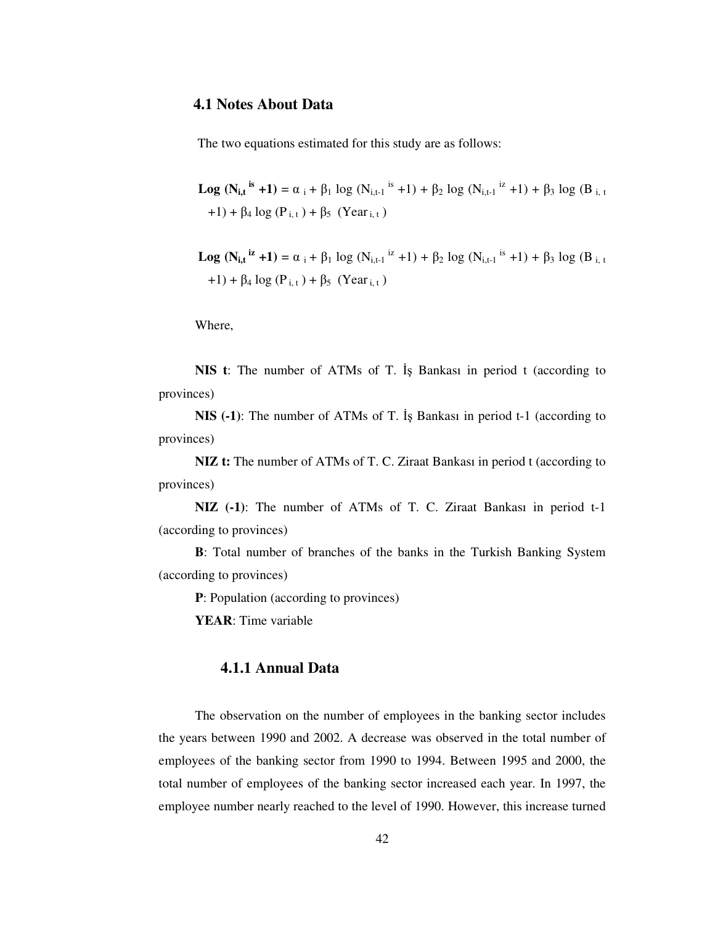### **4.1 Notes About Data**

The two equations estimated for this study are as follows:

**Log**  $(N_{i,t}$ <sup>is</sup> +1) =  $\alpha_i$  +  $\beta_1$  log  $(N_{i,t-1}$ <sup>is</sup> +1) +  $\beta_2$  log  $(N_{i,t-1}$ <sup>iz</sup> +1) +  $\beta_3$  log  $(B_{i,t}$  $+1$ ) +  $\beta_4$  log (P<sub>i,t</sub>) +  $\beta_5$  (Year<sub>i,t</sub>)

**Log**  $(N_{i,t}^{i\mathbf{z}} + 1) = \alpha_i + \beta_1 \log (N_{i,t-1}^{i\mathbf{z}} + 1) + \beta_2 \log (N_{i,t-1}^{i\mathbf{z}} + 1) + \beta_3 \log (B_{i,t}^{i\mathbf{z}} + 1)$  $+1$ ) +  $\beta_4$  log (P<sub>it</sub>) +  $\beta_5$  (Year<sub>it</sub>)

Where,

**NIS t**: The number of ATMs of T. Is Bankasi in period t (according to provinces)

**NIS** (-1): The number of ATMs of T. Is Bankasi in period t-1 (according to provinces)

**NIZ t:** The number of ATMs of T. C. Ziraat Bankası in period t (according to provinces)

**NIZ (-1)**: The number of ATMs of T. C. Ziraat Bankası in period t-1 (according to provinces)

**B**: Total number of branches of the banks in the Turkish Banking System (according to provinces)

**P**: Population (according to provinces)

**YEAR**: Time variable

### **4.1.1 Annual Data**

The observation on the number of employees in the banking sector includes the years between 1990 and 2002. A decrease was observed in the total number of employees of the banking sector from 1990 to 1994. Between 1995 and 2000, the total number of employees of the banking sector increased each year. In 1997, the employee number nearly reached to the level of 1990. However, this increase turned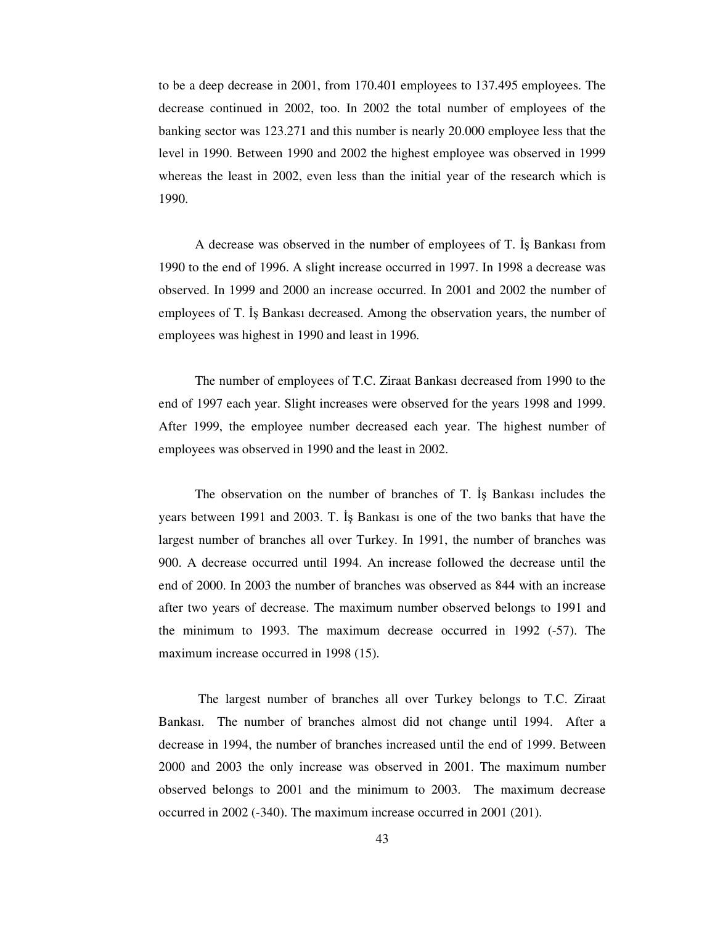to be a deep decrease in 2001, from 170.401 employees to 137.495 employees. The decrease continued in 2002, too. In 2002 the total number of employees of the banking sector was 123.271 and this number is nearly 20.000 employee less that the level in 1990. Between 1990 and 2002 the highest employee was observed in 1999 whereas the least in 2002, even less than the initial year of the research which is 1990.

A decrease was observed in the number of employees of T. Is Bankası from 1990 to the end of 1996. A slight increase occurred in 1997. In 1998 a decrease was observed. In 1999 and 2000 an increase occurred. In 2001 and 2002 the number of employees of T. Is Bankası decreased. Among the observation years, the number of employees was highest in 1990 and least in 1996.

The number of employees of T.C. Ziraat Bankası decreased from 1990 to the end of 1997 each year. Slight increases were observed for the years 1998 and 1999. After 1999, the employee number decreased each year. The highest number of employees was observed in 1990 and the least in 2002.

The observation on the number of branches of T. Is Bankasi includes the years between 1991 and 2003. T. Is Bankasi is one of the two banks that have the largest number of branches all over Turkey. In 1991, the number of branches was 900. A decrease occurred until 1994. An increase followed the decrease until the end of 2000. In 2003 the number of branches was observed as 844 with an increase after two years of decrease. The maximum number observed belongs to 1991 and the minimum to 1993. The maximum decrease occurred in 1992 (-57). The maximum increase occurred in 1998 (15).

The largest number of branches all over Turkey belongs to T.C. Ziraat Bankası. The number of branches almost did not change until 1994. After a decrease in 1994, the number of branches increased until the end of 1999. Between 2000 and 2003 the only increase was observed in 2001. The maximum number observed belongs to 2001 and the minimum to 2003. The maximum decrease occurred in 2002 (-340). The maximum increase occurred in 2001 (201).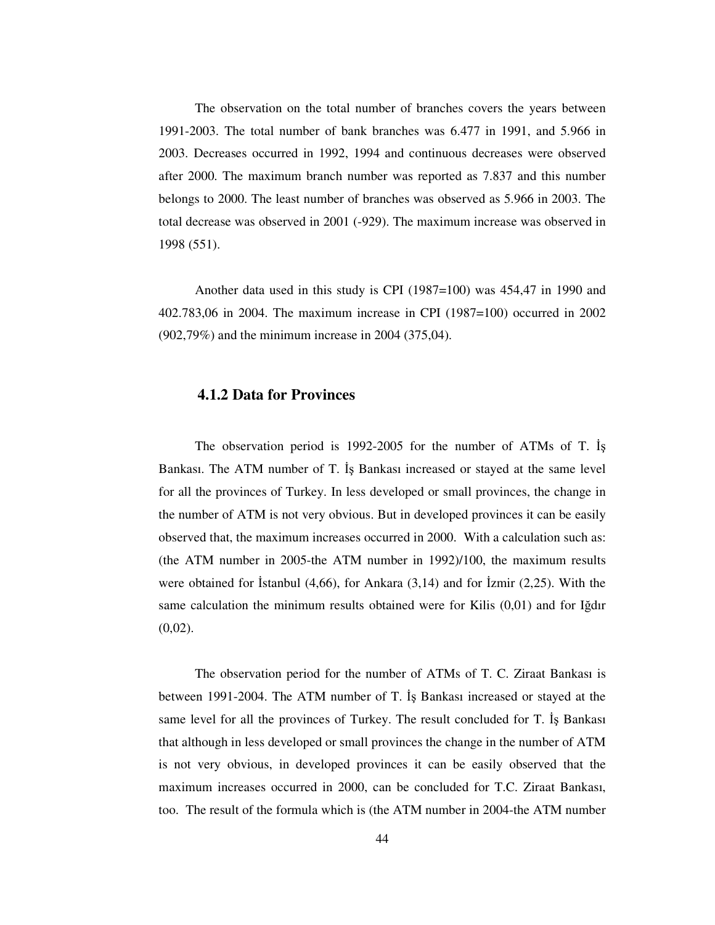The observation on the total number of branches covers the years between 1991-2003. The total number of bank branches was 6.477 in 1991, and 5.966 in 2003. Decreases occurred in 1992, 1994 and continuous decreases were observed after 2000. The maximum branch number was reported as 7.837 and this number belongs to 2000. The least number of branches was observed as 5.966 in 2003. The total decrease was observed in 2001 (-929). The maximum increase was observed in 1998 (551).

Another data used in this study is CPI (1987=100) was 454,47 in 1990 and 402.783,06 in 2004. The maximum increase in CPI (1987=100) occurred in 2002 (902,79%) and the minimum increase in 2004 (375,04).

#### **4.1.2 Data for Provinces**

The observation period is 1992-2005 for the number of ATMs of T. Bankası. The ATM number of T. Is Bankası increased or stayed at the same level for all the provinces of Turkey. In less developed or small provinces, the change in the number of ATM is not very obvious. But in developed provinces it can be easily observed that, the maximum increases occurred in 2000. With a calculation such as: (the ATM number in 2005-the ATM number in 1992)/100, the maximum results were obtained for Islanbul  $(4,66)$ , for Ankara  $(3,14)$  and for Izmir  $(2,25)$ . With the same calculation the minimum results obtained were for Kilis  $(0.01)$  and for Igdir  $(0,02)$ .

The observation period for the number of ATMs of T. C. Ziraat Bankası is between 1991-2004. The ATM number of T. Bankası increased or stayed at the same level for all the provinces of Turkey. The result concluded for T. Is Bankası that although in less developed or small provinces the change in the number of ATM is not very obvious, in developed provinces it can be easily observed that the maximum increases occurred in 2000, can be concluded for T.C. Ziraat Bankası, too. The result of the formula which is (the ATM number in 2004-the ATM number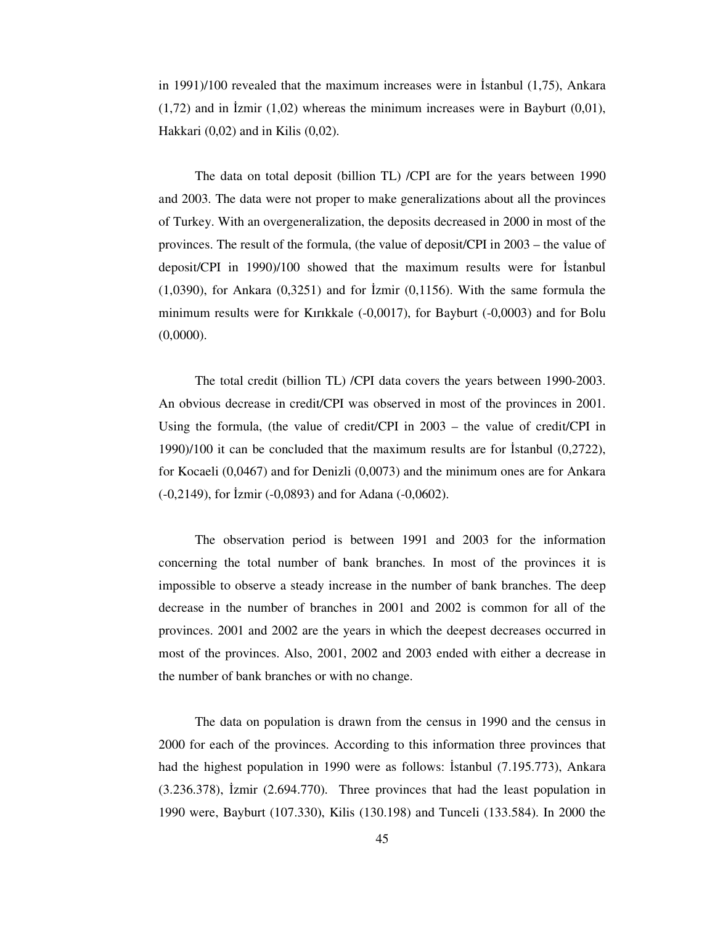in 1991)/100 revealed that the maximum increases were in Istanbul  $(1,75)$ , Ankara  $(1,72)$  and in Izmir  $(1,02)$  whereas the minimum increases were in Bayburt  $(0,01)$ , Hakkari (0,02) and in Kilis (0,02).

The data on total deposit (billion TL) /CPI are for the years between 1990 and 2003. The data were not proper to make generalizations about all the provinces of Turkey. With an overgeneralization, the deposits decreased in 2000 in most of the provinces. The result of the formula, (the value of deposit/CPI in 2003 – the value of deposit/CPI in  $1990$ /100 showed that the maximum results were for Istanbul  $(1,0390)$ , for Ankara  $(0,3251)$  and for  $\overline{2}$  zmir  $(0,1156)$ . With the same formula the minimum results were for Kırıkkale (-0,0017), for Bayburt (-0,0003) and for Bolu  $(0,0000)$ .

The total credit (billion TL) /CPI data covers the years between 1990-2003. An obvious decrease in credit/CPI was observed in most of the provinces in 2001. Using the formula, (the value of credit/CPI in 2003 – the value of credit/CPI in 1990)/100 it can be concluded that the maximum results are for Istanbul  $(0,2722)$ , for Kocaeli (0,0467) and for Denizli (0,0073) and the minimum ones are for Ankara  $(-0,2149)$ , for  $\bar{l}zmir (-0,0893)$  and for Adana  $(-0,0602)$ .

The observation period is between 1991 and 2003 for the information concerning the total number of bank branches. In most of the provinces it is impossible to observe a steady increase in the number of bank branches. The deep decrease in the number of branches in 2001 and 2002 is common for all of the provinces. 2001 and 2002 are the years in which the deepest decreases occurred in most of the provinces. Also, 2001, 2002 and 2003 ended with either a decrease in the number of bank branches or with no change.

The data on population is drawn from the census in 1990 and the census in 2000 for each of the provinces. According to this information three provinces that had the highest population in 1990 were as follows: Istanbul  $(7.195.773)$ , Ankara  $(3.236.378)$ , Izmir  $(2.694.770)$ . Three provinces that had the least population in 1990 were, Bayburt (107.330), Kilis (130.198) and Tunceli (133.584). In 2000 the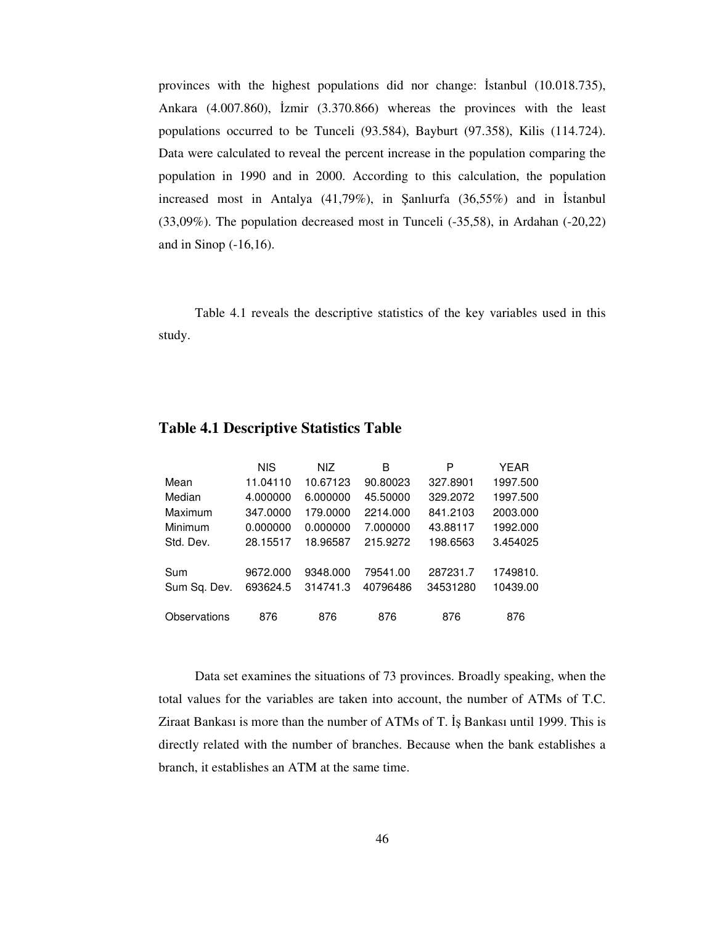provinces with the highest populations did nor change: Islandul  $(10.018.735)$ , Ankara  $(4.007.860)$ ,  $\text{Izmir } (3.370.866)$  whereas the provinces with the least populations occurred to be Tunceli (93.584), Bayburt (97.358), Kilis (114.724). Data were calculated to reveal the percent increase in the population comparing the population in 1990 and in 2000. According to this calculation, the population increased most in Antalya  $(41,79\%)$ , in Şanlıurfa  $(36,55\%)$  and in Istanbul (33,09%). The population decreased most in Tunceli (-35,58), in Ardahan (-20,22) and in Sinop (-16,16).

Table 4.1 reveals the descriptive statistics of the key variables used in this study.

|              | NIS.     | NIZ.     | В        | P        | YEAR     |
|--------------|----------|----------|----------|----------|----------|
| Mean         | 11.04110 | 10.67123 | 90.80023 | 327.8901 | 1997.500 |
| Median       | 4.000000 | 6.000000 | 45.50000 | 329.2072 | 1997.500 |
| Maximum      | 347.0000 | 179.0000 | 2214.000 | 841.2103 | 2003.000 |
| Minimum      | 0.000000 | 0.000000 | 7.000000 | 43.88117 | 1992.000 |
| Std. Dev.    | 28.15517 | 18.96587 | 215.9272 | 198.6563 | 3.454025 |
|              |          |          |          |          |          |
| Sum          | 9672.000 | 9348.000 | 79541.00 | 287231.7 | 1749810. |
| Sum Sq. Dev. | 693624.5 | 314741.3 | 40796486 | 34531280 | 10439.00 |
|              |          |          |          |          |          |
| Observations | 876      | 876      | 876      | 876      | 876      |

#### **Table 4.1 Descriptive Statistics Table**

Data set examines the situations of 73 provinces. Broadly speaking, when the total values for the variables are taken into account, the number of ATMs of T.C. Ziraat Bankası is more than the number of ATMs of T. Bankası until 1999. This is directly related with the number of branches. Because when the bank establishes a branch, it establishes an ATM at the same time.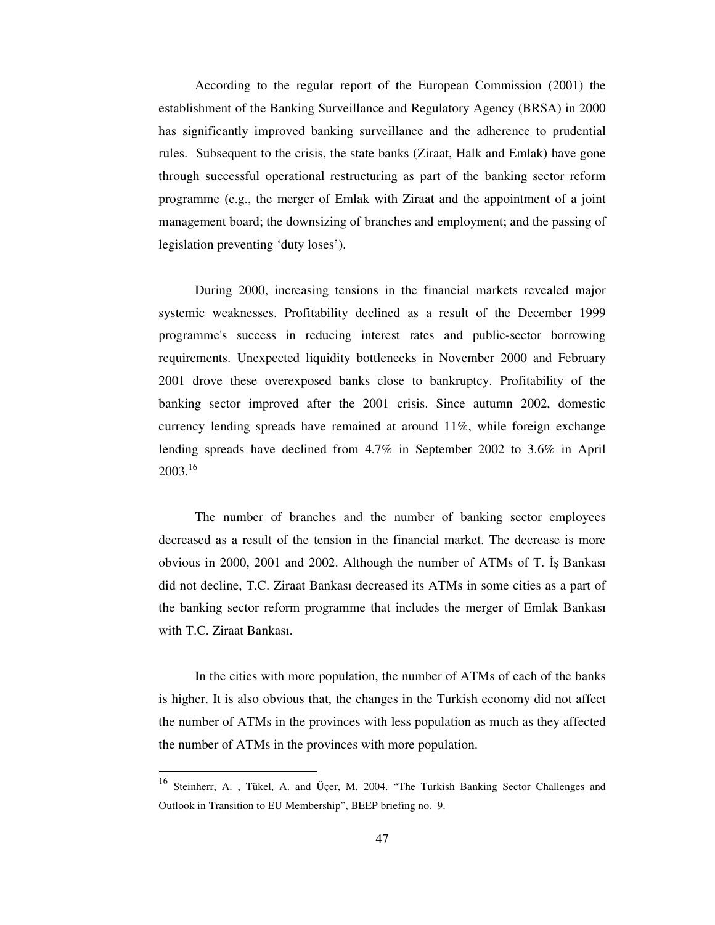According to the regular report of the European Commission (2001) the establishment of the Banking Surveillance and Regulatory Agency (BRSA) in 2000 has significantly improved banking surveillance and the adherence to prudential rules. Subsequent to the crisis, the state banks (Ziraat, Halk and Emlak) have gone through successful operational restructuring as part of the banking sector reform programme (e.g., the merger of Emlak with Ziraat and the appointment of a joint management board; the downsizing of branches and employment; and the passing of legislation preventing 'duty loses').

During 2000, increasing tensions in the financial markets revealed major systemic weaknesses. Profitability declined as a result of the December 1999 programme's success in reducing interest rates and public-sector borrowing requirements. Unexpected liquidity bottlenecks in November 2000 and February 2001 drove these overexposed banks close to bankruptcy. Profitability of the banking sector improved after the 2001 crisis. Since autumn 2002, domestic currency lending spreads have remained at around 11%, while foreign exchange lending spreads have declined from 4.7% in September 2002 to 3.6% in April 2003. 16

The number of branches and the number of banking sector employees decreased as a result of the tension in the financial market. The decrease is more obvious in 2000, 2001 and 2002. Although the number of ATMs of T. Is Bankasi did not decline, T.C. Ziraat Bankası decreased its ATMs in some cities as a part of the banking sector reform programme that includes the merger of Emlak Bankası with T.C. Ziraat Bankası.

In the cities with more population, the number of ATMs of each of the banks is higher. It is also obvious that, the changes in the Turkish economy did not affect the number of ATMs in the provinces with less population as much as they affected the number of ATMs in the provinces with more population.

<sup>&</sup>lt;sup>16</sup> Steinherr, A., Tükel, A. and Üçer, M. 2004. "The Turkish Banking Sector Challenges and Outlook in Transition to EU Membership", BEEP briefing no. 9.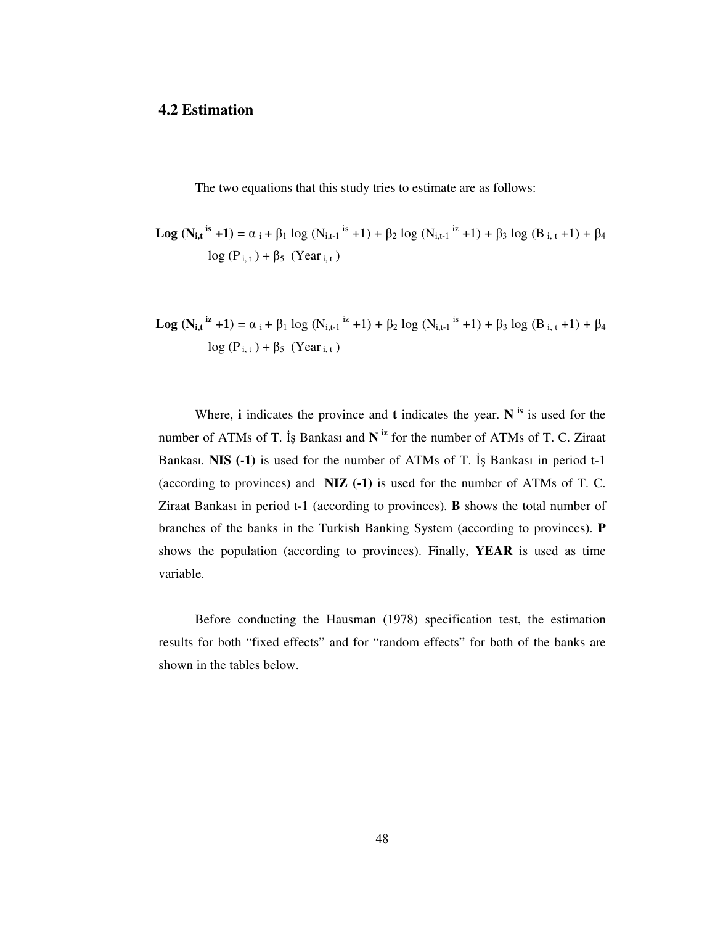### **4.2 Estimation**

The two equations that this study tries to estimate are as follows:

- **Log**  $(N_{i,t}^{i}$ <sup>is</sup> +1) =  $\alpha_i$  +  $\beta_1$  log  $(N_{i,t-1}^{i}$ <sup>is</sup> +1) +  $\beta_2$  log  $(N_{i,t-1}^{i}$ <sup>iz</sup> +1) +  $\beta_3$  log  $(B_{i,t}$  +1) +  $\beta_4$  $\log(P_{i,t}) + \beta_5$  (Year<sub>i,t</sub>)
- **Log**  $(N_{i,t}^{i\mathbf{z}} + 1) = \alpha_i + \beta_1 \log (N_{i,t-1}^{i\mathbf{z}} + 1) + \beta_2 \log (N_{i,t-1}^{i\mathbf{z}} + 1) + \beta_3 \log (B_{i,t} + 1) + \beta_4$  $\log(P_{i,t}) + \beta_5$  (Year<sub>i, t</sub>)

Where, **i** indicates the province and **t** indicates the year. **N is** is used for the number of ATMs of T. Is Bankasi and N<sup>iz</sup> for the number of ATMs of T. C. Ziraat Bankası. **NIS** (-1) is used for the number of ATMs of T. Is Bankası in period t-1 (according to provinces) and **NIZ (-1)** is used for the number of ATMs of T. C. Ziraat Bankası in period t-1 (according to provinces). **B** shows the total number of branches of the banks in the Turkish Banking System (according to provinces). **P** shows the population (according to provinces). Finally, **YEAR** is used as time variable.

Before conducting the Hausman (1978) specification test, the estimation results for both "fixed effects" and for "random effects" for both of the banks are shown in the tables below.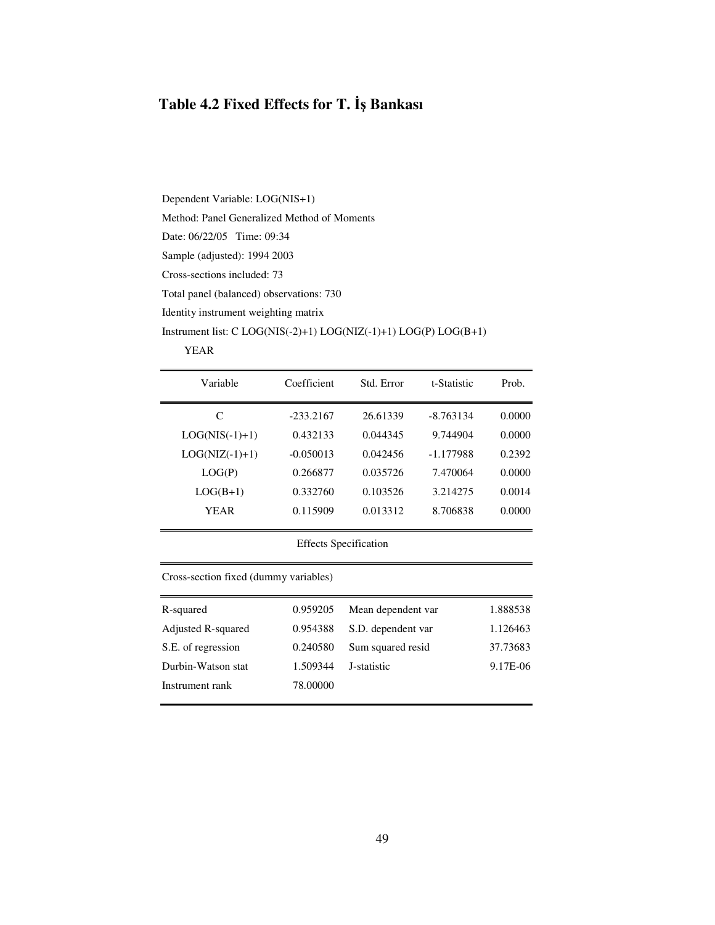### **Table 4.2 Fixed Effects for T.** - **Bankası**

Dependent Variable: LOG(NIS+1) Method: Panel Generalized Method of Moments Date: 06/22/05 Time: 09:34 Sample (adjusted): 1994 2003 Cross-sections included: 73 Total panel (balanced) observations: 730 Identity instrument weighting matrix Instrument list: C LOG(NIS(-2)+1) LOG(NIZ(-1)+1) LOG(P) LOG(B+1)

#### YEAR

| Variable         | Coefficient | Std. Error | t-Statistic | Prob.  |
|------------------|-------------|------------|-------------|--------|
| C                | $-233.2167$ | 26.61339   | $-8.763134$ | 0.0000 |
| $LOG(NIS(-1)+1)$ | 0.432133    | 0.044345   | 9.744904    | 0.0000 |
| $LOG(NIZ(-1)+1)$ | $-0.050013$ | 0.042456   | -1.177988   | 0.2392 |
| LOG(P)           | 0.266877    | 0.035726   | 7.470064    | 0.0000 |
| $LOG(B+1)$       | 0.332760    | 0.103526   | 3.214275    | 0.0014 |
| YEAR             | 0.115909    | 0.013312   | 8.706838    | 0.0000 |
|                  |             |            |             |        |

Effects Specification

Cross-section fixed (dummy variables)

| R-squared          | 0.959205 | Mean dependent var | 1.888538 |
|--------------------|----------|--------------------|----------|
| Adjusted R-squared | 0.954388 | S.D. dependent var | 1.126463 |
| S.E. of regression | 0.240580 | Sum squared resid  | 37.73683 |
| Durbin-Watson stat | 1.509344 | J-statistic        | 9.17E-06 |
| Instrument rank    | 78.00000 |                    |          |
|                    |          |                    |          |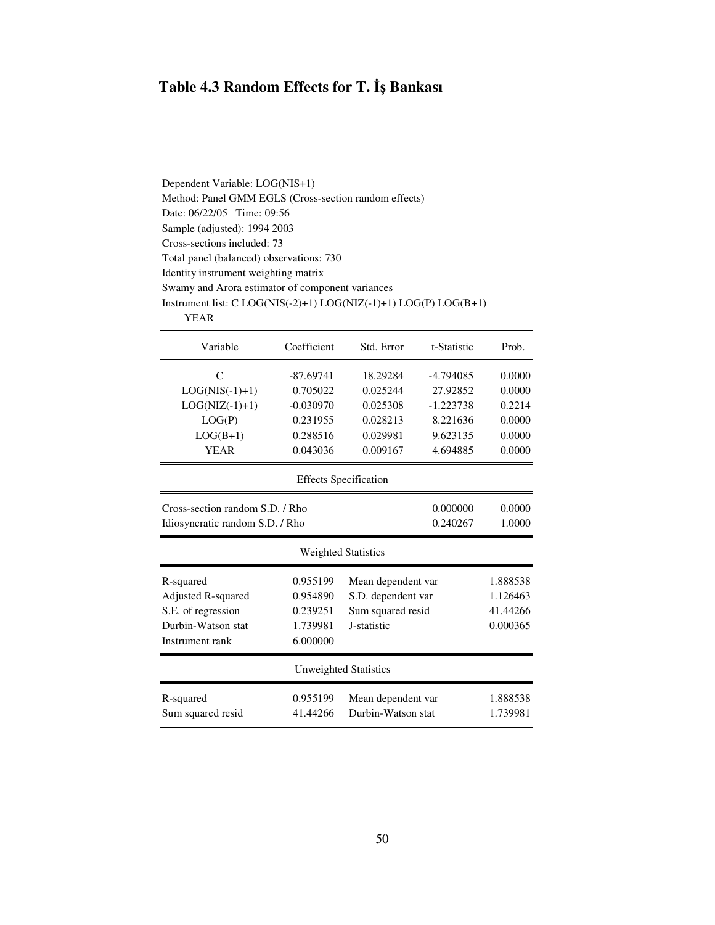### **Table 4.3 Random Effects for T.** - **Bankası**

Dependent Variable: LOG(NIS+1) Method: Panel GMM EGLS (Cross-section random effects) Date: 06/22/05 Time: 09:56 Sample (adjusted): 1994 2003 Cross-sections included: 73 Total panel (balanced) observations: 730 Identity instrument weighting matrix Swamy and Arora estimator of component variances Instrument list: C LOG(NIS(-2)+1) LOG(NIZ(-1)+1) LOG(P) LOG(B+1) YEAR

| Variable                                              | Coefficient | Std. Error                   | t-Statistic | Prob.    |  |
|-------------------------------------------------------|-------------|------------------------------|-------------|----------|--|
| C                                                     | $-87.69741$ | 18.29284                     | -4.794085   | 0.0000   |  |
| $LOG(NIS(-1)+1)$                                      | 0.705022    | 0.025244                     | 27.92852    | 0.0000   |  |
| $LOG(NIZ(-1)+1)$                                      | $-0.030970$ | 0.025308                     | $-1.223738$ | 0.2214   |  |
| LOG(P)                                                | 0.231955    | 0.028213                     | 8.221636    | 0.0000   |  |
| $LOG(B+1)$                                            | 0.288516    | 0.029981                     | 9.623135    | 0.0000   |  |
| <b>YEAR</b>                                           | 0.043036    | 0.009167                     | 4.694885    | 0.0000   |  |
|                                                       |             | <b>Effects Specification</b> |             |          |  |
| Cross-section random S.D. / Rho<br>0.000000<br>0.0000 |             |                              |             |          |  |
| Idiosyncratic random S.D. / Rho                       |             |                              | 0.240267    | 1.0000   |  |
|                                                       |             | <b>Weighted Statistics</b>   |             |          |  |
| R-squared                                             | 0.955199    | Mean dependent var           |             | 1.888538 |  |
| Adjusted R-squared                                    | 0.954890    | S.D. dependent var           |             | 1.126463 |  |
| S.E. of regression                                    | 0.239251    | Sum squared resid            |             | 41.44266 |  |
| Durbin-Watson stat                                    | 1.739981    | J-statistic                  |             | 0.000365 |  |
| Instrument rank                                       | 6.000000    |                              |             |          |  |
|                                                       |             | Unweighted Statistics        |             |          |  |
| R-squared                                             | 0.955199    | Mean dependent var           |             | 1.888538 |  |
| Sum squared resid                                     | 41.44266    | Durbin-Watson stat           |             | 1.739981 |  |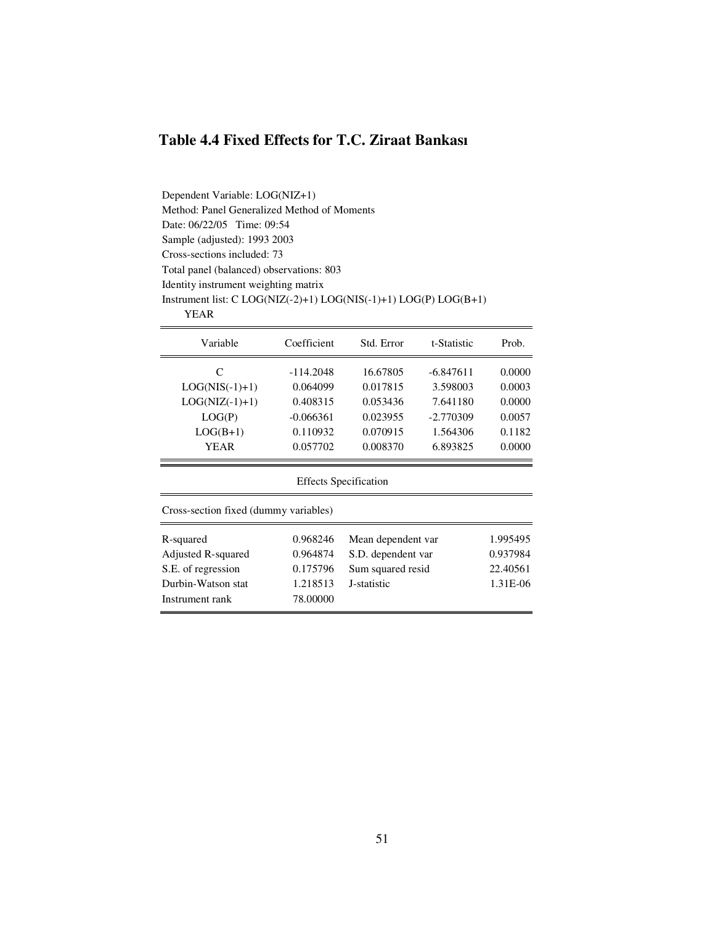## **Table 4.4 Fixed Effects for T.C. Ziraat Bankası**

Dependent Variable: LOG(NIZ+1) Method: Panel Generalized Method of Moments Date: 06/22/05 Time: 09:54 Sample (adjusted): 1993 2003 Cross-sections included: 73 Total panel (balanced) observations: 803 Identity instrument weighting matrix Instrument list: C LOG(NIZ(-2)+1) LOG(NIS(-1)+1) LOG(P) LOG(B+1) YEAR

| Variable                              | Coefficient | Std. Error         | t-Statistic | Prob.    |  |  |  |
|---------------------------------------|-------------|--------------------|-------------|----------|--|--|--|
| C                                     | $-114.2048$ | 16.67805           | $-6.847611$ | 0.0000   |  |  |  |
| $LOG(NIS(-1)+1)$                      | 0.064099    | 0.017815           | 3.598003    | 0.0003   |  |  |  |
| $LOG(NIZ(-1)+1)$                      | 0.408315    | 0.053436           | 7.641180    | 0.0000   |  |  |  |
| LOG(P)                                | $-0.066361$ | 0.023955           | $-2.770309$ | 0.0057   |  |  |  |
| $LOG(B+1)$                            | 0.110932    | 0.070915           | 1.564306    | 0.1182   |  |  |  |
| <b>YEAR</b>                           | 0.057702    | 0.008370           | 6.893825    | 0.0000   |  |  |  |
| <b>Effects Specification</b>          |             |                    |             |          |  |  |  |
| Cross-section fixed (dummy variables) |             |                    |             |          |  |  |  |
| R-squared                             | 0.968246    | Mean dependent var |             | 1.995495 |  |  |  |
| Adjusted R-squared                    | 0.964874    | S.D. dependent var |             | 0.937984 |  |  |  |
| S.E. of regression                    | 0.175796    | Sum squared resid  |             | 22.40561 |  |  |  |
| Durbin-Watson stat                    | 1.218513    | J-statistic        |             | 1.31E-06 |  |  |  |
| Instrument rank                       | 78.00000    |                    |             |          |  |  |  |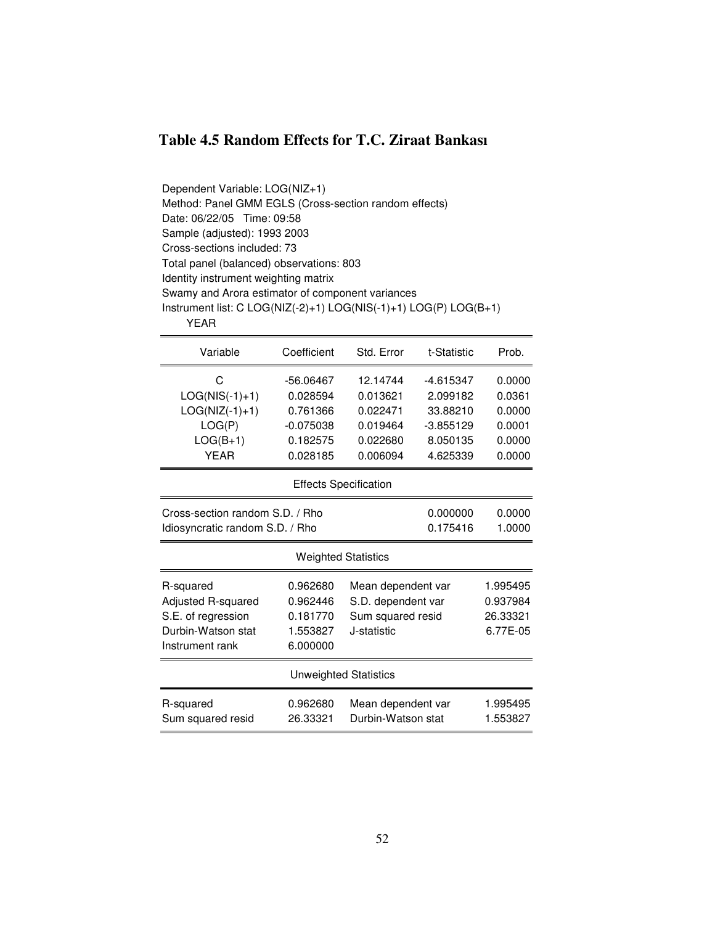### **Table 4.5 Random Effects for T.C. Ziraat Bankası**

Dependent Variable: LOG(NIZ+1) Method: Panel GMM EGLS (Cross-section random effects) Date: 06/22/05 Time: 09:58 Sample (adjusted): 1993 2003 Cross-sections included: 73 Total panel (balanced) observations: 803 Identity instrument weighting matrix Swamy and Arora estimator of component variances Instrument list: C LOG(NIZ(-2)+1) LOG(NIS(-1)+1) LOG(P) LOG(B+1) YEAR

| Variable                                                                                       | Coefficient                                                                                                                              | Std. Error                                                           | t-Statistic                                                                | Prob.                                                    |  |  |  |
|------------------------------------------------------------------------------------------------|------------------------------------------------------------------------------------------------------------------------------------------|----------------------------------------------------------------------|----------------------------------------------------------------------------|----------------------------------------------------------|--|--|--|
| C<br>$LOG(NIS(-1)+1)$<br>$LOG(NIZ(-1)+1)$<br>LOG(P)<br>$LOG(B+1)$<br><b>YEAR</b>               | $-56.06467$<br>0.028594<br>0.761366<br>$-0.075038$<br>0.182575<br>0.028185                                                               | 12.14744<br>0.013621<br>0.022471<br>0.019464<br>0.022680<br>0.006094 | $-4.615347$<br>2.099182<br>33.88210<br>$-3.855129$<br>8.050135<br>4.625339 | 0.0000<br>0.0361<br>0.0000<br>0.0001<br>0.0000<br>0.0000 |  |  |  |
|                                                                                                | <b>Effects Specification</b>                                                                                                             |                                                                      |                                                                            |                                                          |  |  |  |
| Cross-section random S.D. / Rho<br>0.000000<br>0.175416<br>Idiosyncratic random S.D. / Rho     |                                                                                                                                          |                                                                      |                                                                            |                                                          |  |  |  |
|                                                                                                |                                                                                                                                          | <b>Weighted Statistics</b>                                           |                                                                            |                                                          |  |  |  |
| R-squared<br>Adjusted R-squared<br>S.E. of regression<br>Durbin-Watson stat<br>Instrument rank | 0.962680<br>Mean dependent var<br>0.962446<br>S.D. dependent var<br>0.181770<br>Sum squared resid<br>J-statistic<br>1.553827<br>6.000000 |                                                                      | 1.995495<br>0.937984<br>26.33321<br>6.77E-05                               |                                                          |  |  |  |
|                                                                                                |                                                                                                                                          | <b>Unweighted Statistics</b>                                         |                                                                            |                                                          |  |  |  |
| R-squared<br>Sum squared resid                                                                 | 0.962680<br>26.33321                                                                                                                     | Mean dependent var<br>Durbin-Watson stat                             |                                                                            | 1.995495<br>1.553827                                     |  |  |  |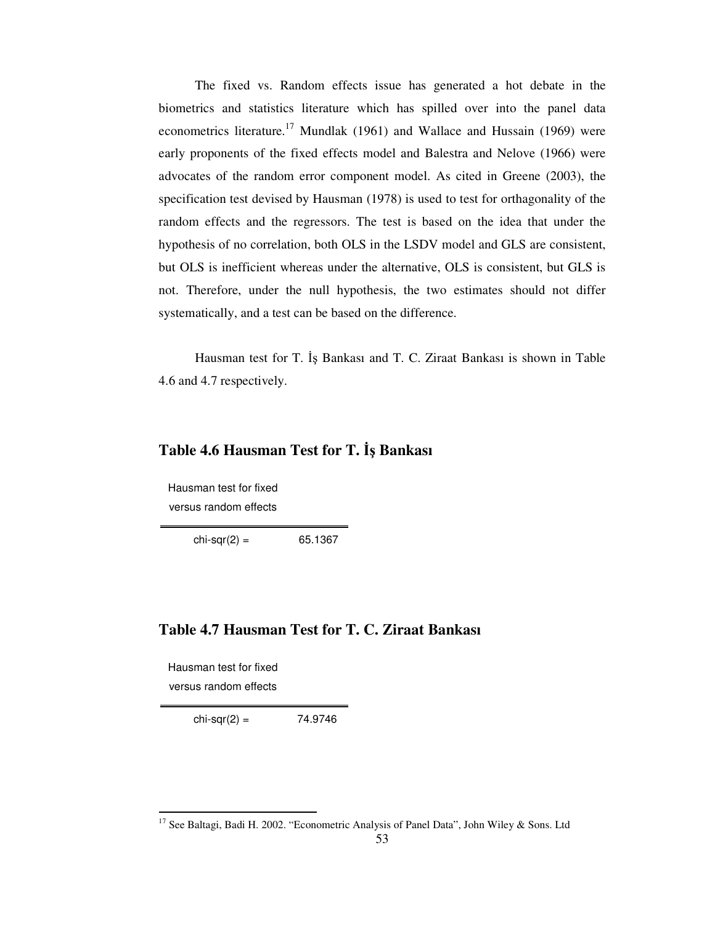The fixed vs. Random effects issue has generated a hot debate in the biometrics and statistics literature which has spilled over into the panel data econometrics literature.<sup>17</sup> Mundlak (1961) and Wallace and Hussain (1969) were early proponents of the fixed effects model and Balestra and Nelove (1966) were advocates of the random error component model. As cited in Greene (2003), the specification test devised by Hausman (1978) is used to test for orthagonality of the random effects and the regressors. The test is based on the idea that under the hypothesis of no correlation, both OLS in the LSDV model and GLS are consistent, but OLS is inefficient whereas under the alternative, OLS is consistent, but GLS is not. Therefore, under the null hypothesis, the two estimates should not differ systematically, and a test can be based on the difference.

Hausman test for T. İş Bankası and T. C. Ziraat Bankası is shown in Table 4.6 and 4.7 respectively.

### **Table 4.6 Hausman Test for T.** - **Bankası**

Hausman test for fixed versus random effects

 $chi-sqr(2) = 65.1367$ 

### **Table 4.7 Hausman Test for T. C. Ziraat Bankası**

Hausman test for fixed versus random effects

 $chi-sqr(2) = 74.9746$ 

<sup>&</sup>lt;sup>17</sup> See Baltagi, Badi H. 2002. "Econometric Analysis of Panel Data", John Wiley & Sons. Ltd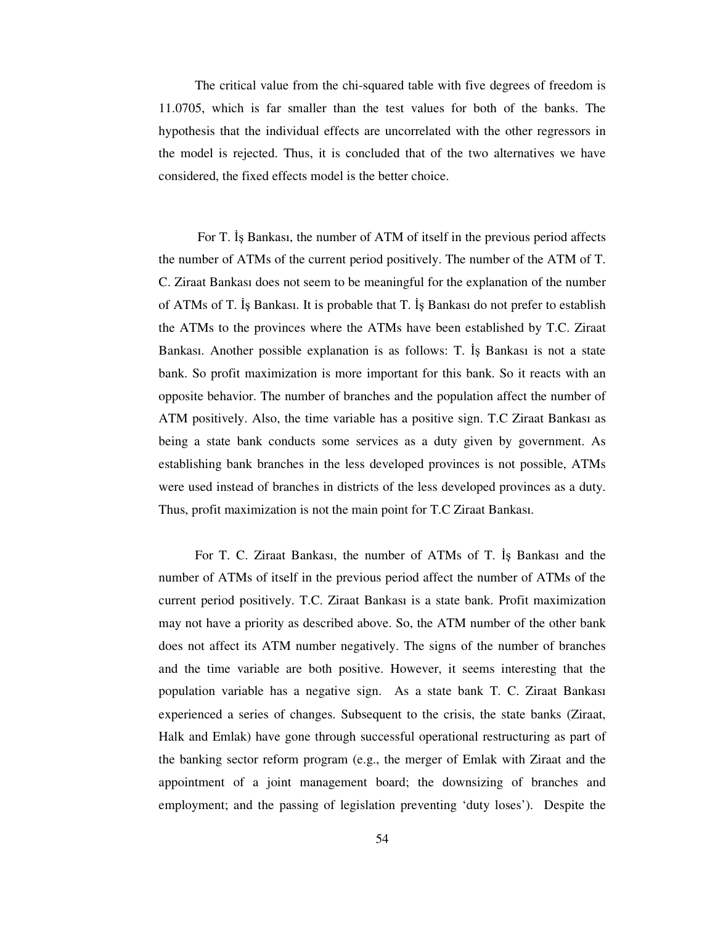The critical value from the chi-squared table with five degrees of freedom is 11.0705, which is far smaller than the test values for both of the banks. The hypothesis that the individual effects are uncorrelated with the other regressors in the model is rejected. Thus, it is concluded that of the two alternatives we have considered, the fixed effects model is the better choice.

For T. Is Bankasi, the number of ATM of itself in the previous period affects the number of ATMs of the current period positively. The number of the ATM of T. C. Ziraat Bankası does not seem to be meaningful for the explanation of the number of ATMs of T. Bankası. It is probable that T. Bankası do not prefer to establish the ATMs to the provinces where the ATMs have been established by T.C. Ziraat Bankası. Another possible explanation is as follows: T. Is Bankası is not a state bank. So profit maximization is more important for this bank. So it reacts with an opposite behavior. The number of branches and the population affect the number of ATM positively. Also, the time variable has a positive sign. T.C Ziraat Bankası as being a state bank conducts some services as a duty given by government. As establishing bank branches in the less developed provinces is not possible, ATMs were used instead of branches in districts of the less developed provinces as a duty. Thus, profit maximization is not the main point for T.C Ziraat Bankası.

For T. C. Ziraat Bankası, the number of ATMs of T. Is Bankası and the number of ATMs of itself in the previous period affect the number of ATMs of the current period positively. T.C. Ziraat Bankası is a state bank. Profit maximization may not have a priority as described above. So, the ATM number of the other bank does not affect its ATM number negatively. The signs of the number of branches and the time variable are both positive. However, it seems interesting that the population variable has a negative sign. As a state bank T. C. Ziraat Bankası experienced a series of changes. Subsequent to the crisis, the state banks (Ziraat, Halk and Emlak) have gone through successful operational restructuring as part of the banking sector reform program (e.g., the merger of Emlak with Ziraat and the appointment of a joint management board; the downsizing of branches and employment; and the passing of legislation preventing 'duty loses'). Despite the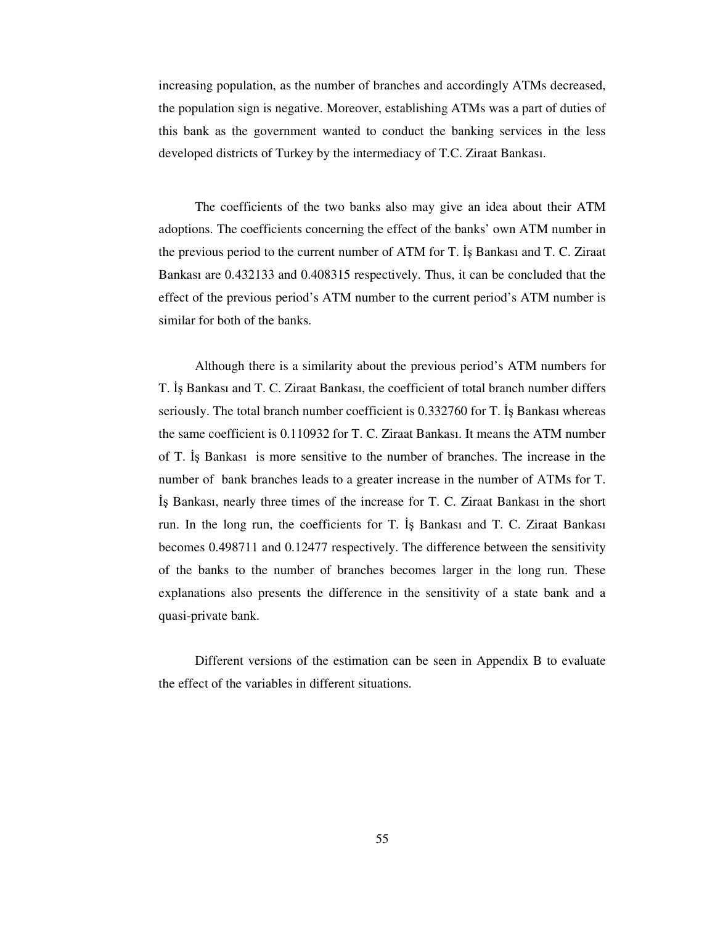increasing population, as the number of branches and accordingly ATMs decreased, the population sign is negative. Moreover, establishing ATMs was a part of duties of this bank as the government wanted to conduct the banking services in the less developed districts of Turkey by the intermediacy of T.C. Ziraat Bankası.

The coefficients of the two banks also may give an idea about their ATM adoptions. The coefficients concerning the effect of the banks' own ATM number in the previous period to the current number of ATM for T. Is Bankası and T. C. Ziraat Bankası are 0.432133 and 0.408315 respectively. Thus, it can be concluded that the effect of the previous period's ATM number to the current period's ATM number is similar for both of the banks.

Although there is a similarity about the previous period's ATM numbers for T. Is Bankası and T. C. Ziraat Bankası, the coefficient of total branch number differs seriously. The total branch number coefficient is 0.332760 for T. Is Bankası whereas the same coefficient is 0.110932 for T. C. Ziraat Bankası. It means the ATM number of T. Bankası is more sensitive to the number of branches. The increase in the number of bank branches leads to a greater increase in the number of ATMs for T. Bankası, nearly three times of the increase for T. C. Ziraat Bankası in the short run. In the long run, the coefficients for T. Bankası and T. C. Ziraat Bankası becomes 0.498711 and 0.12477 respectively. The difference between the sensitivity of the banks to the number of branches becomes larger in the long run. These explanations also presents the difference in the sensitivity of a state bank and a quasi-private bank.

Different versions of the estimation can be seen in Appendix B to evaluate the effect of the variables in different situations.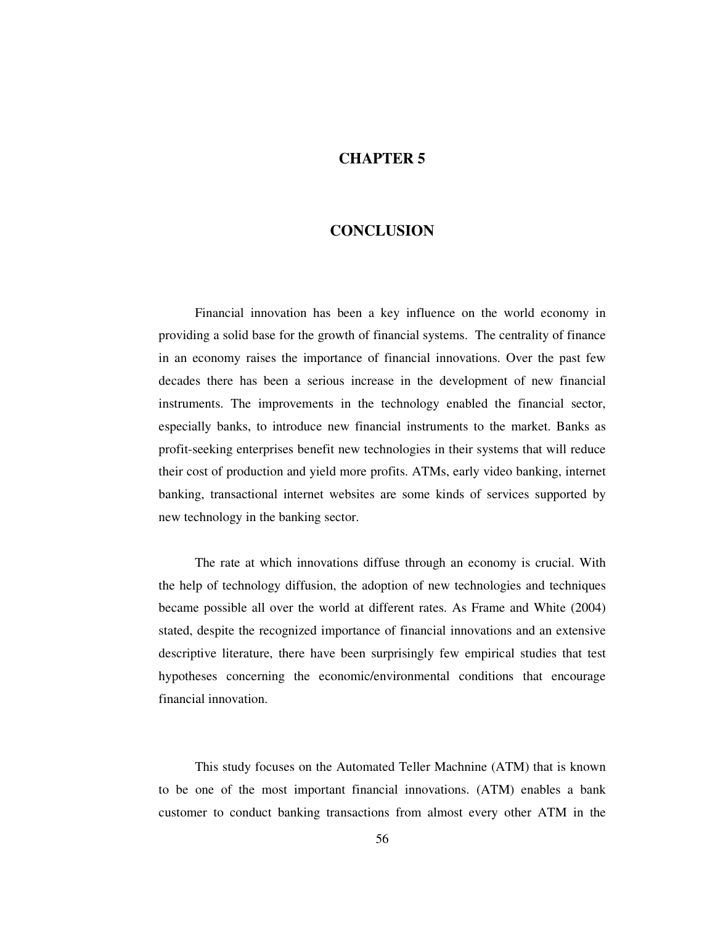### **CHAPTER 5**

### **CONCLUSION**

Financial innovation has been a key influence on the world economy in providing a solid base for the growth of financial systems. The centrality of finance in an economy raises the importance of financial innovations. Over the past few decades there has been a serious increase in the development of new financial instruments. The improvements in the technology enabled the financial sector, especially banks, to introduce new financial instruments to the market. Banks as profit-seeking enterprises benefit new technologies in their systems that will reduce their cost of production and yield more profits. ATMs, early video banking, internet banking, transactional internet websites are some kinds of services supported by new technology in the banking sector.

The rate at which innovations diffuse through an economy is crucial. With the help of technology diffusion, the adoption of new technologies and techniques became possible all over the world at different rates. As Frame and White (2004) stated, despite the recognized importance of financial innovations and an extensive descriptive literature, there have been surprisingly few empirical studies that test hypotheses concerning the economic/environmental conditions that encourage financial innovation.

This study focuses on the Automated Teller Machnine (ATM) that is known to be one of the most important financial innovations. (ATM) enables a bank customer to conduct banking transactions from almost every other ATM in the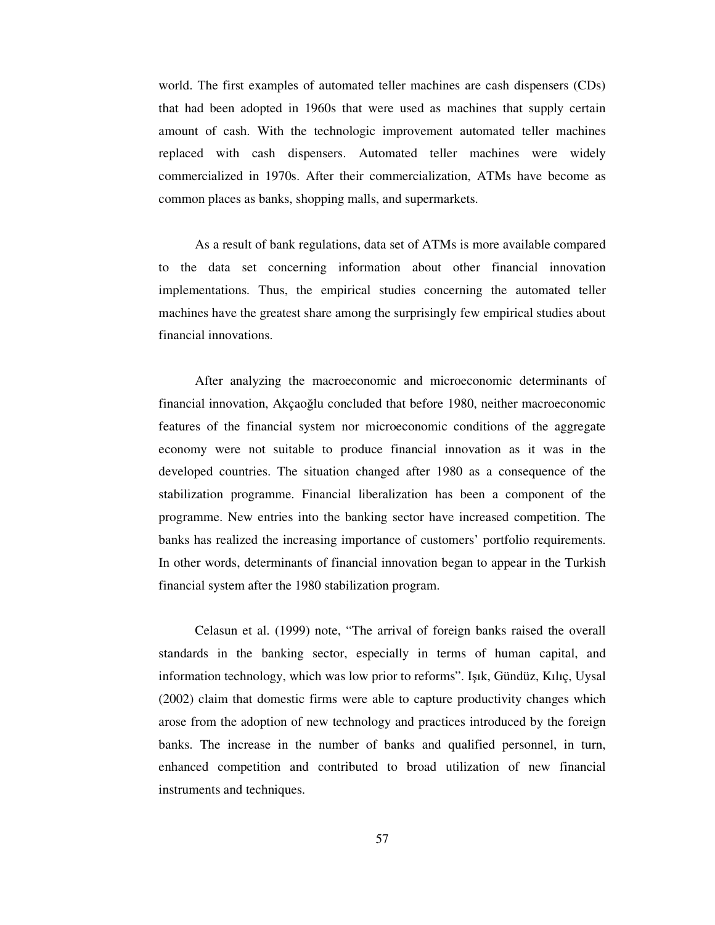world. The first examples of automated teller machines are cash dispensers (CDs) that had been adopted in 1960s that were used as machines that supply certain amount of cash. With the technologic improvement automated teller machines replaced with cash dispensers. Automated teller machines were widely commercialized in 1970s. After their commercialization, ATMs have become as common places as banks, shopping malls, and supermarkets.

As a result of bank regulations, data set of ATMs is more available compared to the data set concerning information about other financial innovation implementations. Thus, the empirical studies concerning the automated teller machines have the greatest share among the surprisingly few empirical studies about financial innovations.

After analyzing the macroeconomic and microeconomic determinants of financial innovation, Akçaoğlu concluded that before 1980, neither macroeconomic features of the financial system nor microeconomic conditions of the aggregate economy were not suitable to produce financial innovation as it was in the developed countries. The situation changed after 1980 as a consequence of the stabilization programme. Financial liberalization has been a component of the programme. New entries into the banking sector have increased competition. The banks has realized the increasing importance of customers' portfolio requirements. In other words, determinants of financial innovation began to appear in the Turkish financial system after the 1980 stabilization program.

Celasun et al. (1999) note, "The arrival of foreign banks raised the overall standards in the banking sector, especially in terms of human capital, and information technology, which was low prior to reforms". Işık, Gündüz, Kılıç, Uysal (2002) claim that domestic firms were able to capture productivity changes which arose from the adoption of new technology and practices introduced by the foreign banks. The increase in the number of banks and qualified personnel, in turn, enhanced competition and contributed to broad utilization of new financial instruments and techniques.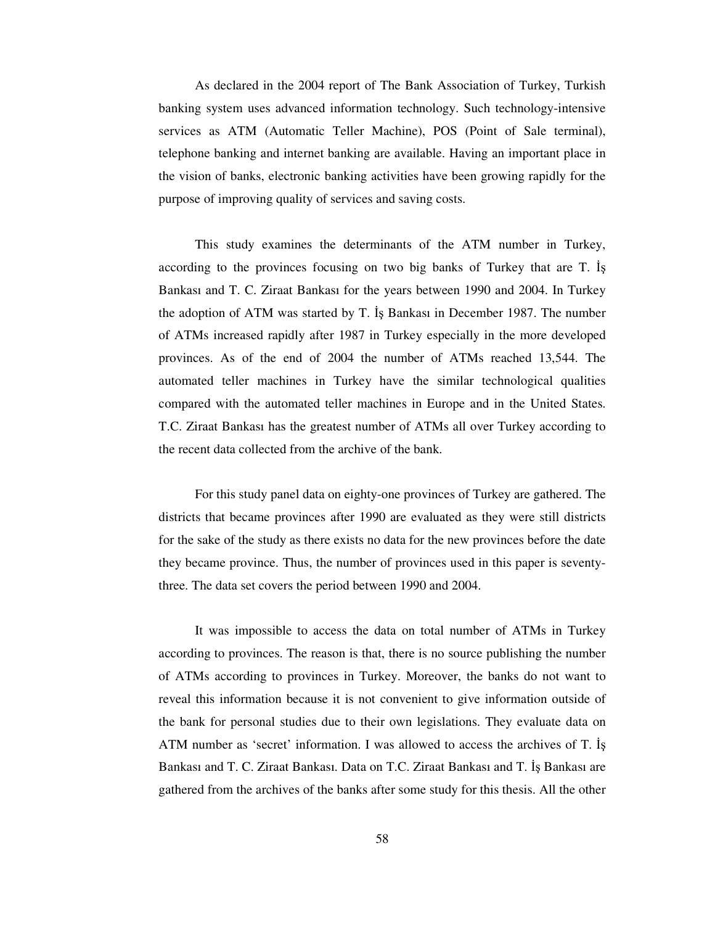As declared in the 2004 report of The Bank Association of Turkey, Turkish banking system uses advanced information technology. Such technology-intensive services as ATM (Automatic Teller Machine), POS (Point of Sale terminal), telephone banking and internet banking are available. Having an important place in the vision of banks, electronic banking activities have been growing rapidly for the purpose of improving quality of services and saving costs.

This study examines the determinants of the ATM number in Turkey, according to the provinces focusing on two big banks of Turkey that are T. Bankası and T. C. Ziraat Bankası for the years between 1990 and 2004. In Turkey the adoption of ATM was started by T. Is Bankasi in December 1987. The number of ATMs increased rapidly after 1987 in Turkey especially in the more developed provinces. As of the end of 2004 the number of ATMs reached 13,544. The automated teller machines in Turkey have the similar technological qualities compared with the automated teller machines in Europe and in the United States. T.C. Ziraat Bankası has the greatest number of ATMs all over Turkey according to the recent data collected from the archive of the bank.

For this study panel data on eighty-one provinces of Turkey are gathered. The districts that became provinces after 1990 are evaluated as they were still districts for the sake of the study as there exists no data for the new provinces before the date they became province. Thus, the number of provinces used in this paper is seventythree. The data set covers the period between 1990 and 2004.

It was impossible to access the data on total number of ATMs in Turkey according to provinces. The reason is that, there is no source publishing the number of ATMs according to provinces in Turkey. Moreover, the banks do not want to reveal this information because it is not convenient to give information outside of the bank for personal studies due to their own legislations. They evaluate data on ATM number as 'secret' information. I was allowed to access the archives of T. Bankası and T. C. Ziraat Bankası. Data on T.C. Ziraat Bankası and T. İş Bankası are gathered from the archives of the banks after some study for this thesis. All the other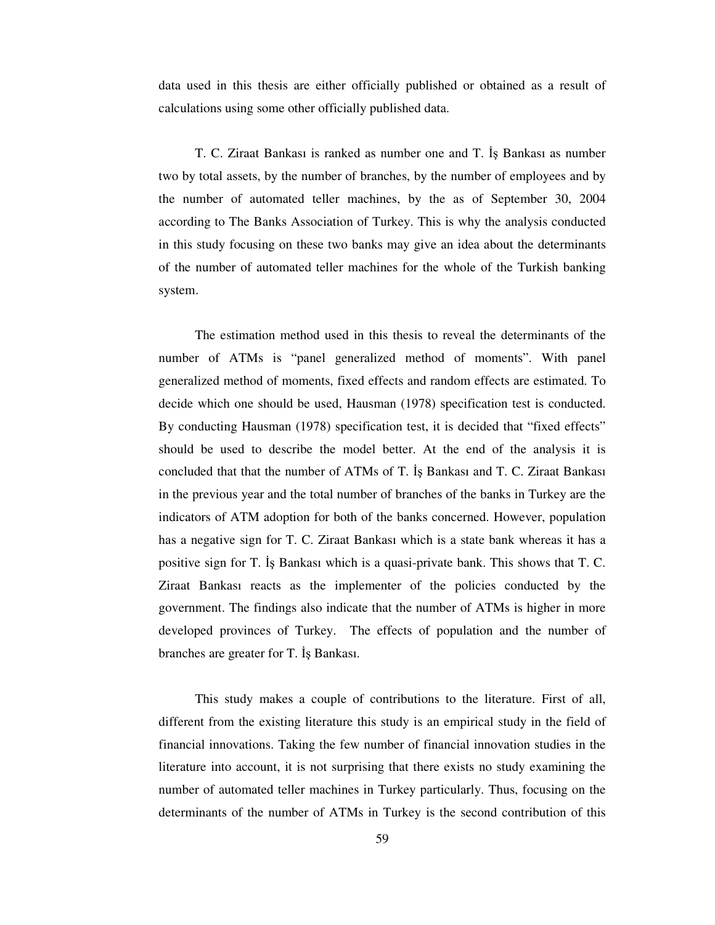data used in this thesis are either officially published or obtained as a result of calculations using some other officially published data.

T. C. Ziraat Bankası is ranked as number one and T. İş Bankası as number two by total assets, by the number of branches, by the number of employees and by the number of automated teller machines, by the as of September 30, 2004 according to The Banks Association of Turkey. This is why the analysis conducted in this study focusing on these two banks may give an idea about the determinants of the number of automated teller machines for the whole of the Turkish banking system.

The estimation method used in this thesis to reveal the determinants of the number of ATMs is "panel generalized method of moments". With panel generalized method of moments, fixed effects and random effects are estimated. To decide which one should be used, Hausman (1978) specification test is conducted. By conducting Hausman (1978) specification test, it is decided that "fixed effects" should be used to describe the model better. At the end of the analysis it is concluded that that the number of ATMs of T. Bankası and T. C. Ziraat Bankası in the previous year and the total number of branches of the banks in Turkey are the indicators of ATM adoption for both of the banks concerned. However, population has a negative sign for T. C. Ziraat Bankası which is a state bank whereas it has a positive sign for T. Bankası which is a quasi-private bank. This shows that T. C. Ziraat Bankası reacts as the implementer of the policies conducted by the government. The findings also indicate that the number of ATMs is higher in more developed provinces of Turkey. The effects of population and the number of branches are greater for T. Is Bankasi.

This study makes a couple of contributions to the literature. First of all, different from the existing literature this study is an empirical study in the field of financial innovations. Taking the few number of financial innovation studies in the literature into account, it is not surprising that there exists no study examining the number of automated teller machines in Turkey particularly. Thus, focusing on the determinants of the number of ATMs in Turkey is the second contribution of this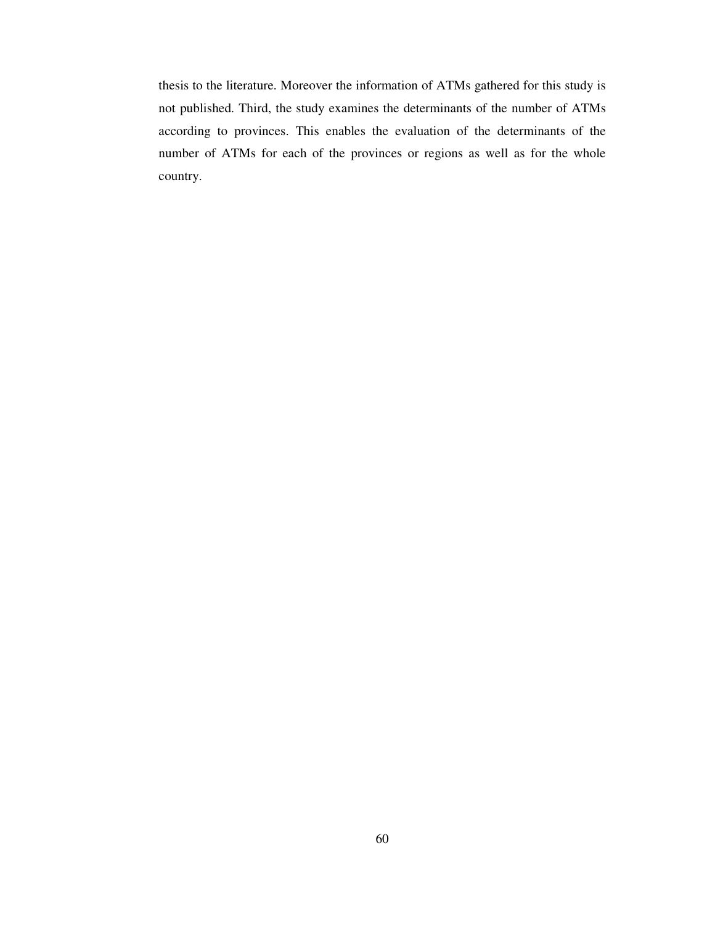thesis to the literature. Moreover the information of ATMs gathered for this study is not published. Third, the study examines the determinants of the number of ATMs according to provinces. This enables the evaluation of the determinants of the number of ATMs for each of the provinces or regions as well as for the whole country.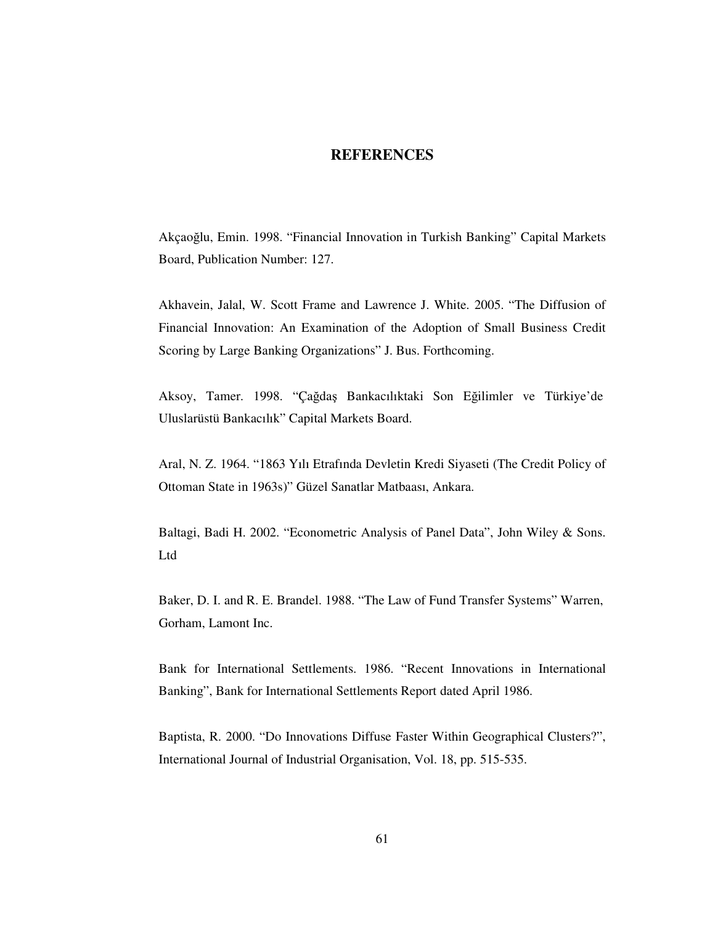#### **REFERENCES**

Akçaoğlu, Emin. 1998. "Financial Innovation in Turkish Banking" Capital Markets Board, Publication Number: 127.

Akhavein, Jalal, W. Scott Frame and Lawrence J. White. 2005. "The Diffusion of Financial Innovation: An Examination of the Adoption of Small Business Credit Scoring by Large Banking Organizations" J. Bus. Forthcoming.

Aksoy, Tamer. 1998. "Çağdaş Bankacılıktaki Son Eğilimler ve Türkiye'de Uluslarüstü Bankacılık" Capital Markets Board.

Aral, N. Z. 1964. "1863 Yılı Etrafında Devletin Kredi Siyaseti (The Credit Policy of Ottoman State in 1963s)" Güzel Sanatlar Matbaası, Ankara.

Baltagi, Badi H. 2002. "Econometric Analysis of Panel Data", John Wiley & Sons. Ltd

Baker, D. I. and R. E. Brandel. 1988. "The Law of Fund Transfer Systems" Warren, Gorham, Lamont Inc.

Bank for International Settlements. 1986. "Recent Innovations in International Banking", Bank for International Settlements Report dated April 1986.

Baptista, R. 2000. "Do Innovations Diffuse Faster Within Geographical Clusters?", International Journal of Industrial Organisation, Vol. 18, pp. 515-535.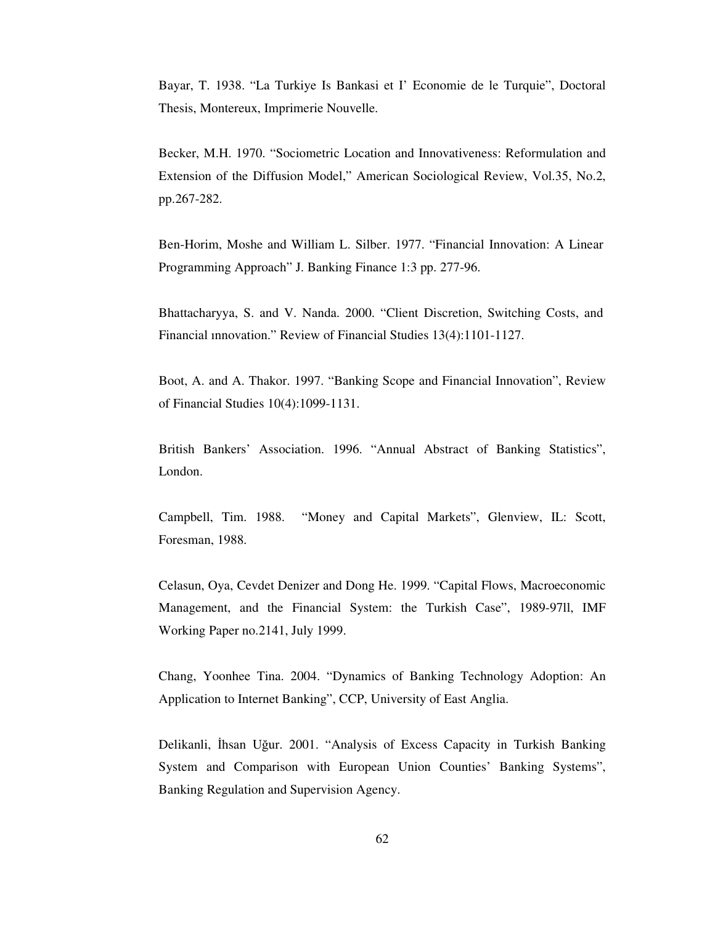Bayar, T. 1938. "La Turkiye Is Bankasi et I' Economie de le Turquie", Doctoral Thesis, Montereux, Imprimerie Nouvelle.

Becker, M.H. 1970. "Sociometric Location and Innovativeness: Reformulation and Extension of the Diffusion Model," American Sociological Review, Vol.35, No.2, pp.267-282.

Ben-Horim, Moshe and William L. Silber. 1977. "Financial Innovation: A Linear Programming Approach" J. Banking Finance 1:3 pp. 277-96.

Bhattacharyya, S. and V. Nanda. 2000. "Client Discretion, Switching Costs, and Financial ınnovation." Review of Financial Studies 13(4):1101-1127.

Boot, A. and A. Thakor. 1997. "Banking Scope and Financial Innovation", Review of Financial Studies 10(4):1099-1131.

British Bankers' Association. 1996. "Annual Abstract of Banking Statistics", London.

Campbell, Tim. 1988. "Money and Capital Markets", Glenview, IL: Scott, Foresman, 1988.

Celasun, Oya, Cevdet Denizer and Dong He. 1999. "Capital Flows, Macroeconomic Management, and the Financial System: the Turkish Case", 1989-97ll, IMF Working Paper no.2141, July 1999.

Chang, Yoonhee Tina. 2004. "Dynamics of Banking Technology Adoption: An Application to Internet Banking", CCP, University of East Anglia.

Delikanli, İhsan Uğur. 2001. "Analysis of Excess Capacity in Turkish Banking System and Comparison with European Union Counties' Banking Systems", Banking Regulation and Supervision Agency.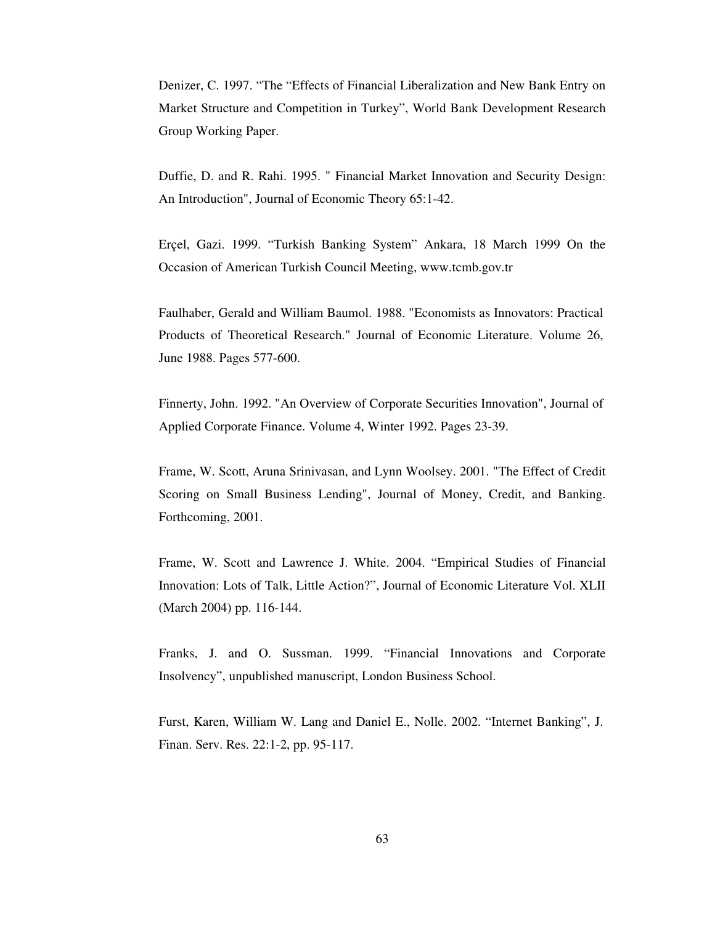Denizer, C. 1997. "The "Effects of Financial Liberalization and New Bank Entry on Market Structure and Competition in Turkey", World Bank Development Research Group Working Paper.

Duffie, D. and R. Rahi. 1995. " Financial Market Innovation and Security Design: An Introduction", Journal of Economic Theory 65:1-42.

Erçel, Gazi. 1999. "Turkish Banking System" Ankara, 18 March 1999 On the Occasion of American Turkish Council Meeting, www.tcmb.gov.tr

Faulhaber, Gerald and William Baumol. 1988. "Economists as Innovators: Practical Products of Theoretical Research." Journal of Economic Literature. Volume 26, June 1988. Pages 577-600.

Finnerty, John. 1992. "An Overview of Corporate Securities Innovation", Journal of Applied Corporate Finance. Volume 4, Winter 1992. Pages 23-39.

Frame, W. Scott, Aruna Srinivasan, and Lynn Woolsey. 2001. "The Effect of Credit Scoring on Small Business Lending", Journal of Money, Credit, and Banking. Forthcoming, 2001.

Frame, W. Scott and Lawrence J. White. 2004. "Empirical Studies of Financial Innovation: Lots of Talk, Little Action?", Journal of Economic Literature Vol. XLII (March 2004) pp. 116-144.

Franks, J. and O. Sussman. 1999. "Financial Innovations and Corporate Insolvency", unpublished manuscript, London Business School.

Furst, Karen, William W. Lang and Daniel E., Nolle. 2002. "Internet Banking", J. Finan. Serv. Res. 22:1-2, pp. 95-117.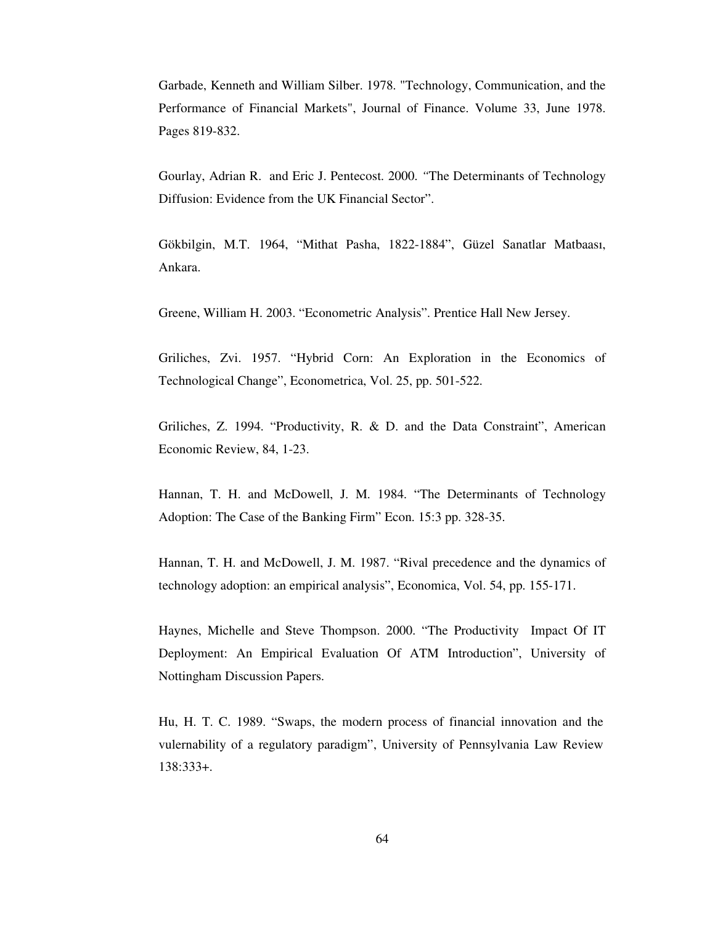Garbade, Kenneth and William Silber. 1978. "Technology, Communication, and the Performance of Financial Markets", Journal of Finance. Volume 33, June 1978. Pages 819-832.

Gourlay, Adrian R. and Eric J. Pentecost. 2000. *"*The Determinants of Technology Diffusion: Evidence from the UK Financial Sector".

Gökbilgin, M.T. 1964, "Mithat Pasha, 1822-1884", Güzel Sanatlar Matbaası, Ankara.

Greene, William H. 2003. "Econometric Analysis". Prentice Hall New Jersey.

Griliches, Zvi. 1957. "Hybrid Corn: An Exploration in the Economics of Technological Change", Econometrica, Vol. 25, pp. 501-522.

Griliches, Z. 1994. "Productivity, R. & D. and the Data Constraint", American Economic Review, 84, 1-23.

Hannan, T. H. and McDowell, J. M. 1984. "The Determinants of Technology Adoption: The Case of the Banking Firm" Econ. 15:3 pp. 328-35.

Hannan, T. H. and McDowell, J. M. 1987. "Rival precedence and the dynamics of technology adoption: an empirical analysis", Economica, Vol. 54, pp. 155-171.

Haynes, Michelle and Steve Thompson. 2000. "The Productivity Impact Of IT Deployment: An Empirical Evaluation Of ATM Introduction", University of Nottingham Discussion Papers.

Hu, H. T. C. 1989. "Swaps, the modern process of financial innovation and the vulernability of a regulatory paradigm", University of Pennsylvania Law Review 138:333+.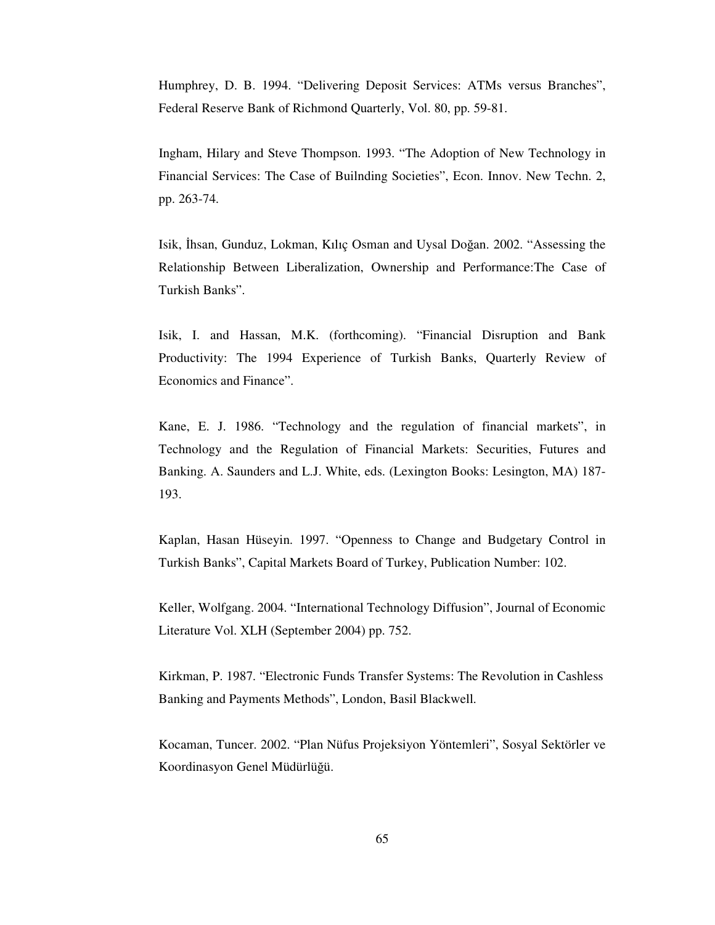Humphrey, D. B. 1994. "Delivering Deposit Services: ATMs versus Branches", Federal Reserve Bank of Richmond Quarterly, Vol. 80, pp. 59-81.

Ingham, Hilary and Steve Thompson. 1993. "The Adoption of New Technology in Financial Services: The Case of Builnding Societies", Econ. Innov. New Techn. 2, pp. 263-74.

Isik, İhsan, Gunduz, Lokman, Kılıç Osman and Uysal Doğan. 2002. "Assessing the Relationship Between Liberalization, Ownership and Performance:The Case of Turkish Banks".

Isik, I. and Hassan, M.K. (forthcoming). "Financial Disruption and Bank Productivity: The 1994 Experience of Turkish Banks, Quarterly Review of Economics and Finance".

Kane, E. J. 1986. "Technology and the regulation of financial markets", in Technology and the Regulation of Financial Markets: Securities, Futures and Banking. A. Saunders and L.J. White, eds. (Lexington Books: Lesington, MA) 187- 193.

Kaplan, Hasan Hüseyin. 1997. "Openness to Change and Budgetary Control in Turkish Banks", Capital Markets Board of Turkey, Publication Number: 102.

Keller, Wolfgang. 2004. "International Technology Diffusion", Journal of Economic Literature Vol. XLH (September 2004) pp. 752.

Kirkman, P. 1987. "Electronic Funds Transfer Systems: The Revolution in Cashless Banking and Payments Methods", London, Basil Blackwell.

Kocaman, Tuncer. 2002. "Plan Nüfus Projeksiyon Yöntemleri", Sosyal Sektörler ve Koordinasyon Genel Müdürlüğü.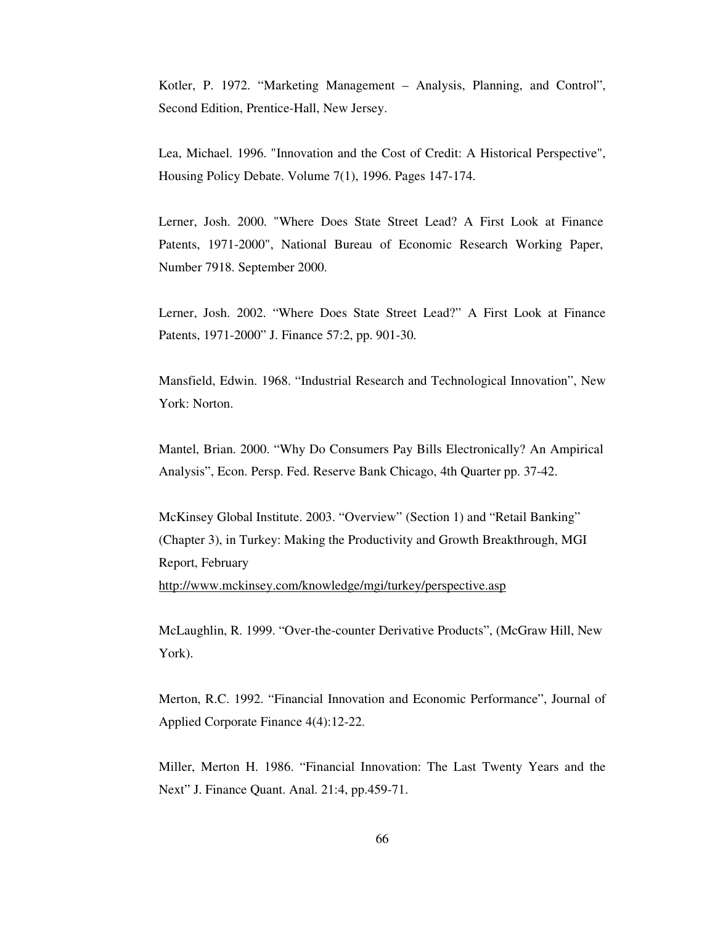Kotler, P. 1972. "Marketing Management – Analysis, Planning, and Control", Second Edition, Prentice-Hall, New Jersey.

Lea, Michael. 1996. "Innovation and the Cost of Credit: A Historical Perspective", Housing Policy Debate. Volume 7(1), 1996. Pages 147-174.

Lerner, Josh. 2000. "Where Does State Street Lead? A First Look at Finance Patents, 1971-2000", National Bureau of Economic Research Working Paper, Number 7918. September 2000.

Lerner, Josh. 2002. "Where Does State Street Lead?" A First Look at Finance Patents, 1971-2000" J. Finance 57:2, pp. 901-30.

Mansfield, Edwin. 1968. "Industrial Research and Technological Innovation", New York: Norton.

Mantel, Brian. 2000. "Why Do Consumers Pay Bills Electronically? An Ampirical Analysis", Econ. Persp. Fed. Reserve Bank Chicago, 4th Quarter pp. 37-42.

McKinsey Global Institute. 2003. "Overview" (Section 1) and "Retail Banking" (Chapter 3), in Turkey: Making the Productivity and Growth Breakthrough, MGI Report, February http://www.mckinsey.com/knowledge/mgi/turkey/perspective.asp

McLaughlin, R. 1999. "Over-the-counter Derivative Products", (McGraw Hill, New York).

Merton, R.C. 1992. "Financial Innovation and Economic Performance", Journal of Applied Corporate Finance 4(4):12-22.

Miller, Merton H. 1986. "Financial Innovation: The Last Twenty Years and the Next" J. Finance Quant. Anal. 21:4, pp.459-71.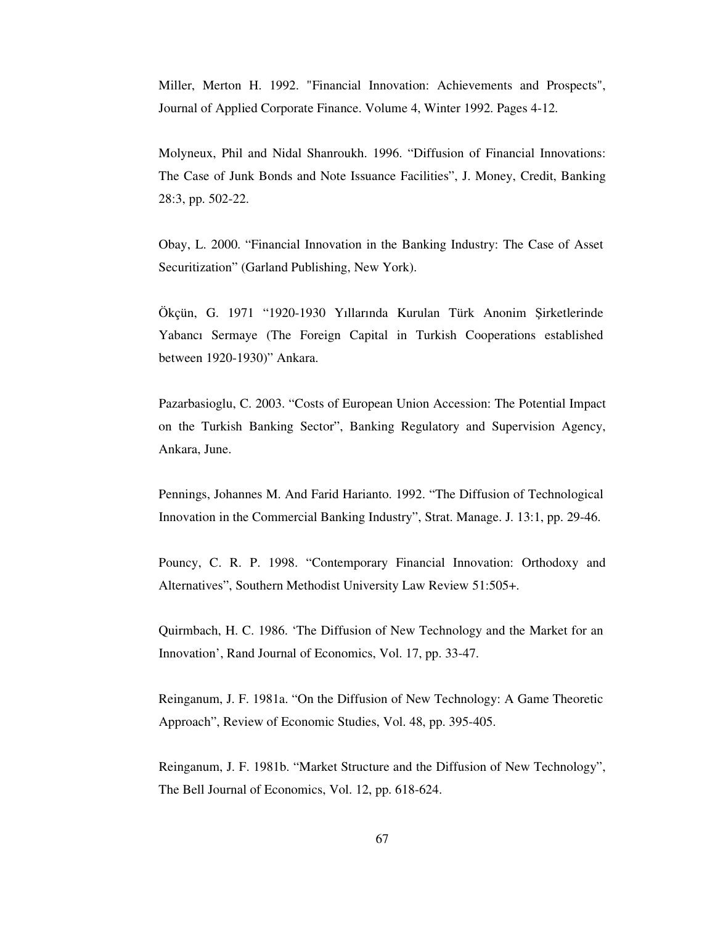Miller, Merton H. 1992. "Financial Innovation: Achievements and Prospects", Journal of Applied Corporate Finance. Volume 4, Winter 1992. Pages 4-12.

Molyneux, Phil and Nidal Shanroukh. 1996. "Diffusion of Financial Innovations: The Case of Junk Bonds and Note Issuance Facilities", J. Money, Credit, Banking 28:3, pp. 502-22.

Obay, L. 2000. "Financial Innovation in the Banking Industry: The Case of Asset Securitization" (Garland Publishing, New York).

Ökçün, G. 1971 "1920-1930 Yıllarında Kurulan Türk Anonim Şirketlerinde Yabancı Sermaye (The Foreign Capital in Turkish Cooperations established between 1920-1930)" Ankara.

Pazarbasioglu, C. 2003. "Costs of European Union Accession: The Potential Impact on the Turkish Banking Sector", Banking Regulatory and Supervision Agency, Ankara, June.

Pennings, Johannes M. And Farid Harianto. 1992. "The Diffusion of Technological Innovation in the Commercial Banking Industry", Strat. Manage. J. 13:1, pp. 29-46.

Pouncy, C. R. P. 1998. "Contemporary Financial Innovation: Orthodoxy and Alternatives", Southern Methodist University Law Review 51:505+.

Quirmbach, H. C. 1986. 'The Diffusion of New Technology and the Market for an Innovation', Rand Journal of Economics, Vol. 17, pp. 33-47.

Reinganum, J. F. 1981a. "On the Diffusion of New Technology: A Game Theoretic Approach", Review of Economic Studies, Vol. 48, pp. 395-405.

Reinganum, J. F. 1981b. "Market Structure and the Diffusion of New Technology", The Bell Journal of Economics, Vol. 12, pp. 618-624.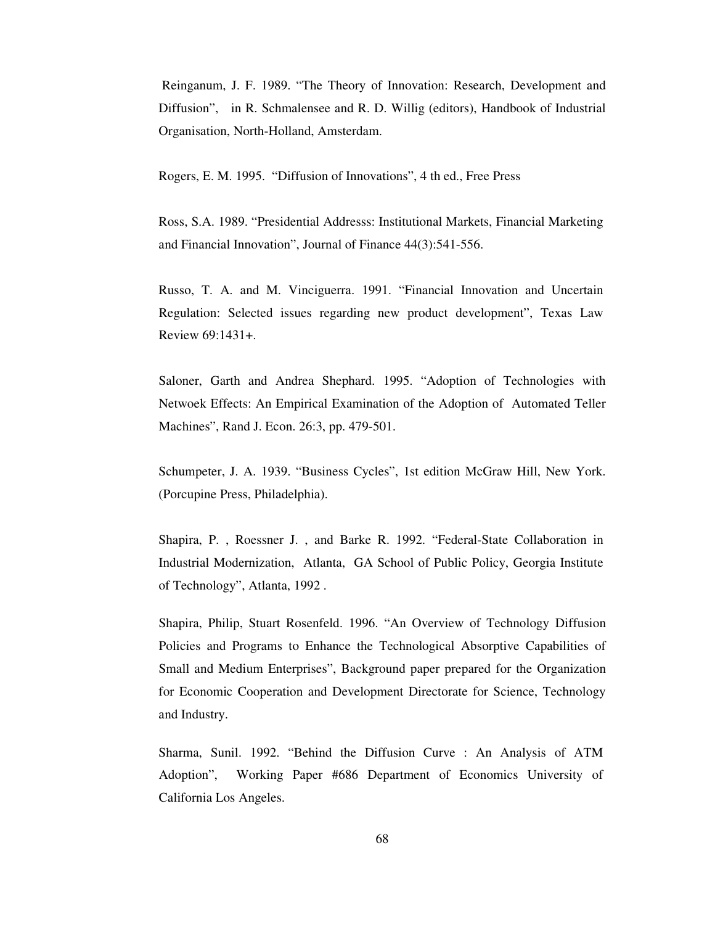Reinganum, J. F. 1989. "The Theory of Innovation: Research, Development and Diffusion", in R. Schmalensee and R. D. Willig (editors), Handbook of Industrial Organisation, North-Holland, Amsterdam.

Rogers, E. M. 1995. "Diffusion of Innovations", 4 th ed., Free Press

Ross, S.A. 1989. "Presidential Addresss: Institutional Markets, Financial Marketing and Financial Innovation", Journal of Finance 44(3):541-556.

Russo, T. A. and M. Vinciguerra. 1991. "Financial Innovation and Uncertain Regulation: Selected issues regarding new product development", Texas Law Review 69:1431+.

Saloner, Garth and Andrea Shephard. 1995. "Adoption of Technologies with Netwoek Effects: An Empirical Examination of the Adoption of Automated Teller Machines", Rand J. Econ. 26:3, pp. 479-501.

Schumpeter, J. A. 1939. "Business Cycles", 1st edition McGraw Hill, New York. (Porcupine Press, Philadelphia).

Shapira, P. , Roessner J. , and Barke R. 1992. "Federal-State Collaboration in Industrial Modernization, Atlanta, GA School of Public Policy, Georgia Institute of Technology", Atlanta, 1992 .

Shapira, Philip, Stuart Rosenfeld. 1996. "An Overview of Technology Diffusion Policies and Programs to Enhance the Technological Absorptive Capabilities of Small and Medium Enterprises", Background paper prepared for the Organization for Economic Cooperation and Development Directorate for Science, Technology and Industry.

Sharma, Sunil. 1992. "Behind the Diffusion Curve : An Analysis of ATM Adoption", Working Paper #686 Department of Economics University of California Los Angeles.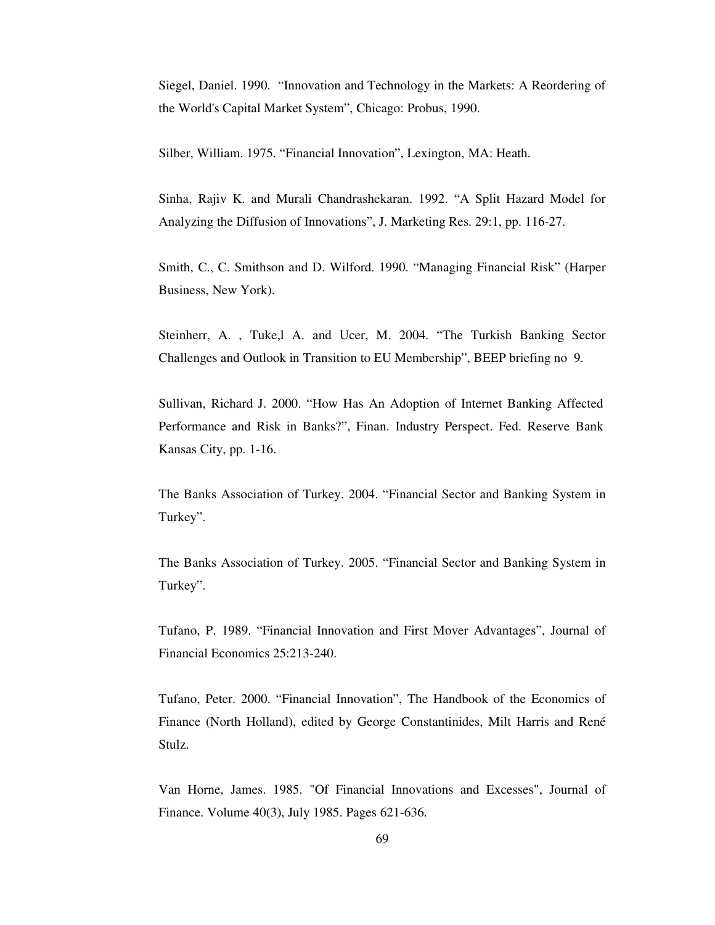Siegel, Daniel. 1990. "Innovation and Technology in the Markets: A Reordering of the World's Capital Market System", Chicago: Probus, 1990.

Silber, William. 1975. "Financial Innovation", Lexington, MA: Heath.

Sinha, Rajiv K. and Murali Chandrashekaran. 1992. "A Split Hazard Model for Analyzing the Diffusion of Innovations", J. Marketing Res. 29:1, pp. 116-27.

Smith, C., C. Smithson and D. Wilford. 1990. "Managing Financial Risk" (Harper Business, New York).

Steinherr, A. , Tuke,l A. and Ucer, M. 2004. "The Turkish Banking Sector Challenges and Outlook in Transition to EU Membership", BEEP briefing no 9.

Sullivan, Richard J. 2000. "How Has An Adoption of Internet Banking Affected Performance and Risk in Banks?", Finan. Industry Perspect. Fed. Reserve Bank Kansas City, pp. 1-16.

The Banks Association of Turkey. 2004. "Financial Sector and Banking System in Turkey".

The Banks Association of Turkey. 2005. "Financial Sector and Banking System in Turkey".

Tufano, P. 1989. "Financial Innovation and First Mover Advantages", Journal of Financial Economics 25:213-240.

Tufano, Peter. 2000. "Financial Innovation", The Handbook of the Economics of Finance (North Holland), edited by George Constantinides, Milt Harris and René Stulz.

Van Horne, James. 1985. "Of Financial Innovations and Excesses", Journal of Finance. Volume 40(3), July 1985. Pages 621-636.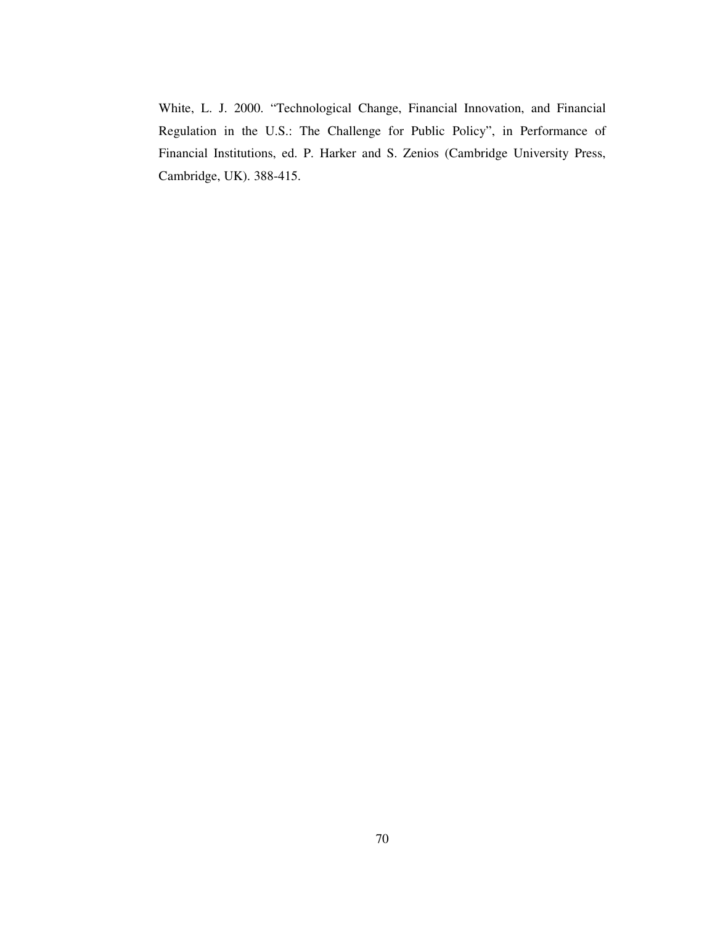White, L. J. 2000. "Technological Change, Financial Innovation, and Financial Regulation in the U.S.: The Challenge for Public Policy", in Performance of Financial Institutions, ed. P. Harker and S. Zenios (Cambridge University Press, Cambridge, UK). 388-415.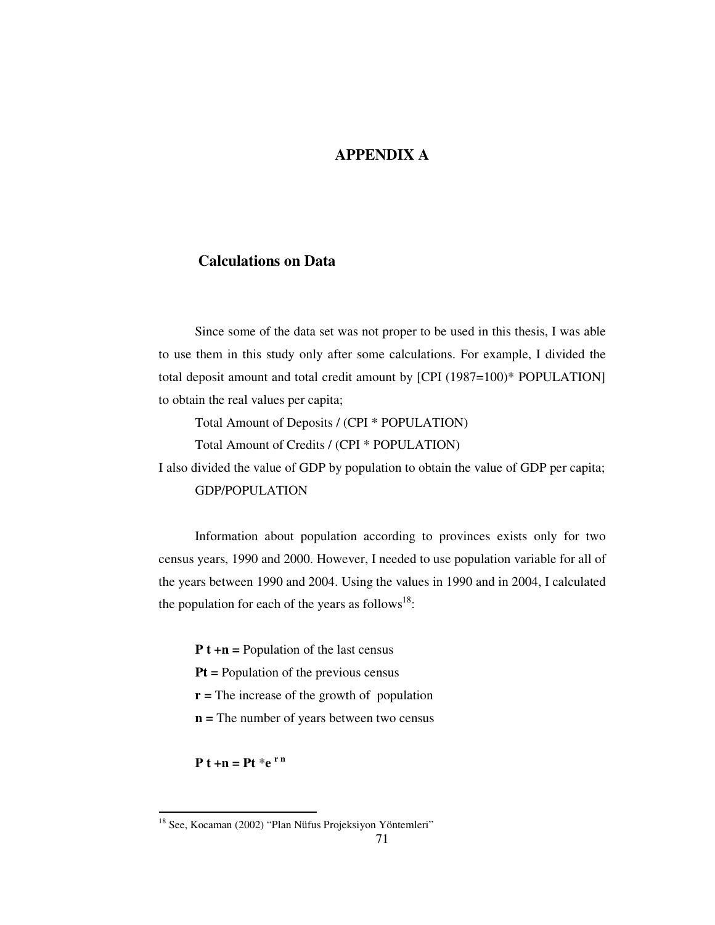### **APPENDIX A**

#### **Calculations on Data**

Since some of the data set was not proper to be used in this thesis, I was able to use them in this study only after some calculations. For example, I divided the total deposit amount and total credit amount by [CPI (1987=100)\* POPULATION] to obtain the real values per capita;

Total Amount of Deposits / (CPI \* POPULATION)

Total Amount of Credits / (CPI \* POPULATION)

I also divided the value of GDP by population to obtain the value of GDP per capita; GDP/POPULATION

Information about population according to provinces exists only for two census years, 1990 and 2000. However, I needed to use population variable for all of the years between 1990 and 2004. Using the values in 1990 and in 2004, I calculated the population for each of the years as follows $^{18}$ :

**P t +n =** Population of the last census

**Pt =** Population of the previous census

- **r =** The increase of the growth of population
- **n =** The number of years between two census

 $P t + n = P t * e^{rn}$ 

<sup>&</sup>lt;sup>18</sup> See, Kocaman (2002) "Plan Nüfus Projeksiyon Yöntemleri"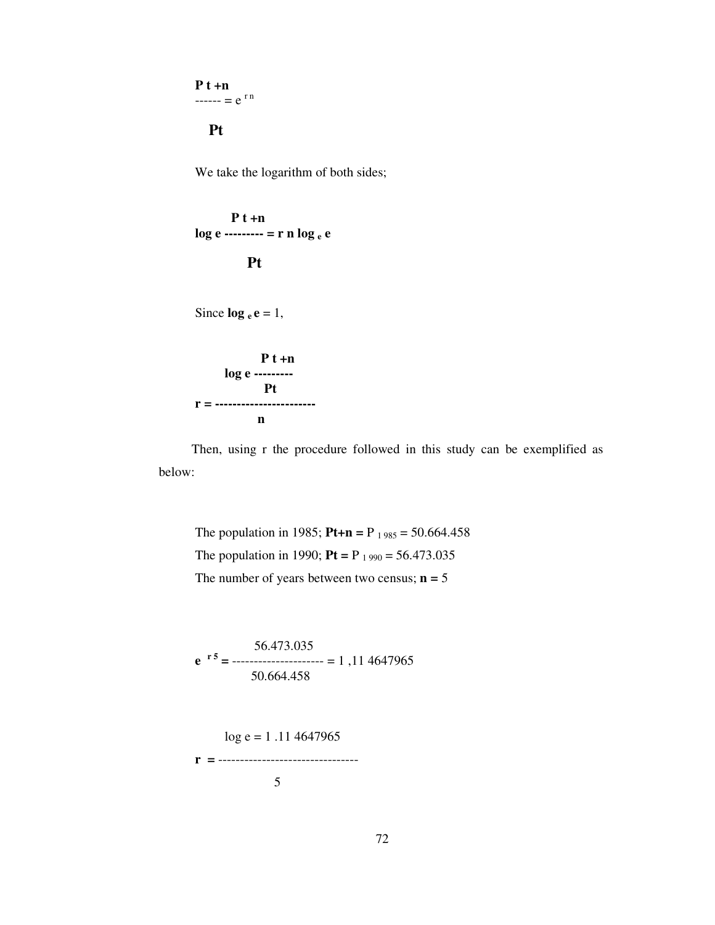**P t +n**  $---=e^{rn}$ 

**Pt**

We take the logarithm of both sides;

**P t +n log e --------- = r n log <sup>e</sup> e Pt**

Since  $\log_e e = 1$ ,

$$
\begin{array}{c}\n P t + n \\
\log e\n \end{array}
$$
\n
$$
r = \frac{P t}{n}
$$

Then, using r the procedure followed in this study can be exemplified as below:

The population in 1985; **Pt+n** = P<sub>1985</sub> = 50.664.458 The population in 1990;  $Pt = P_{1990} = 56.473.035$ The number of years between two census;  $n = 5$ 

56.473.035 **e r 5 =** --------------------- = 1 ,11 4647965 50.664.458

$$
\log e = 1.11\,4647965
$$
  
**r** = 33332333555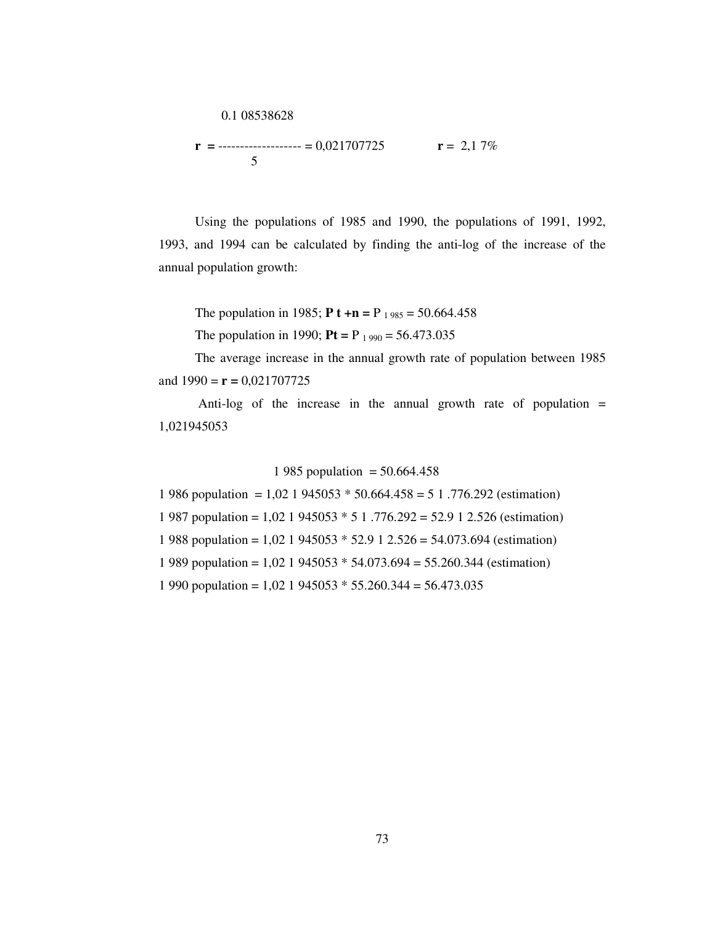$$
0.1\ 08538628
$$

$$
\mathbf{r} = \frac{1}{5} \quad \text{or} \quad \mathbf{r} = 2.17\%
$$

Using the populations of 1985 and 1990, the populations of 1991, 1992, 1993, and 1994 can be calculated by finding the anti-log of the increase of the annual population growth:

The population in 1985; **P t** +n = P  $_{1.985}$  = 50.664.458

The population in 1990; **Pt** = P<sub>1990</sub> = 56.473.035

The average increase in the annual growth rate of population between 1985 and  $1990 = r = 0,021707725$ 

Anti-log of the increase in the annual growth rate of population = 1,021945053

#### 1 985 population =  $50.664.458$

 986 population = 1,02 1 945053 \* 50.664.458 = 5 1 .776.292 (estimation) 987 population = 1,02 1 945053 \* 5 1 .776.292 = 52.9 1 2.526 (estimation) 988 population = 1,02 1 945053 \* 52.9 1 2.526 = 54.073.694 (estimation) 989 population = 1,02 1 945053 \* 54.073.694 = 55.260.344 (estimation) 1 990 population =  $1,02$  1 945053  $*$  55.260.344 = 56.473.035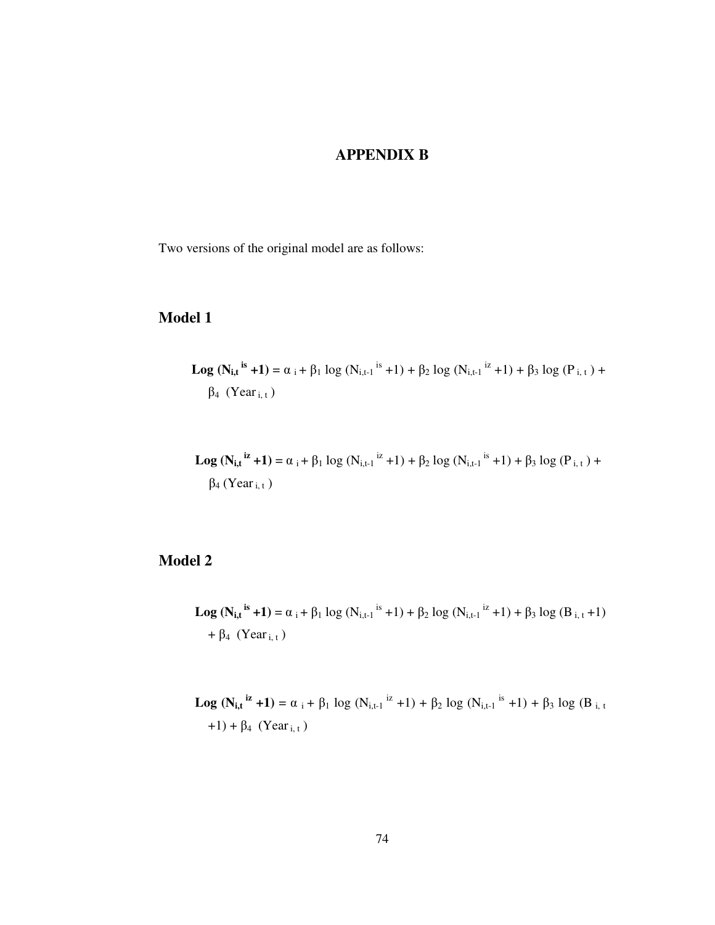#### **APPENDIX B**

Two versions of the original model are as follows:

### **Model 1**

**Log (Ni,t is +1)** = <sup>i</sup> + <sup>1</sup> log (Ni,t-1 is +1) + <sup>2</sup> log (Ni,t-1 iz +1) + <sup>3</sup> log (P i, <sup>t</sup> ) + <sup>4</sup> (Yeari, <sup>t</sup> )

**Log**  $(N_{i,t}^{i\mathbf{z}}+1) = \alpha_i + \beta_1 \log (N_{i,t-1}^{i\mathbf{z}}+1) + \beta_2 \log (N_{i,t-1}^{i\mathbf{s}}+1) + \beta_3 \log (P_{i,t}) +$  $\beta_4$  (Year <sub>i, t</sub>)

### **Model 2**

**Log**  $(N_{i,t}^{i}$ <sup>is</sup> +1) =  $\alpha_i$  +  $\beta_1$  log  $(N_{i,t-1}^{i}$ <sup>is</sup> +1) +  $\beta_2$  log  $(N_{i,t-1}^{i}$ i<sup>z</sup> +1) +  $\beta_3$  log  $(B_{i,t}$  +1) +  $\beta$ <sub>4</sub> (Year<sub>i, t</sub>)

**Log**  $(N_{i,t}^{i\mathbf{z}} + 1) = \alpha_i + \beta_1 \log (N_{i,t-1}^{i\mathbf{z}} + 1) + \beta_2 \log (N_{i,t-1}^{i\mathbf{z}} + 1) + \beta_3 \log (B_{i,t}^{i\mathbf{z}} + 1)$  $+1) + \beta_4$  (Year<sub>i,t</sub>)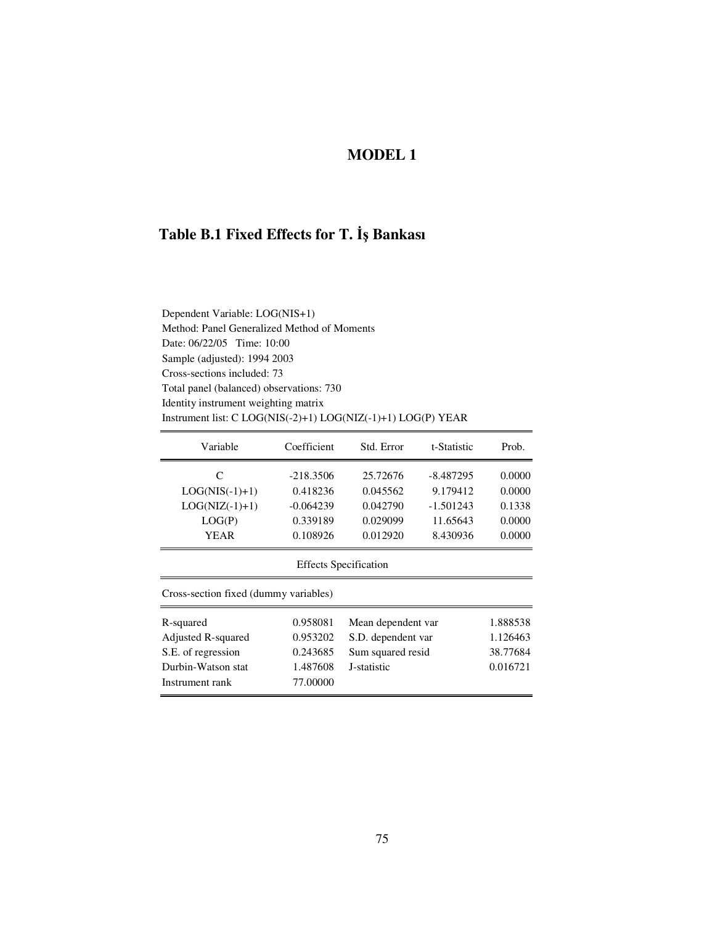# **MODEL 1**

### **Table B.1 Fixed Effects for T.** - **Bankası**

| Variable         | Coefficient          | Std. Error | t-Statistic | Prob.  |
|------------------|----------------------|------------|-------------|--------|
| C                | $-218.3506$          | 25.72676   | $-8.487295$ | 0.0000 |
| $LOG(NIS(-1)+1)$ | 0.418236             | 0.045562   | 9.179412    | 0.0000 |
| $LOG(NIZ(-1)+1)$ | $-0.064239$          | 0.042790   | $-1.501243$ | 0.1338 |
| LOG(P)           | 0.339189             | 0.029099   | 11.65643    | 0.0000 |
| YEAR             | 0.108926             | 0.012920   | 8.430936    | 0.0000 |
|                  | Effects Coordination |            |             |        |

Effects Specification

Cross-section fixed (dummy variables)

| R-squared          | 0.958081 | Mean dependent var | 1.888538 |
|--------------------|----------|--------------------|----------|
| Adjusted R-squared | 0.953202 | S.D. dependent var | 1.126463 |
| S.E. of regression | 0.243685 | Sum squared resid  | 38.77684 |
| Durbin-Watson stat | 1.487608 | J-statistic        | 0.016721 |
| Instrument rank    | 77.00000 |                    |          |
|                    |          |                    |          |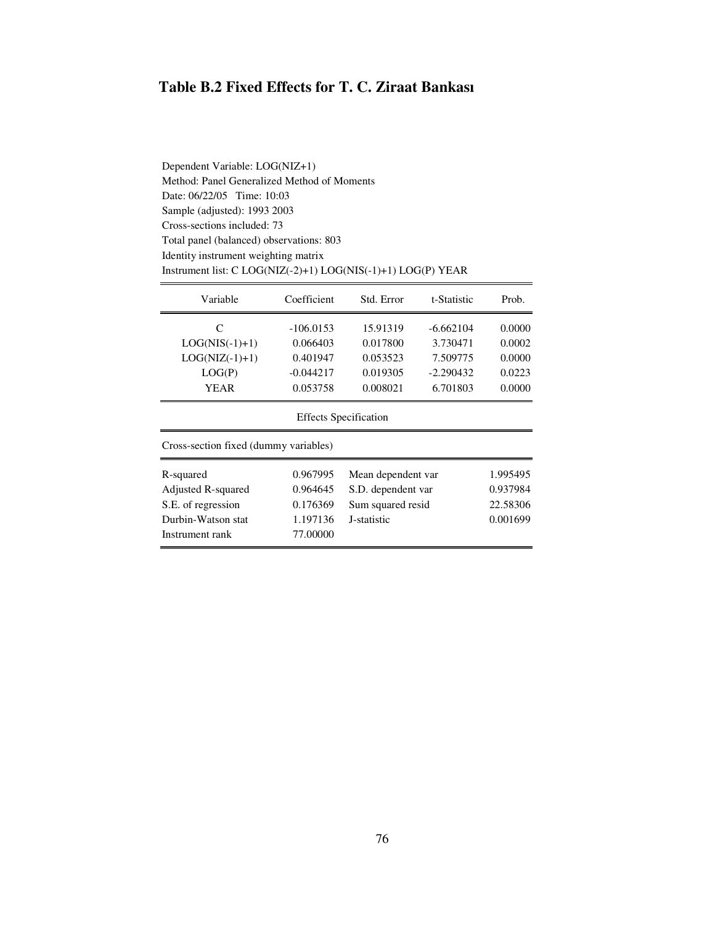# **Table B.2 Fixed Effects for T. C. Ziraat Bankası**

Dependent Variable: LOG(NIZ+1) Method: Panel Generalized Method of Moments Date: 06/22/05 Time: 10:03 Sample (adjusted): 1993 2003 Cross-sections included: 73 Total panel (balanced) observations: 803 Identity instrument weighting matrix Instrument list: C LOG(NIZ(-2)+1) LOG(NIS(-1)+1) LOG(P) YEAR

| Variable                              | Coefficient | Std. Error         | t-Statistic | Prob.    |  |
|---------------------------------------|-------------|--------------------|-------------|----------|--|
| C                                     | $-106.0153$ | 15.91319           | $-6.662104$ | 0.0000   |  |
| $LOG(NIS(-1)+1)$                      | 0.066403    | 0.017800           | 3.730471    | 0.0002   |  |
| $LOG(NIZ(-1)+1)$                      | 0.401947    | 0.053523           | 7.509775    | 0.0000   |  |
| LOG(P)                                | $-0.044217$ | 0.019305           | $-2.290432$ | 0.0223   |  |
| <b>YEAR</b>                           | 0.053758    | 0.008021           | 6.701803    | 0.0000   |  |
| <b>Effects Specification</b>          |             |                    |             |          |  |
| Cross-section fixed (dummy variables) |             |                    |             |          |  |
| R-squared                             | 0.967995    | Mean dependent var |             | 1.995495 |  |
| Adjusted R-squared                    | 0.964645    | S.D. dependent var |             | 0.937984 |  |
| S.E. of regression                    | 0.176369    | Sum squared resid  |             | 22.58306 |  |
| Durbin-Watson stat                    | 1.197136    | J-statistic        |             | 0.001699 |  |
| Instrument rank                       | 77.00000    |                    |             |          |  |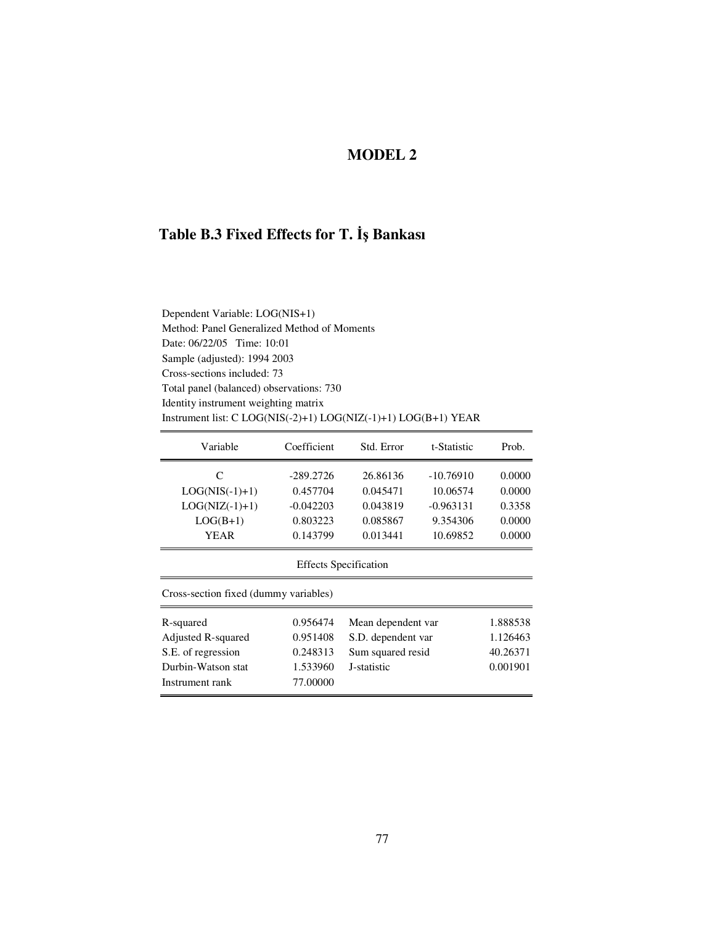# **MODEL 2**

### **Table B.3 Fixed Effects for T.** - **Bankası**

| Dependent Variable: LOG(NIS+1)                                   |
|------------------------------------------------------------------|
| Method: Panel Generalized Method of Moments                      |
| Date: 06/22/05 Time: 10:01                                       |
| Sample (adjusted): 1994 2003                                     |
| Cross-sections included: 73                                      |
| Total panel (balanced) observations: 730                         |
| Identity instrument weighting matrix                             |
| Instrument list: $C LOG(NIS(-2)+1) LOG(NIZ(-1)+1) LOG(B+1) YEAR$ |

| Variable         | Coefficient | Std. Error | t-Statistic | Prob.  |
|------------------|-------------|------------|-------------|--------|
| C                | $-289.2726$ | 26.86136   | $-10.76910$ | 0.0000 |
| $LOG(NIS(-1)+1)$ | 0.457704    | 0.045471   | 10.06574    | 0.0000 |
| $LOG(NIZ(-1)+1)$ | $-0.042203$ | 0.043819   | $-0.963131$ | 0.3358 |
| $LOG(B+1)$       | 0.803223    | 0.085867   | 9.354306    | 0.0000 |
| YEAR             | 0.143799    | 0.013441   | 10.69852    | 0.0000 |
|                  |             |            |             |        |

#### Effects Specification

Cross-section fixed (dummy variables)

| R-squared          | 0.956474 | Mean dependent var | 1.888538 |
|--------------------|----------|--------------------|----------|
| Adjusted R-squared | 0.951408 | S.D. dependent var | 1.126463 |
| S.E. of regression | 0.248313 | Sum squared resid  | 40.26371 |
| Durbin-Watson stat | 1.533960 | J-statistic        | 0.001901 |
| Instrument rank    | 77.00000 |                    |          |